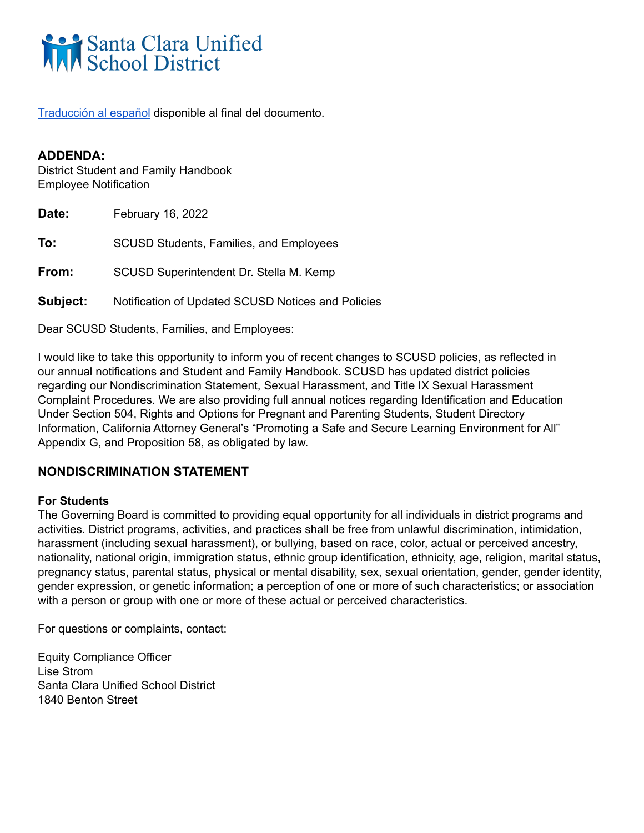# Santa Clara Unified

[Traducción](#page-33-0) al español disponible al final del documento.

## **ADDENDA:**

District Student and Family Handbook Employee Notification

**Date:** February 16, 2022 **To:** SCUSD Students, Families, and Employees **From:** SCUSD Superintendent Dr. Stella M. Kemp **Subject:** Notification of Updated SCUSD Notices and Policies

Dear SCUSD Students, Families, and Employees:

I would like to take this opportunity to inform you of recent changes to SCUSD policies, as reflected in our annual notifications and Student and Family Handbook. SCUSD has updated district policies regarding our Nondiscrimination Statement, Sexual Harassment, and Title IX Sexual Harassment Complaint Procedures. We are also providing full annual notices regarding Identification and Education Under Section 504, Rights and Options for Pregnant and Parenting Students, Student Directory Information, California Attorney General's "Promoting a Safe and Secure Learning Environment for All" Appendix G, and Proposition 58, as obligated by law.

## **NONDISCRIMINATION STATEMENT**

#### **For Students**

The Governing Board is committed to providing equal opportunity for all individuals in district programs and activities. District programs, activities, and practices shall be free from unlawful discrimination, intimidation, harassment (including sexual harassment), or bullying, based on race, color, actual or perceived ancestry, nationality, national origin, immigration status, ethnic group identification, ethnicity, age, religion, marital status, pregnancy status, parental status, physical or mental disability, sex, sexual orientation, gender, gender identity, gender expression, or genetic information; a perception of one or more of such characteristics; or association with a person or group with one or more of these actual or perceived characteristics.

For questions or complaints, contact:

Equity Compliance Officer Lise Strom Santa Clara Unified School District 1840 Benton Street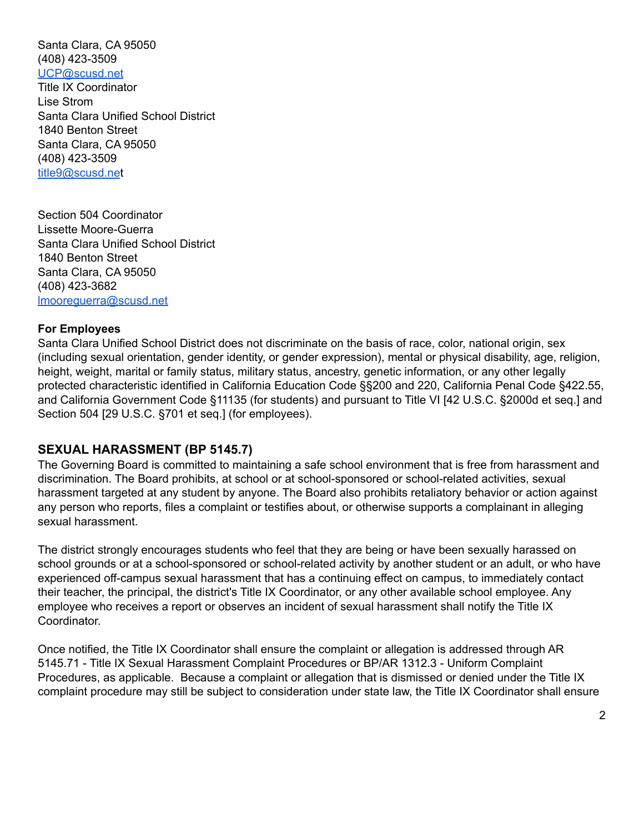Santa Clara, CA 95050 (408) 423-3509 [UCP@scusd.net](mailto:UCP@scusd.net) Title IX Coordinator Lise Strom Santa Clara Unified School District 1840 Benton Street Santa Clara, CA 95050 (408) 423-3509 [title9@scusd.ne](mailto:title9@scusd.ne)t

Section 504 Coordinator Lissette Moore-Guerra Santa Clara Unified School District 1840 Benton Street Santa Clara, CA 95050 (408) 423-3682 [lmooreguerra@scusd.net](mailto:lmooreguerra@scusd.net)

#### **For Employees**

Santa Clara Unified School District does not discriminate on the basis of race, color, national origin, sex (including sexual orientation, gender identity, or gender expression), mental or physical disability, age, religion, height, weight, marital or family status, military status, ancestry, genetic information, or any other legally protected characteristic identified in California Education Code §§200 and 220, California Penal Code §422.55, and California Government Code §11135 (for students) and pursuant to Title VI [42 U.S.C. §2000d et seq.] and Section 504 [29 U.S.C. §701 et seq.] (for employees).

#### **SEXUAL HARASSMENT (BP 5145.7)**

The Governing Board is committed to maintaining a safe school environment that is free from harassment and discrimination. The Board prohibits, at school or at school-sponsored or school-related activities, sexual harassment targeted at any student by anyone. The Board also prohibits retaliatory behavior or action against any person who reports, files a complaint or testifies about, or otherwise supports a complainant in alleging sexual harassment.

The district strongly encourages students who feel that they are being or have been sexually harassed on school grounds or at a school-sponsored or school-related activity by another student or an adult, or who have experienced off-campus sexual harassment that has a continuing effect on campus, to immediately contact their teacher, the principal, the district's Title IX Coordinator, or any other available school employee. Any employee who receives a report or observes an incident of sexual harassment shall notify the Title IX Coordinator.

Once notified, the Title IX Coordinator shall ensure the complaint or allegation is addressed through AR 5145.71 - Title IX Sexual Harassment Complaint Procedures or BP/AR 1312.3 - Uniform Complaint Procedures, as applicable. Because a complaint or allegation that is dismissed or denied under the Title IX complaint procedure may still be subject to consideration under state law, the Title IX Coordinator shall ensure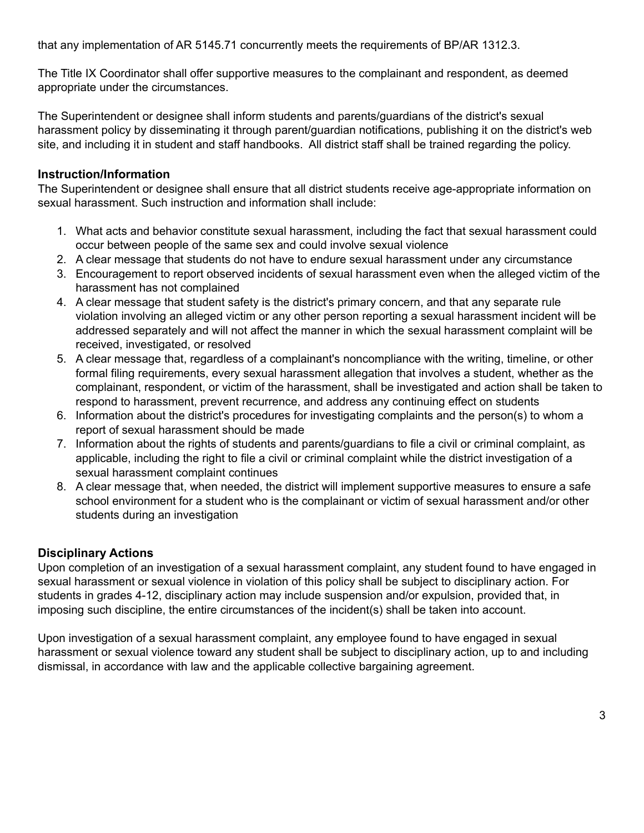that any implementation of AR 5145.71 concurrently meets the requirements of BP/AR 1312.3.

The Title IX Coordinator shall offer supportive measures to the complainant and respondent, as deemed appropriate under the circumstances.

The Superintendent or designee shall inform students and parents/guardians of the district's sexual harassment policy by disseminating it through parent/guardian notifications, publishing it on the district's web site, and including it in student and staff handbooks. All district staff shall be trained regarding the policy.

## **Instruction/Information**

The Superintendent or designee shall ensure that all district students receive age-appropriate information on sexual harassment. Such instruction and information shall include:

- 1. What acts and behavior constitute sexual harassment, including the fact that sexual harassment could occur between people of the same sex and could involve sexual violence
- 2. A clear message that students do not have to endure sexual harassment under any circumstance
- 3. Encouragement to report observed incidents of sexual harassment even when the alleged victim of the harassment has not complained
- 4. A clear message that student safety is the district's primary concern, and that any separate rule violation involving an alleged victim or any other person reporting a sexual harassment incident will be addressed separately and will not affect the manner in which the sexual harassment complaint will be received, investigated, or resolved
- 5. A clear message that, regardless of a complainant's noncompliance with the writing, timeline, or other formal filing requirements, every sexual harassment allegation that involves a student, whether as the complainant, respondent, or victim of the harassment, shall be investigated and action shall be taken to respond to harassment, prevent recurrence, and address any continuing effect on students
- 6. Information about the district's procedures for investigating complaints and the person(s) to whom a report of sexual harassment should be made
- 7. Information about the rights of students and parents/guardians to file a civil or criminal complaint, as applicable, including the right to file a civil or criminal complaint while the district investigation of a sexual harassment complaint continues
- 8. A clear message that, when needed, the district will implement supportive measures to ensure a safe school environment for a student who is the complainant or victim of sexual harassment and/or other students during an investigation

## **Disciplinary Actions**

Upon completion of an investigation of a sexual harassment complaint, any student found to have engaged in sexual harassment or sexual violence in violation of this policy shall be subject to disciplinary action. For students in grades 4-12, disciplinary action may include suspension and/or expulsion, provided that, in imposing such discipline, the entire circumstances of the incident(s) shall be taken into account.

Upon investigation of a sexual harassment complaint, any employee found to have engaged in sexual harassment or sexual violence toward any student shall be subject to disciplinary action, up to and including dismissal, in accordance with law and the applicable collective bargaining agreement.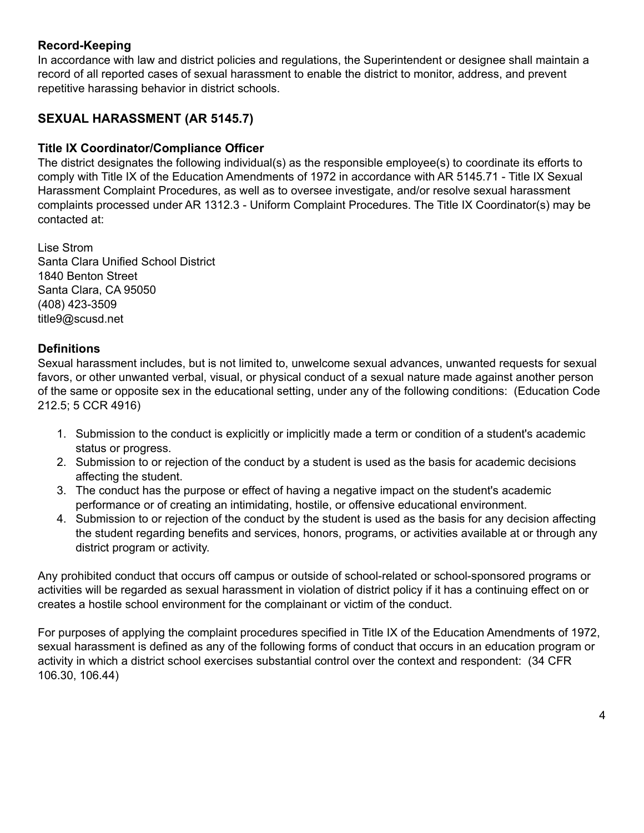## **Record-Keeping**

In accordance with law and district policies and regulations, the Superintendent or designee shall maintain a record of all reported cases of sexual harassment to enable the district to monitor, address, and prevent repetitive harassing behavior in district schools.

# **SEXUAL HARASSMENT (AR 5145.7)**

## **Title IX Coordinator/Compliance Officer**

The district designates the following individual(s) as the responsible employee(s) to coordinate its efforts to comply with Title IX of the Education Amendments of 1972 in accordance with AR 5145.71 - Title IX Sexual Harassment Complaint Procedures, as well as to oversee investigate, and/or resolve sexual harassment complaints processed under AR 1312.3 - Uniform Complaint Procedures. The Title IX Coordinator(s) may be contacted at:

Lise Strom Santa Clara Unified School District 1840 Benton Street Santa Clara, CA 95050 (408) 423-3509 [title9@scusd.net](mailto:title9@scusd.net)

## **Definitions**

Sexual harassment includes, but is not limited to, unwelcome sexual advances, unwanted requests for sexual favors, or other unwanted verbal, visual, or physical conduct of a sexual nature made against another person of the same or opposite sex in the educational setting, under any of the following conditions: (Education Code 212.5; 5 CCR 4916)

- 1. Submission to the conduct is explicitly or implicitly made a term or condition of a student's academic status or progress.
- 2. Submission to or rejection of the conduct by a student is used as the basis for academic decisions affecting the student.
- 3. The conduct has the purpose or effect of having a negative impact on the student's academic performance or of creating an intimidating, hostile, or offensive educational environment.
- 4. Submission to or rejection of the conduct by the student is used as the basis for any decision affecting the student regarding benefits and services, honors, programs, or activities available at or through any district program or activity.

Any prohibited conduct that occurs off campus or outside of school-related or school-sponsored programs or activities will be regarded as sexual harassment in violation of district policy if it has a continuing effect on or creates a hostile school environment for the complainant or victim of the conduct.

For purposes of applying the complaint procedures specified in Title IX of the Education Amendments of 1972, sexual harassment is defined as any of the following forms of conduct that occurs in an education program or activity in which a district school exercises substantial control over the context and respondent: (34 CFR 106.30, 106.44)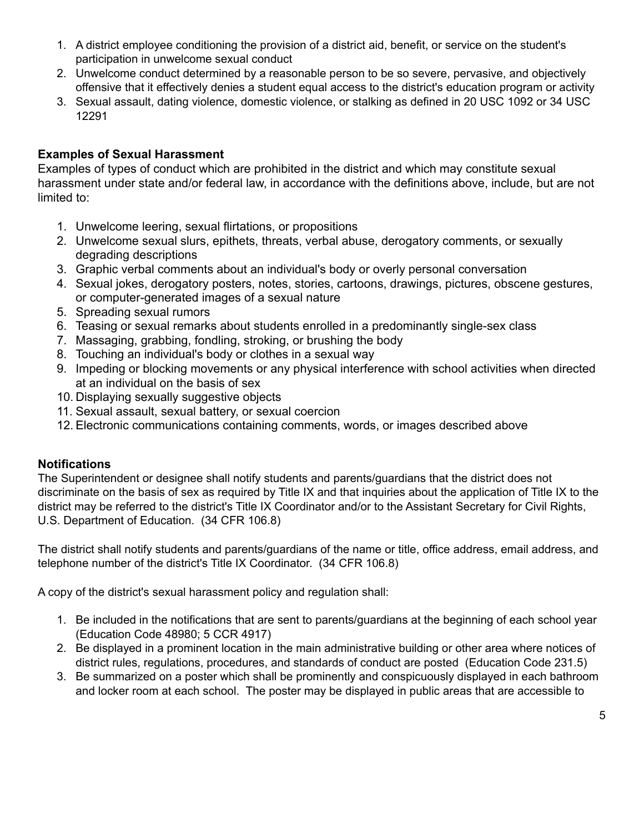- 1. A district employee conditioning the provision of a district aid, benefit, or service on the student's participation in unwelcome sexual conduct
- 2. Unwelcome conduct determined by a reasonable person to be so severe, pervasive, and objectively offensive that it effectively denies a student equal access to the district's education program or activity
- 3. Sexual assault, dating violence, domestic violence, or stalking as defined in 20 USC 1092 or 34 USC 12291

## **Examples of Sexual Harassment**

Examples of types of conduct which are prohibited in the district and which may constitute sexual harassment under state and/or federal law, in accordance with the definitions above, include, but are not limited to:

- 1. Unwelcome leering, sexual flirtations, or propositions
- 2. Unwelcome sexual slurs, epithets, threats, verbal abuse, derogatory comments, or sexually degrading descriptions
- 3. Graphic verbal comments about an individual's body or overly personal conversation
- 4. Sexual jokes, derogatory posters, notes, stories, cartoons, drawings, pictures, obscene gestures, or computer-generated images of a sexual nature
- 5. Spreading sexual rumors
- 6. Teasing or sexual remarks about students enrolled in a predominantly single-sex class
- 7. Massaging, grabbing, fondling, stroking, or brushing the body
- 8. Touching an individual's body or clothes in a sexual way
- 9. Impeding or blocking movements or any physical interference with school activities when directed at an individual on the basis of sex
- 10. Displaying sexually suggestive objects
- 11. Sexual assault, sexual battery, or sexual coercion
- 12. Electronic communications containing comments, words, or images described above

## **Notifications**

The Superintendent or designee shall notify students and parents/guardians that the district does not discriminate on the basis of sex as required by Title IX and that inquiries about the application of Title IX to the district may be referred to the district's Title IX Coordinator and/or to the Assistant Secretary for Civil Rights, U.S. Department of Education. (34 CFR 106.8)

The district shall notify students and parents/guardians of the name or title, office address, email address, and telephone number of the district's Title IX Coordinator. (34 CFR 106.8)

A copy of the district's sexual harassment policy and regulation shall:

- 1. Be included in the notifications that are sent to parents/guardians at the beginning of each school year (Education Code 48980; 5 CCR 4917)
- 2. Be displayed in a prominent location in the main administrative building or other area where notices of district rules, regulations, procedures, and standards of conduct are posted (Education Code 231.5)
- 3. Be summarized on a poster which shall be prominently and conspicuously displayed in each bathroom and locker room at each school. The poster may be displayed in public areas that are accessible to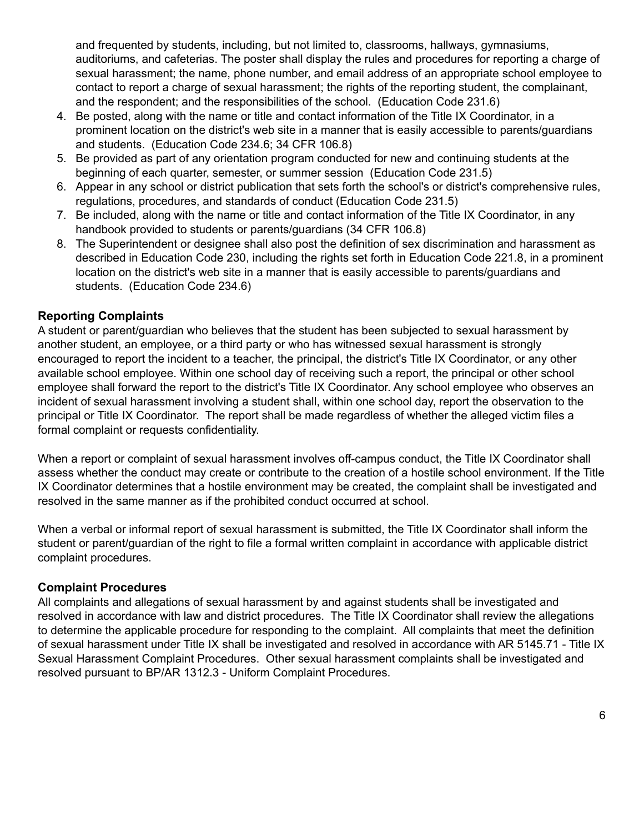and frequented by students, including, but not limited to, classrooms, hallways, gymnasiums, auditoriums, and cafeterias. The poster shall display the rules and procedures for reporting a charge of sexual harassment; the name, phone number, and email address of an appropriate school employee to contact to report a charge of sexual harassment; the rights of the reporting student, the complainant, and the respondent; and the responsibilities of the school. (Education Code 231.6)

- 4. Be posted, along with the name or title and contact information of the Title IX Coordinator, in a prominent location on the district's web site in a manner that is easily accessible to parents/guardians and students. (Education Code 234.6; 34 CFR 106.8)
- 5. Be provided as part of any orientation program conducted for new and continuing students at the beginning of each quarter, semester, or summer session (Education Code 231.5)
- 6. Appear in any school or district publication that sets forth the school's or district's comprehensive rules, regulations, procedures, and standards of conduct (Education Code 231.5)
- 7. Be included, along with the name or title and contact information of the Title IX Coordinator, in any handbook provided to students or parents/guardians (34 CFR 106.8)
- 8. The Superintendent or designee shall also post the definition of sex discrimination and harassment as described in Education Code 230, including the rights set forth in Education Code 221.8, in a prominent location on the district's web site in a manner that is easily accessible to parents/guardians and students. (Education Code 234.6)

## **Reporting Complaints**

A student or parent/guardian who believes that the student has been subjected to sexual harassment by another student, an employee, or a third party or who has witnessed sexual harassment is strongly encouraged to report the incident to a teacher, the principal, the district's Title IX Coordinator, or any other available school employee. Within one school day of receiving such a report, the principal or other school employee shall forward the report to the district's Title IX Coordinator. Any school employee who observes an incident of sexual harassment involving a student shall, within one school day, report the observation to the principal or Title IX Coordinator. The report shall be made regardless of whether the alleged victim files a formal complaint or requests confidentiality.

When a report or complaint of sexual harassment involves off-campus conduct, the Title IX Coordinator shall assess whether the conduct may create or contribute to the creation of a hostile school environment. If the Title IX Coordinator determines that a hostile environment may be created, the complaint shall be investigated and resolved in the same manner as if the prohibited conduct occurred at school.

When a verbal or informal report of sexual harassment is submitted, the Title IX Coordinator shall inform the student or parent/guardian of the right to file a formal written complaint in accordance with applicable district complaint procedures.

#### **Complaint Procedures**

All complaints and allegations of sexual harassment by and against students shall be investigated and resolved in accordance with law and district procedures. The Title IX Coordinator shall review the allegations to determine the applicable procedure for responding to the complaint. All complaints that meet the definition of sexual harassment under Title IX shall be investigated and resolved in accordance with AR 5145.71 - Title IX Sexual Harassment Complaint Procedures. Other sexual harassment complaints shall be investigated and resolved pursuant to BP/AR 1312.3 - Uniform Complaint Procedures.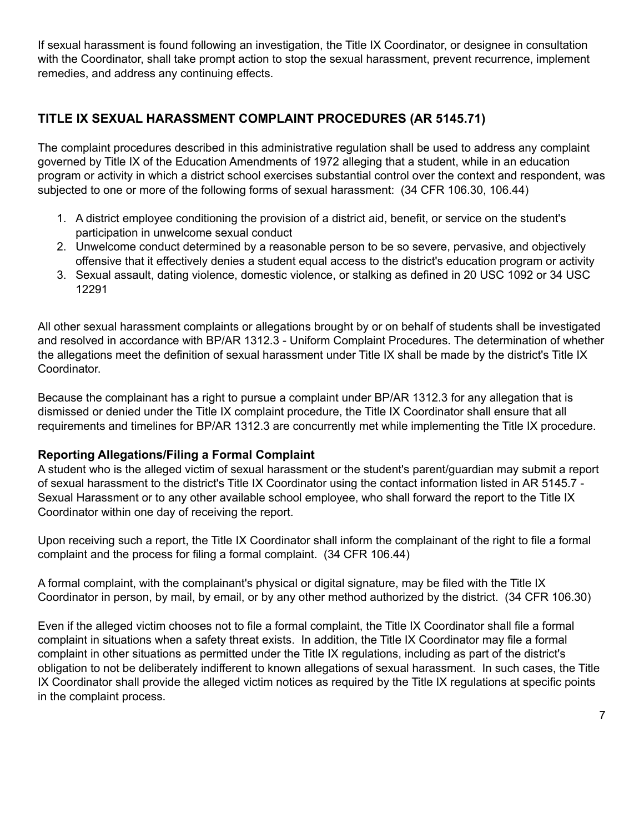If sexual harassment is found following an investigation, the Title IX Coordinator, or designee in consultation with the Coordinator, shall take prompt action to stop the sexual harassment, prevent recurrence, implement remedies, and address any continuing effects.

# **TITLE IX SEXUAL HARASSMENT COMPLAINT PROCEDURES (AR 5145.71)**

The complaint procedures described in this administrative regulation shall be used to address any complaint governed by Title IX of the Education Amendments of 1972 alleging that a student, while in an education program or activity in which a district school exercises substantial control over the context and respondent, was subjected to one or more of the following forms of sexual harassment: (34 CFR 106.30, 106.44)

- 1. A district employee conditioning the provision of a district aid, benefit, or service on the student's participation in unwelcome sexual conduct
- 2. Unwelcome conduct determined by a reasonable person to be so severe, pervasive, and objectively offensive that it effectively denies a student equal access to the district's education program or activity
- 3. Sexual assault, dating violence, domestic violence, or stalking as defined in 20 USC 1092 or 34 USC 12291

All other sexual harassment complaints or allegations brought by or on behalf of students shall be investigated and resolved in accordance with BP/AR 1312.3 - Uniform Complaint Procedures. The determination of whether the allegations meet the definition of sexual harassment under Title IX shall be made by the district's Title IX Coordinator.

Because the complainant has a right to pursue a complaint under BP/AR 1312.3 for any allegation that is dismissed or denied under the Title IX complaint procedure, the Title IX Coordinator shall ensure that all requirements and timelines for BP/AR 1312.3 are concurrently met while implementing the Title IX procedure.

## **Reporting Allegations/Filing a Formal Complaint**

A student who is the alleged victim of sexual harassment or the student's parent/guardian may submit a report of sexual harassment to the district's Title IX Coordinator using the contact information listed in AR 5145.7 - Sexual Harassment or to any other available school employee, who shall forward the report to the Title IX Coordinator within one day of receiving the report.

Upon receiving such a report, the Title IX Coordinator shall inform the complainant of the right to file a formal complaint and the process for filing a formal complaint. (34 CFR 106.44)

A formal complaint, with the complainant's physical or digital signature, may be filed with the Title IX Coordinator in person, by mail, by email, or by any other method authorized by the district. (34 CFR 106.30)

Even if the alleged victim chooses not to file a formal complaint, the Title IX Coordinator shall file a formal complaint in situations when a safety threat exists. In addition, the Title IX Coordinator may file a formal complaint in other situations as permitted under the Title IX regulations, including as part of the district's obligation to not be deliberately indifferent to known allegations of sexual harassment. In such cases, the Title IX Coordinator shall provide the alleged victim notices as required by the Title IX regulations at specific points in the complaint process.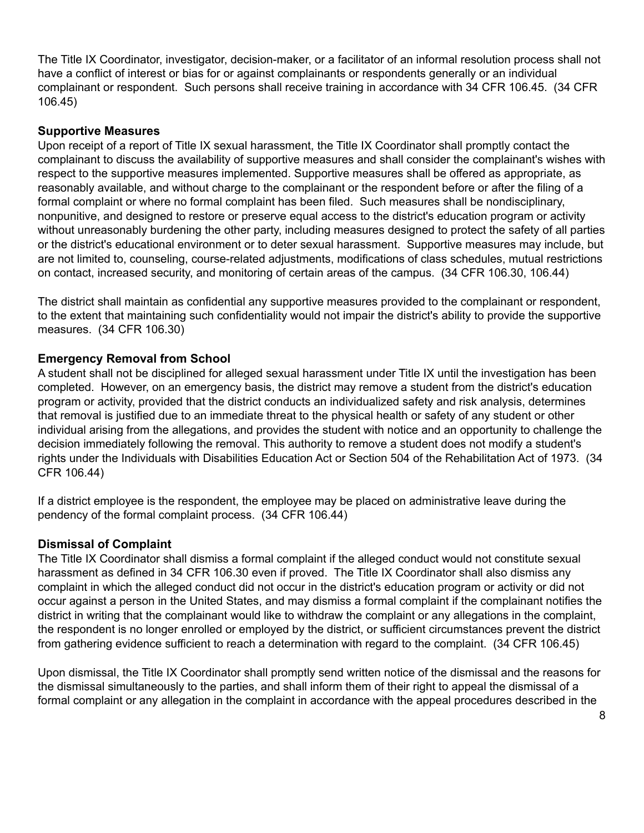The Title IX Coordinator, investigator, decision-maker, or a facilitator of an informal resolution process shall not have a conflict of interest or bias for or against complainants or respondents generally or an individual complainant or respondent. Such persons shall receive training in accordance with 34 CFR 106.45. (34 CFR 106.45)

#### **Supportive Measures**

Upon receipt of a report of Title IX sexual harassment, the Title IX Coordinator shall promptly contact the complainant to discuss the availability of supportive measures and shall consider the complainant's wishes with respect to the supportive measures implemented. Supportive measures shall be offered as appropriate, as reasonably available, and without charge to the complainant or the respondent before or after the filing of a formal complaint or where no formal complaint has been filed. Such measures shall be nondisciplinary, nonpunitive, and designed to restore or preserve equal access to the district's education program or activity without unreasonably burdening the other party, including measures designed to protect the safety of all parties or the district's educational environment or to deter sexual harassment. Supportive measures may include, but are not limited to, counseling, course-related adjustments, modifications of class schedules, mutual restrictions on contact, increased security, and monitoring of certain areas of the campus. (34 CFR 106.30, 106.44)

The district shall maintain as confidential any supportive measures provided to the complainant or respondent, to the extent that maintaining such confidentiality would not impair the district's ability to provide the supportive measures. (34 CFR 106.30)

## **Emergency Removal from School**

A student shall not be disciplined for alleged sexual harassment under Title IX until the investigation has been completed. However, on an emergency basis, the district may remove a student from the district's education program or activity, provided that the district conducts an individualized safety and risk analysis, determines that removal is justified due to an immediate threat to the physical health or safety of any student or other individual arising from the allegations, and provides the student with notice and an opportunity to challenge the decision immediately following the removal. This authority to remove a student does not modify a student's rights under the Individuals with Disabilities Education Act or Section 504 of the Rehabilitation Act of 1973. (34 CFR 106.44)

If a district employee is the respondent, the employee may be placed on administrative leave during the pendency of the formal complaint process. (34 CFR 106.44)

#### **Dismissal of Complaint**

The Title IX Coordinator shall dismiss a formal complaint if the alleged conduct would not constitute sexual harassment as defined in 34 CFR 106.30 even if proved. The Title IX Coordinator shall also dismiss any complaint in which the alleged conduct did not occur in the district's education program or activity or did not occur against a person in the United States, and may dismiss a formal complaint if the complainant notifies the district in writing that the complainant would like to withdraw the complaint or any allegations in the complaint, the respondent is no longer enrolled or employed by the district, or sufficient circumstances prevent the district from gathering evidence sufficient to reach a determination with regard to the complaint. (34 CFR 106.45)

Upon dismissal, the Title IX Coordinator shall promptly send written notice of the dismissal and the reasons for the dismissal simultaneously to the parties, and shall inform them of their right to appeal the dismissal of a formal complaint or any allegation in the complaint in accordance with the appeal procedures described in the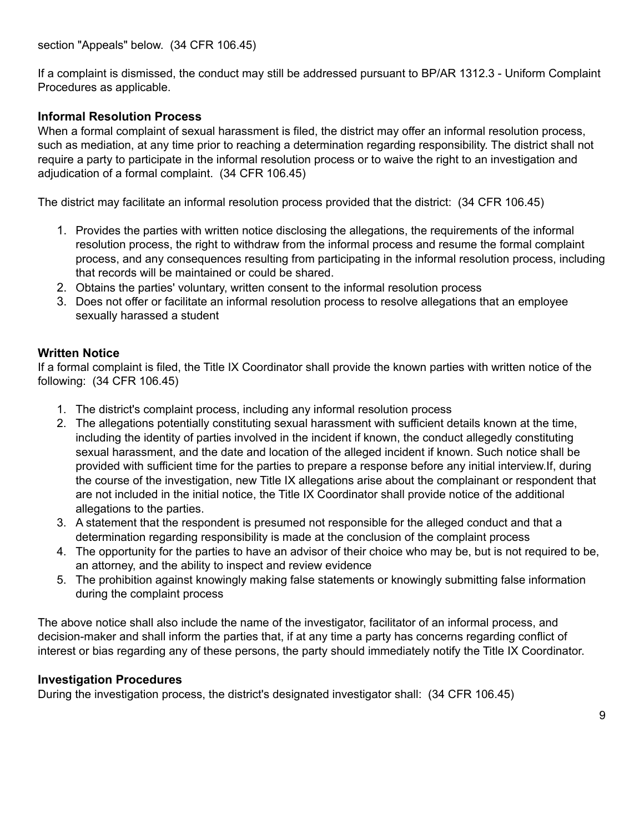If a complaint is dismissed, the conduct may still be addressed pursuant to BP/AR 1312.3 - Uniform Complaint Procedures as applicable.

## **Informal Resolution Process**

When a formal complaint of sexual harassment is filed, the district may offer an informal resolution process, such as mediation, at any time prior to reaching a determination regarding responsibility. The district shall not require a party to participate in the informal resolution process or to waive the right to an investigation and adjudication of a formal complaint. (34 CFR 106.45)

The district may facilitate an informal resolution process provided that the district: (34 CFR 106.45)

- 1. Provides the parties with written notice disclosing the allegations, the requirements of the informal resolution process, the right to withdraw from the informal process and resume the formal complaint process, and any consequences resulting from participating in the informal resolution process, including that records will be maintained or could be shared.
- 2. Obtains the parties' voluntary, written consent to the informal resolution process
- 3. Does not offer or facilitate an informal resolution process to resolve allegations that an employee sexually harassed a student

#### **Written Notice**

If a formal complaint is filed, the Title IX Coordinator shall provide the known parties with written notice of the following: (34 CFR 106.45)

- 1. The district's complaint process, including any informal resolution process
- 2. The allegations potentially constituting sexual harassment with sufficient details known at the time, including the identity of parties involved in the incident if known, the conduct allegedly constituting sexual harassment, and the date and location of the alleged incident if known. Such notice shall be provided with sufficient time for the parties to prepare a response before any initial interview.If, during the course of the investigation, new Title IX allegations arise about the complainant or respondent that are not included in the initial notice, the Title IX Coordinator shall provide notice of the additional allegations to the parties.
- 3. A statement that the respondent is presumed not responsible for the alleged conduct and that a determination regarding responsibility is made at the conclusion of the complaint process
- 4. The opportunity for the parties to have an advisor of their choice who may be, but is not required to be, an attorney, and the ability to inspect and review evidence
- 5. The prohibition against knowingly making false statements or knowingly submitting false information during the complaint process

The above notice shall also include the name of the investigator, facilitator of an informal process, and decision-maker and shall inform the parties that, if at any time a party has concerns regarding conflict of interest or bias regarding any of these persons, the party should immediately notify the Title IX Coordinator.

#### **Investigation Procedures**

During the investigation process, the district's designated investigator shall: (34 CFR 106.45)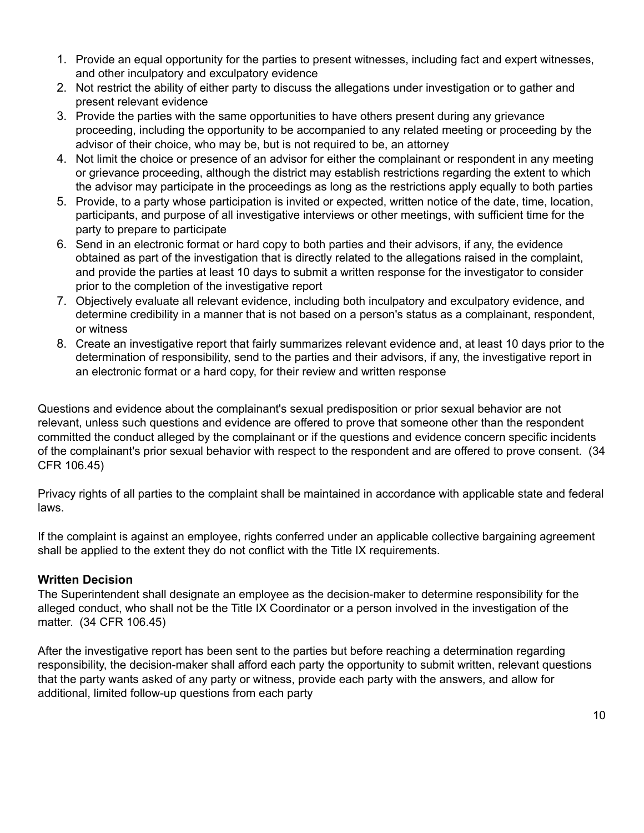- 1. Provide an equal opportunity for the parties to present witnesses, including fact and expert witnesses, and other inculpatory and exculpatory evidence
- 2. Not restrict the ability of either party to discuss the allegations under investigation or to gather and present relevant evidence
- 3. Provide the parties with the same opportunities to have others present during any grievance proceeding, including the opportunity to be accompanied to any related meeting or proceeding by the advisor of their choice, who may be, but is not required to be, an attorney
- 4. Not limit the choice or presence of an advisor for either the complainant or respondent in any meeting or grievance proceeding, although the district may establish restrictions regarding the extent to which the advisor may participate in the proceedings as long as the restrictions apply equally to both parties
- 5. Provide, to a party whose participation is invited or expected, written notice of the date, time, location, participants, and purpose of all investigative interviews or other meetings, with sufficient time for the party to prepare to participate
- 6. Send in an electronic format or hard copy to both parties and their advisors, if any, the evidence obtained as part of the investigation that is directly related to the allegations raised in the complaint, and provide the parties at least 10 days to submit a written response for the investigator to consider prior to the completion of the investigative report
- 7. Objectively evaluate all relevant evidence, including both inculpatory and exculpatory evidence, and determine credibility in a manner that is not based on a person's status as a complainant, respondent, or witness
- 8. Create an investigative report that fairly summarizes relevant evidence and, at least 10 days prior to the determination of responsibility, send to the parties and their advisors, if any, the investigative report in an electronic format or a hard copy, for their review and written response

Questions and evidence about the complainant's sexual predisposition or prior sexual behavior are not relevant, unless such questions and evidence are offered to prove that someone other than the respondent committed the conduct alleged by the complainant or if the questions and evidence concern specific incidents of the complainant's prior sexual behavior with respect to the respondent and are offered to prove consent. (34 CFR 106.45)

Privacy rights of all parties to the complaint shall be maintained in accordance with applicable state and federal laws.

If the complaint is against an employee, rights conferred under an applicable collective bargaining agreement shall be applied to the extent they do not conflict with the Title IX requirements.

## **Written Decision**

The Superintendent shall designate an employee as the decision-maker to determine responsibility for the alleged conduct, who shall not be the Title IX Coordinator or a person involved in the investigation of the matter. (34 CFR 106.45)

After the investigative report has been sent to the parties but before reaching a determination regarding responsibility, the decision-maker shall afford each party the opportunity to submit written, relevant questions that the party wants asked of any party or witness, provide each party with the answers, and allow for additional, limited follow-up questions from each party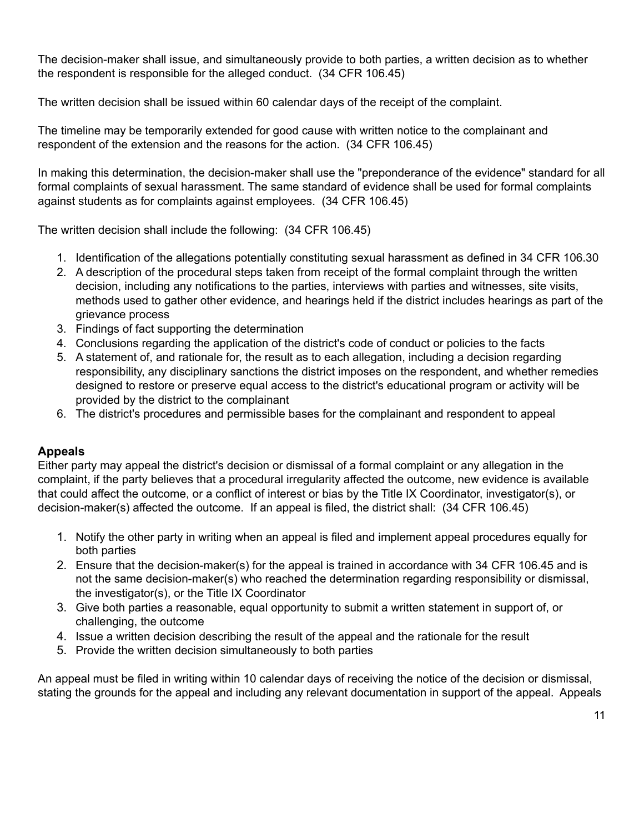The decision-maker shall issue, and simultaneously provide to both parties, a written decision as to whether the respondent is responsible for the alleged conduct. (34 CFR 106.45)

The written decision shall be issued within 60 calendar days of the receipt of the complaint.

The timeline may be temporarily extended for good cause with written notice to the complainant and respondent of the extension and the reasons for the action. (34 CFR 106.45)

In making this determination, the decision-maker shall use the "preponderance of the evidence" standard for all formal complaints of sexual harassment. The same standard of evidence shall be used for formal complaints against students as for complaints against employees. (34 CFR 106.45)

The written decision shall include the following: (34 CFR 106.45)

- 1. Identification of the allegations potentially constituting sexual harassment as defined in 34 CFR 106.30
- 2. A description of the procedural steps taken from receipt of the formal complaint through the written decision, including any notifications to the parties, interviews with parties and witnesses, site visits, methods used to gather other evidence, and hearings held if the district includes hearings as part of the grievance process
- 3. Findings of fact supporting the determination
- 4. Conclusions regarding the application of the district's code of conduct or policies to the facts
- 5. A statement of, and rationale for, the result as to each allegation, including a decision regarding responsibility, any disciplinary sanctions the district imposes on the respondent, and whether remedies designed to restore or preserve equal access to the district's educational program or activity will be provided by the district to the complainant
- 6. The district's procedures and permissible bases for the complainant and respondent to appeal

## **Appeals**

Either party may appeal the district's decision or dismissal of a formal complaint or any allegation in the complaint, if the party believes that a procedural irregularity affected the outcome, new evidence is available that could affect the outcome, or a conflict of interest or bias by the Title IX Coordinator, investigator(s), or decision-maker(s) affected the outcome. If an appeal is filed, the district shall: (34 CFR 106.45)

- 1. Notify the other party in writing when an appeal is filed and implement appeal procedures equally for both parties
- 2. Ensure that the decision-maker(s) for the appeal is trained in accordance with 34 CFR 106.45 and is not the same decision-maker(s) who reached the determination regarding responsibility or dismissal, the investigator(s), or the Title IX Coordinator
- 3. Give both parties a reasonable, equal opportunity to submit a written statement in support of, or challenging, the outcome
- 4. Issue a written decision describing the result of the appeal and the rationale for the result
- 5. Provide the written decision simultaneously to both parties

An appeal must be filed in writing within 10 calendar days of receiving the notice of the decision or dismissal, stating the grounds for the appeal and including any relevant documentation in support of the appeal. Appeals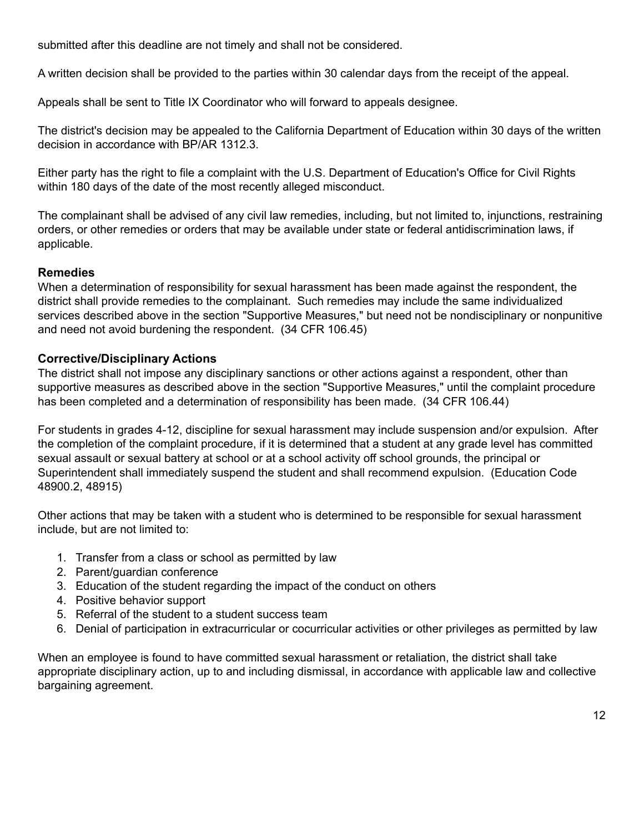submitted after this deadline are not timely and shall not be considered.

A written decision shall be provided to the parties within 30 calendar days from the receipt of the appeal.

Appeals shall be sent to Title IX Coordinator who will forward to appeals designee.

The district's decision may be appealed to the California Department of Education within 30 days of the written decision in accordance with BP/AR 1312.3.

Either party has the right to file a complaint with the U.S. Department of Education's Office for Civil Rights within 180 days of the date of the most recently alleged misconduct.

The complainant shall be advised of any civil law remedies, including, but not limited to, injunctions, restraining orders, or other remedies or orders that may be available under state or federal antidiscrimination laws, if applicable.

## **Remedies**

When a determination of responsibility for sexual harassment has been made against the respondent, the district shall provide remedies to the complainant. Such remedies may include the same individualized services described above in the section "Supportive Measures," but need not be nondisciplinary or nonpunitive and need not avoid burdening the respondent. (34 CFR 106.45)

## **Corrective/Disciplinary Actions**

The district shall not impose any disciplinary sanctions or other actions against a respondent, other than supportive measures as described above in the section "Supportive Measures," until the complaint procedure has been completed and a determination of responsibility has been made. (34 CFR 106.44)

For students in grades 4-12, discipline for sexual harassment may include suspension and/or expulsion. After the completion of the complaint procedure, if it is determined that a student at any grade level has committed sexual assault or sexual battery at school or at a school activity off school grounds, the principal or Superintendent shall immediately suspend the student and shall recommend expulsion. (Education Code 48900.2, 48915)

Other actions that may be taken with a student who is determined to be responsible for sexual harassment include, but are not limited to:

- 1. Transfer from a class or school as permitted by law
- 2. Parent/guardian conference
- 3. Education of the student regarding the impact of the conduct on others
- 4. Positive behavior support
- 5. Referral of the student to a student success team
- 6. Denial of participation in extracurricular or cocurricular activities or other privileges as permitted by law

When an employee is found to have committed sexual harassment or retaliation, the district shall take appropriate disciplinary action, up to and including dismissal, in accordance with applicable law and collective bargaining agreement.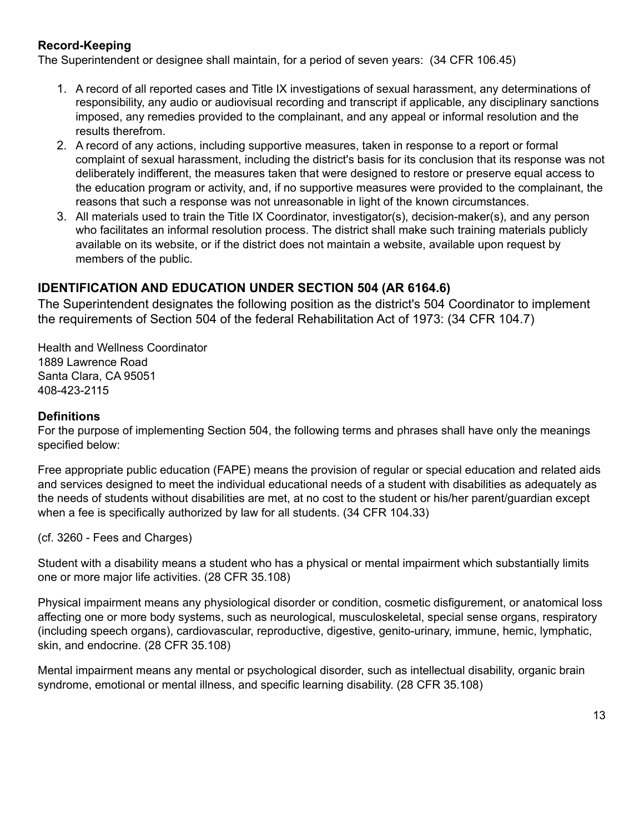# **Record-Keeping**

The Superintendent or designee shall maintain, for a period of seven years: (34 CFR 106.45)

- 1. A record of all reported cases and Title IX investigations of sexual harassment, any determinations of responsibility, any audio or audiovisual recording and transcript if applicable, any disciplinary sanctions imposed, any remedies provided to the complainant, and any appeal or informal resolution and the results therefrom.
- 2. A record of any actions, including supportive measures, taken in response to a report or formal complaint of sexual harassment, including the district's basis for its conclusion that its response was not deliberately indifferent, the measures taken that were designed to restore or preserve equal access to the education program or activity, and, if no supportive measures were provided to the complainant, the reasons that such a response was not unreasonable in light of the known circumstances.
- 3. All materials used to train the Title IX Coordinator, investigator(s), decision-maker(s), and any person who facilitates an informal resolution process. The district shall make such training materials publicly available on its website, or if the district does not maintain a website, available upon request by members of the public.

## **IDENTIFICATION AND EDUCATION UNDER SECTION 504 (AR 6164.6)**

The Superintendent designates the following position as the district's 504 Coordinator to implement the requirements of Section 504 of the federal Rehabilitation Act of 1973: (34 CFR 104.7)

Health and Wellness Coordinator 1889 Lawrence Road Santa Clara, CA 95051 408-423-2115

#### **Definitions**

For the purpose of implementing Section 504, the following terms and phrases shall have only the meanings specified below:

Free appropriate public education (FAPE) means the provision of regular or special education and related aids and services designed to meet the individual educational needs of a student with disabilities as adequately as the needs of students without disabilities are met, at no cost to the student or his/her parent/guardian except when a fee is specifically authorized by law for all students. (34 CFR 104.33)

(cf. 3260 - Fees and Charges)

Student with a disability means a student who has a physical or mental impairment which substantially limits one or more major life activities. (28 CFR 35.108)

Physical impairment means any physiological disorder or condition, cosmetic disfigurement, or anatomical loss affecting one or more body systems, such as neurological, musculoskeletal, special sense organs, respiratory (including speech organs), cardiovascular, reproductive, digestive, genito-urinary, immune, hemic, lymphatic, skin, and endocrine. (28 CFR 35.108)

Mental impairment means any mental or psychological disorder, such as intellectual disability, organic brain syndrome, emotional or mental illness, and specific learning disability. (28 CFR 35.108)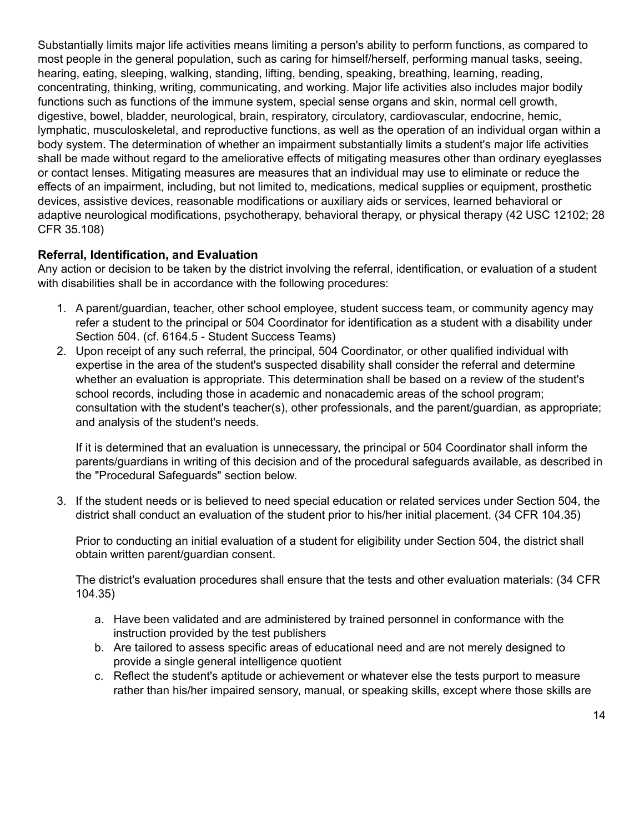Substantially limits major life activities means limiting a person's ability to perform functions, as compared to most people in the general population, such as caring for himself/herself, performing manual tasks, seeing, hearing, eating, sleeping, walking, standing, lifting, bending, speaking, breathing, learning, reading, concentrating, thinking, writing, communicating, and working. Major life activities also includes major bodily functions such as functions of the immune system, special sense organs and skin, normal cell growth, digestive, bowel, bladder, neurological, brain, respiratory, circulatory, cardiovascular, endocrine, hemic, lymphatic, musculoskeletal, and reproductive functions, as well as the operation of an individual organ within a body system. The determination of whether an impairment substantially limits a student's major life activities shall be made without regard to the ameliorative effects of mitigating measures other than ordinary eyeglasses or contact lenses. Mitigating measures are measures that an individual may use to eliminate or reduce the effects of an impairment, including, but not limited to, medications, medical supplies or equipment, prosthetic devices, assistive devices, reasonable modifications or auxiliary aids or services, learned behavioral or adaptive neurological modifications, psychotherapy, behavioral therapy, or physical therapy (42 USC 12102; 28 CFR 35.108)

## **Referral, Identification, and Evaluation**

Any action or decision to be taken by the district involving the referral, identification, or evaluation of a student with disabilities shall be in accordance with the following procedures:

- 1. A parent/guardian, teacher, other school employee, student success team, or community agency may refer a student to the principal or 504 Coordinator for identification as a student with a disability under Section 504. (cf. 6164.5 - Student Success Teams)
- 2. Upon receipt of any such referral, the principal, 504 Coordinator, or other qualified individual with expertise in the area of the student's suspected disability shall consider the referral and determine whether an evaluation is appropriate. This determination shall be based on a review of the student's school records, including those in academic and nonacademic areas of the school program; consultation with the student's teacher(s), other professionals, and the parent/guardian, as appropriate; and analysis of the student's needs.

If it is determined that an evaluation is unnecessary, the principal or 504 Coordinator shall inform the parents/guardians in writing of this decision and of the procedural safeguards available, as described in the "Procedural Safeguards" section below.

3. If the student needs or is believed to need special education or related services under Section 504, the district shall conduct an evaluation of the student prior to his/her initial placement. (34 CFR 104.35)

Prior to conducting an initial evaluation of a student for eligibility under Section 504, the district shall obtain written parent/guardian consent.

The district's evaluation procedures shall ensure that the tests and other evaluation materials: (34 CFR 104.35)

- a. Have been validated and are administered by trained personnel in conformance with the instruction provided by the test publishers
- b. Are tailored to assess specific areas of educational need and are not merely designed to provide a single general intelligence quotient
- c. Reflect the student's aptitude or achievement or whatever else the tests purport to measure rather than his/her impaired sensory, manual, or speaking skills, except where those skills are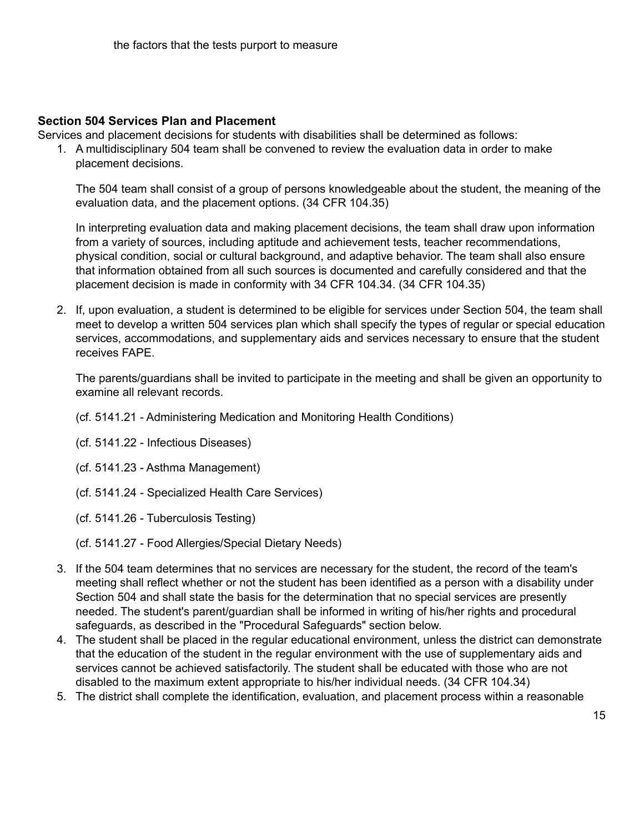#### **Section 504 Services Plan and Placement**

Services and placement decisions for students with disabilities shall be determined as follows:

1. A multidisciplinary 504 team shall be convened to review the evaluation data in order to make placement decisions.

The 504 team shall consist of a group of persons knowledgeable about the student, the meaning of the evaluation data, and the placement options. (34 CFR 104.35)

In interpreting evaluation data and making placement decisions, the team shall draw upon information from a variety of sources, including aptitude and achievement tests, teacher recommendations, physical condition, social or cultural background, and adaptive behavior. The team shall also ensure that information obtained from all such sources is documented and carefully considered and that the placement decision is made in conformity with 34 CFR 104.34. (34 CFR 104.35)

2. If, upon evaluation, a student is determined to be eligible for services under Section 504, the team shall meet to develop a written 504 services plan which shall specify the types of regular or special education services, accommodations, and supplementary aids and services necessary to ensure that the student receives FAPE.

The parents/guardians shall be invited to participate in the meeting and shall be given an opportunity to examine all relevant records.

- (cf. 5141.21 Administering Medication and Monitoring Health Conditions)
- (cf. 5141.22 Infectious Diseases)
- (cf. 5141.23 Asthma Management)
- (cf. 5141.24 Specialized Health Care Services)
- (cf. 5141.26 Tuberculosis Testing)
- (cf. 5141.27 Food Allergies/Special Dietary Needs)
- 3. If the 504 team determines that no services are necessary for the student, the record of the team's meeting shall reflect whether or not the student has been identified as a person with a disability under Section 504 and shall state the basis for the determination that no special services are presently needed. The student's parent/guardian shall be informed in writing of his/her rights and procedural safeguards, as described in the "Procedural Safeguards" section below.
- 4. The student shall be placed in the regular educational environment, unless the district can demonstrate that the education of the student in the regular environment with the use of supplementary aids and services cannot be achieved satisfactorily. The student shall be educated with those who are not disabled to the maximum extent appropriate to his/her individual needs. (34 CFR 104.34)
- 5. The district shall complete the identification, evaluation, and placement process within a reasonable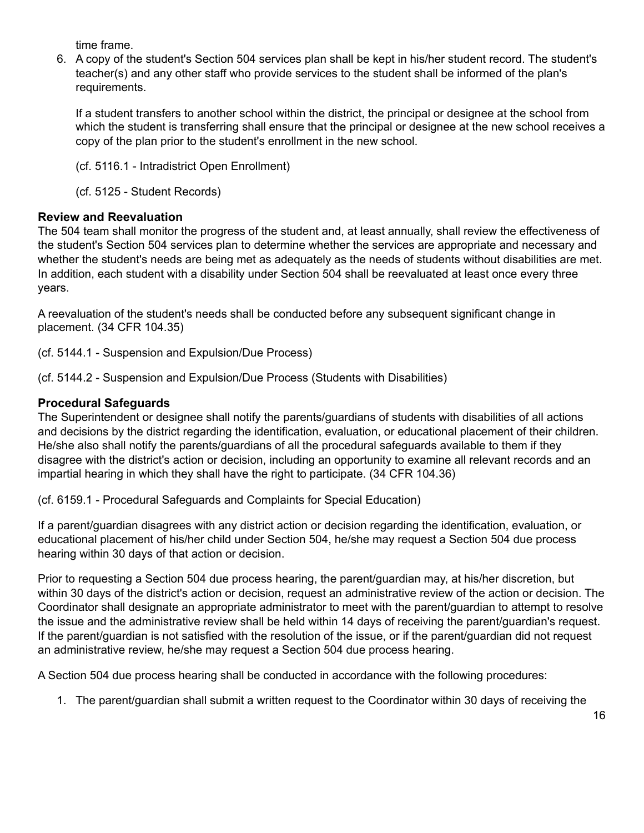time frame.

6. A copy of the student's Section 504 services plan shall be kept in his/her student record. The student's teacher(s) and any other staff who provide services to the student shall be informed of the plan's requirements.

If a student transfers to another school within the district, the principal or designee at the school from which the student is transferring shall ensure that the principal or designee at the new school receives a copy of the plan prior to the student's enrollment in the new school.

(cf. 5116.1 - Intradistrict Open Enrollment)

(cf. 5125 - Student Records)

## **Review and Reevaluation**

The 504 team shall monitor the progress of the student and, at least annually, shall review the effectiveness of the student's Section 504 services plan to determine whether the services are appropriate and necessary and whether the student's needs are being met as adequately as the needs of students without disabilities are met. In addition, each student with a disability under Section 504 shall be reevaluated at least once every three years.

A reevaluation of the student's needs shall be conducted before any subsequent significant change in placement. (34 CFR 104.35)

(cf. 5144.1 - Suspension and Expulsion/Due Process)

(cf. 5144.2 - Suspension and Expulsion/Due Process (Students with Disabilities)

## **Procedural Safeguards**

The Superintendent or designee shall notify the parents/guardians of students with disabilities of all actions and decisions by the district regarding the identification, evaluation, or educational placement of their children. He/she also shall notify the parents/guardians of all the procedural safeguards available to them if they disagree with the district's action or decision, including an opportunity to examine all relevant records and an impartial hearing in which they shall have the right to participate. (34 CFR 104.36)

(cf. 6159.1 - Procedural Safeguards and Complaints for Special Education)

If a parent/guardian disagrees with any district action or decision regarding the identification, evaluation, or educational placement of his/her child under Section 504, he/she may request a Section 504 due process hearing within 30 days of that action or decision.

Prior to requesting a Section 504 due process hearing, the parent/guardian may, at his/her discretion, but within 30 days of the district's action or decision, request an administrative review of the action or decision. The Coordinator shall designate an appropriate administrator to meet with the parent/guardian to attempt to resolve the issue and the administrative review shall be held within 14 days of receiving the parent/guardian's request. If the parent/guardian is not satisfied with the resolution of the issue, or if the parent/guardian did not request an administrative review, he/she may request a Section 504 due process hearing.

A Section 504 due process hearing shall be conducted in accordance with the following procedures:

1. The parent/guardian shall submit a written request to the Coordinator within 30 days of receiving the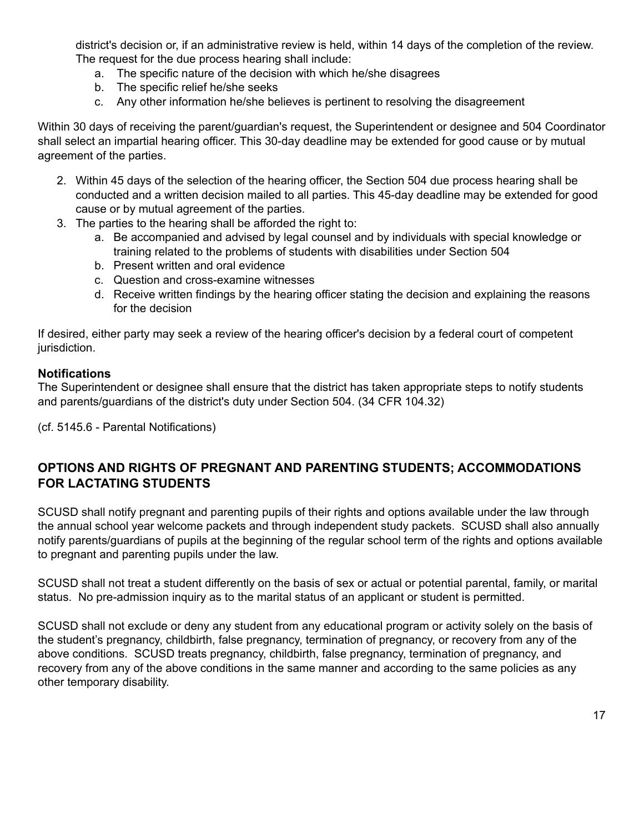district's decision or, if an administrative review is held, within 14 days of the completion of the review. The request for the due process hearing shall include:

- a. The specific nature of the decision with which he/she disagrees
- b. The specific relief he/she seeks
- c. Any other information he/she believes is pertinent to resolving the disagreement

Within 30 days of receiving the parent/guardian's request, the Superintendent or designee and 504 Coordinator shall select an impartial hearing officer. This 30-day deadline may be extended for good cause or by mutual agreement of the parties.

- 2. Within 45 days of the selection of the hearing officer, the Section 504 due process hearing shall be conducted and a written decision mailed to all parties. This 45-day deadline may be extended for good cause or by mutual agreement of the parties.
- 3. The parties to the hearing shall be afforded the right to:
	- a. Be accompanied and advised by legal counsel and by individuals with special knowledge or training related to the problems of students with disabilities under Section 504
	- b. Present written and oral evidence
	- c. Question and cross-examine witnesses
	- d. Receive written findings by the hearing officer stating the decision and explaining the reasons for the decision

If desired, either party may seek a review of the hearing officer's decision by a federal court of competent jurisdiction.

## **Notifications**

The Superintendent or designee shall ensure that the district has taken appropriate steps to notify students and parents/guardians of the district's duty under Section 504. (34 CFR 104.32)

(cf. 5145.6 - Parental Notifications)

## **OPTIONS AND RIGHTS OF PREGNANT AND PARENTING STUDENTS; ACCOMMODATIONS FOR LACTATING STUDENTS**

SCUSD shall notify pregnant and parenting pupils of their rights and options available under the law through the annual school year welcome packets and through independent study packets. SCUSD shall also annually notify parents/guardians of pupils at the beginning of the regular school term of the rights and options available to pregnant and parenting pupils under the law.

SCUSD shall not treat a student differently on the basis of sex or actual or potential parental, family, or marital status. No pre-admission inquiry as to the marital status of an applicant or student is permitted.

SCUSD shall not exclude or deny any student from any educational program or activity solely on the basis of the student's pregnancy, childbirth, false pregnancy, termination of pregnancy, or recovery from any of the above conditions. SCUSD treats pregnancy, childbirth, false pregnancy, termination of pregnancy, and recovery from any of the above conditions in the same manner and according to the same policies as any other temporary disability.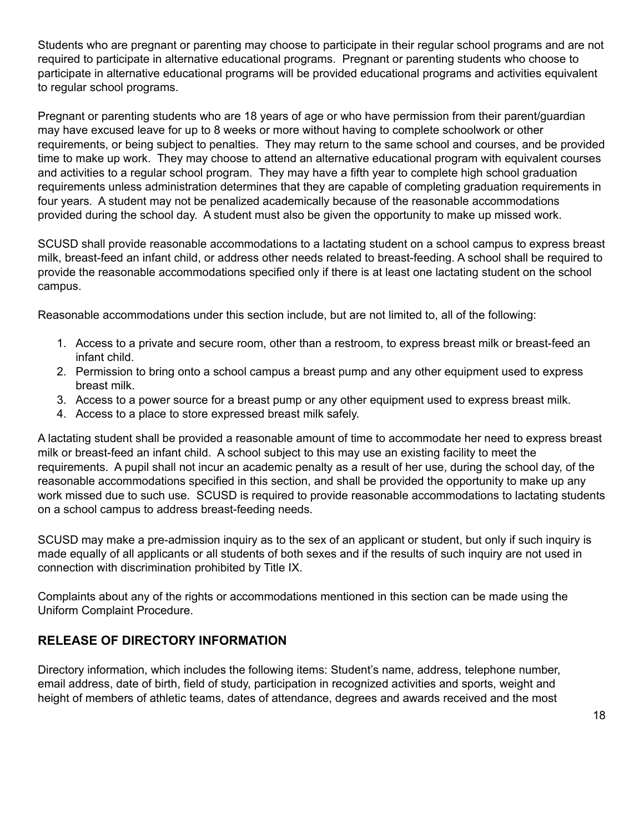Students who are pregnant or parenting may choose to participate in their regular school programs and are not required to participate in alternative educational programs. Pregnant or parenting students who choose to participate in alternative educational programs will be provided educational programs and activities equivalent to regular school programs.

Pregnant or parenting students who are 18 years of age or who have permission from their parent/guardian may have excused leave for up to 8 weeks or more without having to complete schoolwork or other requirements, or being subject to penalties. They may return to the same school and courses, and be provided time to make up work. They may choose to attend an alternative educational program with equivalent courses and activities to a regular school program. They may have a fifth year to complete high school graduation requirements unless administration determines that they are capable of completing graduation requirements in four years. A student may not be penalized academically because of the reasonable accommodations provided during the school day. A student must also be given the opportunity to make up missed work.

SCUSD shall provide reasonable accommodations to a lactating student on a school campus to express breast milk, breast-feed an infant child, or address other needs related to breast-feeding. A school shall be required to provide the reasonable accommodations specified only if there is at least one lactating student on the school campus.

Reasonable accommodations under this section include, but are not limited to, all of the following:

- 1. Access to a private and secure room, other than a restroom, to express breast milk or breast-feed an infant child.
- 2. Permission to bring onto a school campus a breast pump and any other equipment used to express breast milk.
- 3. Access to a power source for a breast pump or any other equipment used to express breast milk.
- 4. Access to a place to store expressed breast milk safely.

A lactating student shall be provided a reasonable amount of time to accommodate her need to express breast milk or breast-feed an infant child. A school subject to this may use an existing facility to meet the requirements. A pupil shall not incur an academic penalty as a result of her use, during the school day, of the reasonable accommodations specified in this section, and shall be provided the opportunity to make up any work missed due to such use. SCUSD is required to provide reasonable accommodations to lactating students on a school campus to address breast-feeding needs.

SCUSD may make a pre-admission inquiry as to the sex of an applicant or student, but only if such inquiry is made equally of all applicants or all students of both sexes and if the results of such inquiry are not used in connection with discrimination prohibited by Title IX.

Complaints about any of the rights or accommodations mentioned in this section can be made using the Uniform Complaint Procedure.

# **RELEASE OF DIRECTORY INFORMATION**

Directory information, which includes the following items: Student's name, address, telephone number, email address, date of birth, field of study, participation in recognized activities and sports, weight and height of members of athletic teams, dates of attendance, degrees and awards received and the most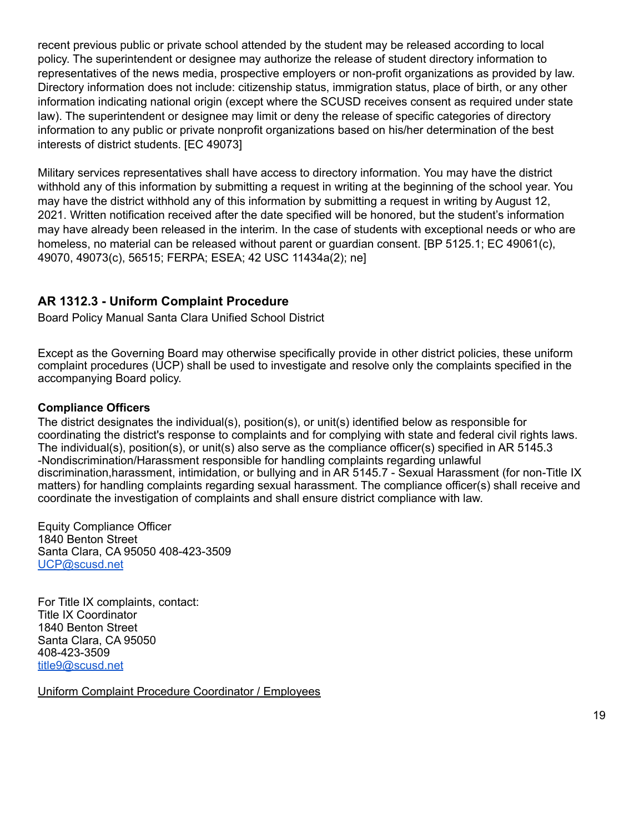recent previous public or private school attended by the student may be released according to local policy. The superintendent or designee may authorize the release of student directory information to representatives of the news media, prospective employers or non-profit organizations as provided by law. Directory information does not include: citizenship status, immigration status, place of birth, or any other information indicating national origin (except where the SCUSD receives consent as required under state law). The superintendent or designee may limit or deny the release of specific categories of directory information to any public or private nonprofit organizations based on his/her determination of the best interests of district students. [EC 49073]

Military services representatives shall have access to directory information. You may have the district withhold any of this information by submitting a request in writing at the beginning of the school year. You may have the district withhold any of this information by submitting a request in writing by August 12, 2021. Written notification received after the date specified will be honored, but the student's information may have already been released in the interim. In the case of students with exceptional needs or who are homeless, no material can be released without parent or guardian consent. [BP 5125.1; EC 49061(c), 49070, 49073(c), 56515; FERPA; ESEA; 42 USC 11434a(2); ne]

## **AR 1312.3 - Uniform Complaint Procedure**

Board Policy Manual Santa Clara Unified School District

Except as the Governing Board may otherwise specifically provide in other district policies, these uniform complaint procedures (UCP) shall be used to investigate and resolve only the complaints specified in the accompanying Board policy.

#### **Compliance Officers**

The district designates the individual(s), position(s), or unit(s) identified below as responsible for coordinating the district's response to complaints and for complying with state and federal civil rights laws. The individual(s), position(s), or unit(s) also serve as the compliance officer(s) specified in AR 5145.3 -Nondiscrimination/Harassment responsible for handling complaints regarding unlawful discrimination,harassment, intimidation, or bullying and in AR 5145.7 - Sexual Harassment (for non-Title IX matters) for handling complaints regarding sexual harassment. The compliance officer(s) shall receive and coordinate the investigation of complaints and shall ensure district compliance with law.

Equity Compliance Officer 1840 Benton Street Santa Clara, CA 95050 408-423-3509 [UCP@scusd.net](mailto:UCP@scusd.net)

For Title IX complaints, contact: Title IX Coordinator 1840 Benton Street Santa Clara, CA 95050 408-423-3509 [title9@scusd.net](mailto:title9@scusd.net)

Uniform Complaint Procedure Coordinator / Employees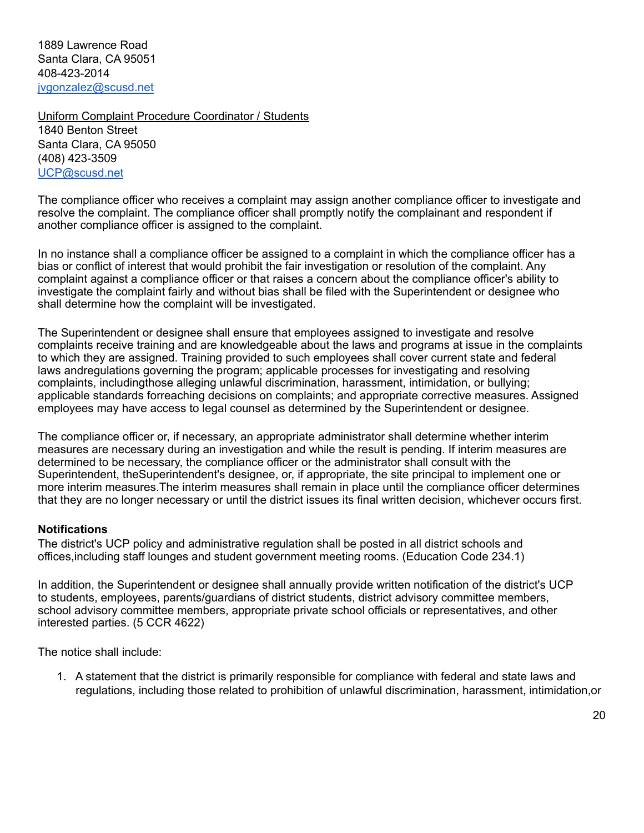1889 Lawrence Road Santa Clara, CA 95051 408-423-2014 [jvgonzalez@scusd.net](mailto:jvgonzalez@scusd.net)

Uniform Complaint Procedure Coordinator / Students 1840 Benton Street Santa Clara, CA 95050 (408) 423-3509 [UCP@scusd.net](mailto:UCP@scusd.net)

The compliance officer who receives a complaint may assign another compliance officer to investigate and resolve the complaint. The compliance officer shall promptly notify the complainant and respondent if another compliance officer is assigned to the complaint.

In no instance shall a compliance officer be assigned to a complaint in which the compliance officer has a bias or conflict of interest that would prohibit the fair investigation or resolution of the complaint. Any complaint against a compliance officer or that raises a concern about the compliance officer's ability to investigate the complaint fairly and without bias shall be filed with the Superintendent or designee who shall determine how the complaint will be investigated.

The Superintendent or designee shall ensure that employees assigned to investigate and resolve complaints receive training and are knowledgeable about the laws and programs at issue in the complaints to which they are assigned. Training provided to such employees shall cover current state and federal laws andregulations governing the program; applicable processes for investigating and resolving complaints, includingthose alleging unlawful discrimination, harassment, intimidation, or bullying; applicable standards forreaching decisions on complaints; and appropriate corrective measures. Assigned employees may have access to legal counsel as determined by the Superintendent or designee.

The compliance officer or, if necessary, an appropriate administrator shall determine whether interim measures are necessary during an investigation and while the result is pending. If interim measures are determined to be necessary, the compliance officer or the administrator shall consult with the Superintendent, theSuperintendent's designee, or, if appropriate, the site principal to implement one or more interim measures.The interim measures shall remain in place until the compliance officer determines that they are no longer necessary or until the district issues its final written decision, whichever occurs first.

#### **Notifications**

The district's UCP policy and administrative regulation shall be posted in all district schools and offices,including staff lounges and student government meeting rooms. (Education Code 234.1)

In addition, the Superintendent or designee shall annually provide written notification of the district's UCP to students, employees, parents/guardians of district students, district advisory committee members, school advisory committee members, appropriate private school officials or representatives, and other interested parties. (5 CCR 4622)

The notice shall include:

1. A statement that the district is primarily responsible for compliance with federal and state laws and regulations, including those related to prohibition of unlawful discrimination, harassment, intimidation,or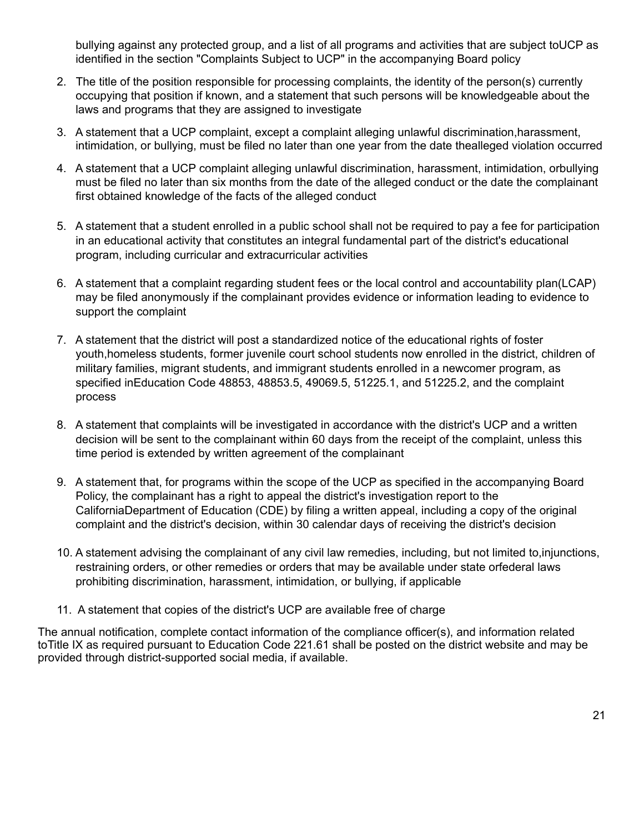bullying against any protected group, and a list of all programs and activities that are subject toUCP as identified in the section "Complaints Subject to UCP" in the accompanying Board policy

- 2. The title of the position responsible for processing complaints, the identity of the person(s) currently occupying that position if known, and a statement that such persons will be knowledgeable about the laws and programs that they are assigned to investigate
- 3. A statement that a UCP complaint, except a complaint alleging unlawful discrimination,harassment, intimidation, or bullying, must be filed no later than one year from the date thealleged violation occurred
- 4. A statement that a UCP complaint alleging unlawful discrimination, harassment, intimidation, orbullying must be filed no later than six months from the date of the alleged conduct or the date the complainant first obtained knowledge of the facts of the alleged conduct
- 5. A statement that a student enrolled in a public school shall not be required to pay a fee for participation in an educational activity that constitutes an integral fundamental part of the district's educational program, including curricular and extracurricular activities
- 6. A statement that a complaint regarding student fees or the local control and accountability plan(LCAP) may be filed anonymously if the complainant provides evidence or information leading to evidence to support the complaint
- 7. A statement that the district will post a standardized notice of the educational rights of foster youth,homeless students, former juvenile court school students now enrolled in the district, children of military families, migrant students, and immigrant students enrolled in a newcomer program, as specified inEducation Code 48853, 48853.5, 49069.5, 51225.1, and 51225.2, and the complaint process
- 8. A statement that complaints will be investigated in accordance with the district's UCP and a written decision will be sent to the complainant within 60 days from the receipt of the complaint, unless this time period is extended by written agreement of the complainant
- 9. A statement that, for programs within the scope of the UCP as specified in the accompanying Board Policy, the complainant has a right to appeal the district's investigation report to the CaliforniaDepartment of Education (CDE) by filing a written appeal, including a copy of the original complaint and the district's decision, within 30 calendar days of receiving the district's decision
- 10. A statement advising the complainant of any civil law remedies, including, but not limited to,injunctions, restraining orders, or other remedies or orders that may be available under state orfederal laws prohibiting discrimination, harassment, intimidation, or bullying, if applicable
- 11. A statement that copies of the district's UCP are available free of charge

The annual notification, complete contact information of the compliance officer(s), and information related toTitle IX as required pursuant to Education Code 221.61 shall be posted on the district website and may be provided through district-supported social media, if available.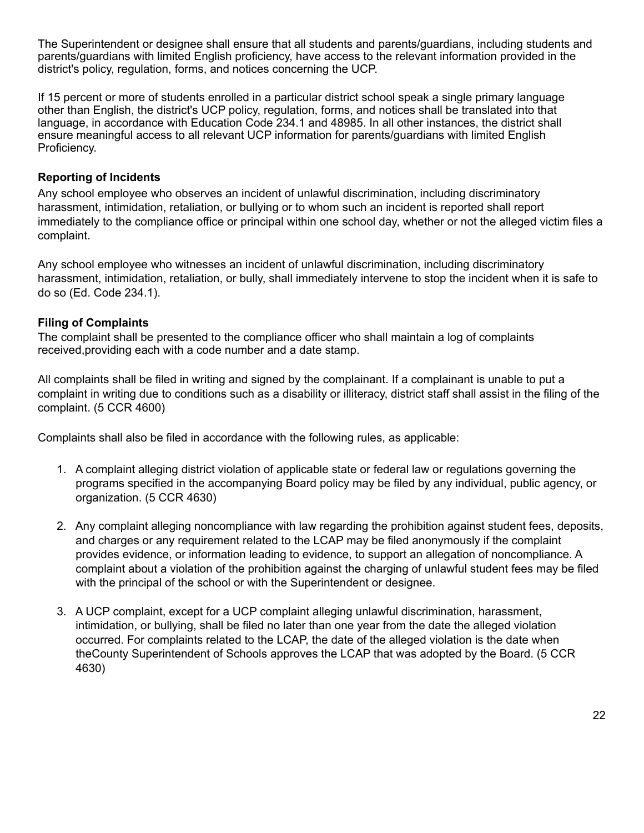The Superintendent or designee shall ensure that all students and parents/guardians, including students and parents/guardians with limited English proficiency, have access to the relevant information provided in the district's policy, regulation, forms, and notices concerning the UCP.

If 15 percent or more of students enrolled in a particular district school speak a single primary language other than English, the district's UCP policy, regulation, forms, and notices shall be translated into that language, in accordance with Education Code 234.1 and 48985. In all other instances, the district shall ensure meaningful access to all relevant UCP information for parents/guardians with limited English Proficiency.

## **Reporting of Incidents**

Any school employee who observes an incident of unlawful discrimination, including discriminatory harassment, intimidation, retaliation, or bullying or to whom such an incident is reported shall report immediately to the compliance office or principal within one school day, whether or not the alleged victim files a complaint.

Any school employee who witnesses an incident of unlawful discrimination, including discriminatory harassment, intimidation, retaliation, or bully, shall immediately intervene to stop the incident when it is safe to do so (Ed. Code 234.1).

## **Filing of Complaints**

The complaint shall be presented to the compliance officer who shall maintain a log of complaints received,providing each with a code number and a date stamp.

All complaints shall be filed in writing and signed by the complainant. If a complainant is unable to put a complaint in writing due to conditions such as a disability or illiteracy, district staff shall assist in the filing of the complaint. (5 CCR 4600)

Complaints shall also be filed in accordance with the following rules, as applicable:

- 1. A complaint alleging district violation of applicable state or federal law or regulations governing the programs specified in the accompanying Board policy may be filed by any individual, public agency, or organization. (5 CCR 4630)
- 2. Any complaint alleging noncompliance with law regarding the prohibition against student fees, deposits, and charges or any requirement related to the LCAP may be filed anonymously if the complaint provides evidence, or information leading to evidence, to support an allegation of noncompliance. A complaint about a violation of the prohibition against the charging of unlawful student fees may be filed with the principal of the school or with the Superintendent or designee.
- 3. A UCP complaint, except for a UCP complaint alleging unlawful discrimination, harassment, intimidation, or bullying, shall be filed no later than one year from the date the alleged violation occurred. For complaints related to the LCAP, the date of the alleged violation is the date when theCounty Superintendent of Schools approves the LCAP that was adopted by the Board. (5 CCR 4630)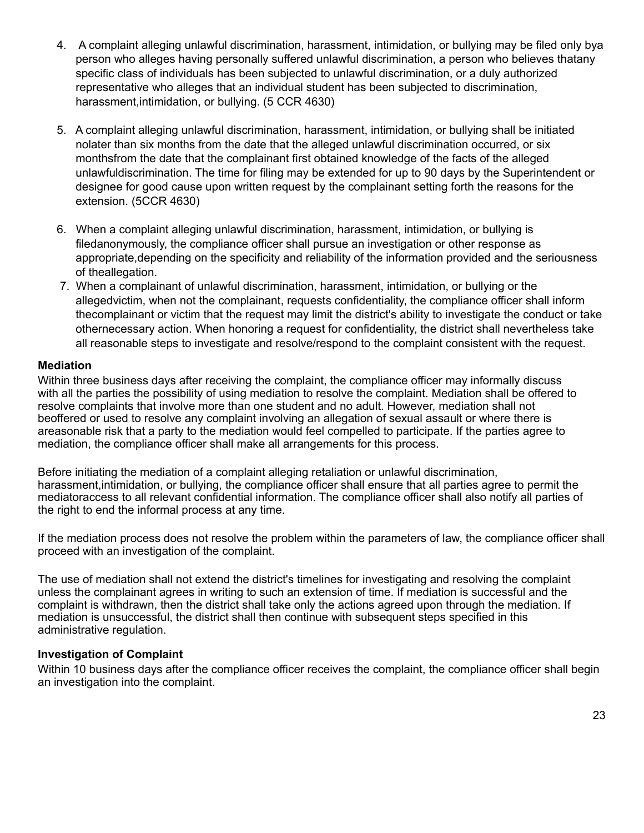- 4. A complaint alleging unlawful discrimination, harassment, intimidation, or bullying may be filed only bya person who alleges having personally suffered unlawful discrimination, a person who believes thatany specific class of individuals has been subjected to unlawful discrimination, or a duly authorized representative who alleges that an individual student has been subjected to discrimination, harassment,intimidation, or bullying. (5 CCR 4630)
- 5. A complaint alleging unlawful discrimination, harassment, intimidation, or bullying shall be initiated nolater than six months from the date that the alleged unlawful discrimination occurred, or six monthsfrom the date that the complainant first obtained knowledge of the facts of the alleged unlawfuldiscrimination. The time for filing may be extended for up to 90 days by the Superintendent or designee for good cause upon written request by the complainant setting forth the reasons for the extension. (5CCR 4630)
- 6. When a complaint alleging unlawful discrimination, harassment, intimidation, or bullying is filedanonymously, the compliance officer shall pursue an investigation or other response as appropriate,depending on the specificity and reliability of the information provided and the seriousness of theallegation.
- 7. When a complainant of unlawful discrimination, harassment, intimidation, or bullying or the allegedvictim, when not the complainant, requests confidentiality, the compliance officer shall inform thecomplainant or victim that the request may limit the district's ability to investigate the conduct or take othernecessary action. When honoring a request for confidentiality, the district shall nevertheless take all reasonable steps to investigate and resolve/respond to the complaint consistent with the request.

#### **Mediation**

Within three business days after receiving the complaint, the compliance officer may informally discuss with all the parties the possibility of using mediation to resolve the complaint. Mediation shall be offered to resolve complaints that involve more than one student and no adult. However, mediation shall not beoffered or used to resolve any complaint involving an allegation of sexual assault or where there is areasonable risk that a party to the mediation would feel compelled to participate. If the parties agree to mediation, the compliance officer shall make all arrangements for this process.

Before initiating the mediation of a complaint alleging retaliation or unlawful discrimination, harassment,intimidation, or bullying, the compliance officer shall ensure that all parties agree to permit the mediatoraccess to all relevant confidential information. The compliance officer shall also notify all parties of the right to end the informal process at any time.

If the mediation process does not resolve the problem within the parameters of law, the compliance officer shall proceed with an investigation of the complaint.

The use of mediation shall not extend the district's timelines for investigating and resolving the complaint unless the complainant agrees in writing to such an extension of time. If mediation is successful and the complaint is withdrawn, then the district shall take only the actions agreed upon through the mediation. If mediation is unsuccessful, the district shall then continue with subsequent steps specified in this administrative regulation.

#### **Investigation of Complaint**

Within 10 business days after the compliance officer receives the complaint, the compliance officer shall begin an investigation into the complaint.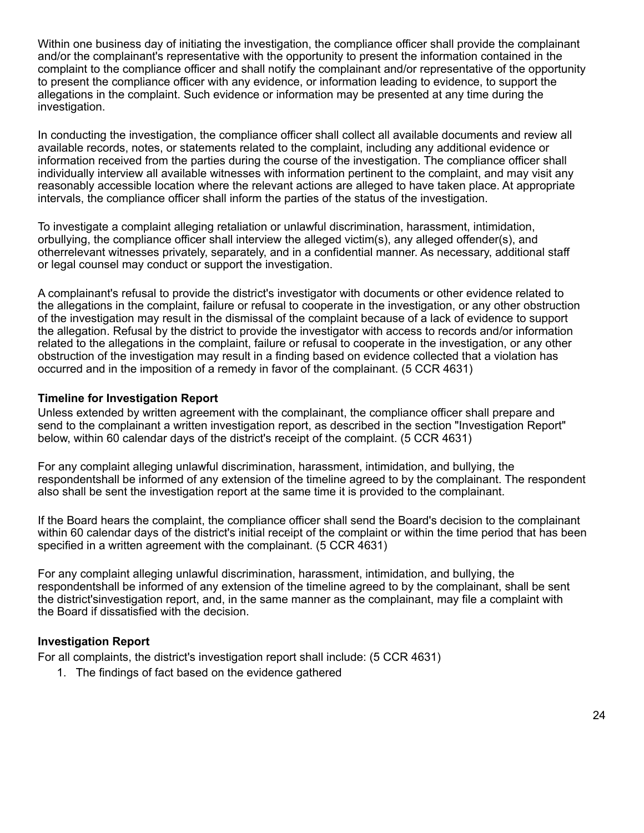Within one business day of initiating the investigation, the compliance officer shall provide the complainant and/or the complainant's representative with the opportunity to present the information contained in the complaint to the compliance officer and shall notify the complainant and/or representative of the opportunity to present the compliance officer with any evidence, or information leading to evidence, to support the allegations in the complaint. Such evidence or information may be presented at any time during the investigation.

In conducting the investigation, the compliance officer shall collect all available documents and review all available records, notes, or statements related to the complaint, including any additional evidence or information received from the parties during the course of the investigation. The compliance officer shall individually interview all available witnesses with information pertinent to the complaint, and may visit any reasonably accessible location where the relevant actions are alleged to have taken place. At appropriate intervals, the compliance officer shall inform the parties of the status of the investigation.

To investigate a complaint alleging retaliation or unlawful discrimination, harassment, intimidation, orbullying, the compliance officer shall interview the alleged victim(s), any alleged offender(s), and otherrelevant witnesses privately, separately, and in a confidential manner. As necessary, additional staff or legal counsel may conduct or support the investigation.

A complainant's refusal to provide the district's investigator with documents or other evidence related to the allegations in the complaint, failure or refusal to cooperate in the investigation, or any other obstruction of the investigation may result in the dismissal of the complaint because of a lack of evidence to support the allegation. Refusal by the district to provide the investigator with access to records and/or information related to the allegations in the complaint, failure or refusal to cooperate in the investigation, or any other obstruction of the investigation may result in a finding based on evidence collected that a violation has occurred and in the imposition of a remedy in favor of the complainant. (5 CCR 4631)

#### **Timeline for Investigation Report**

Unless extended by written agreement with the complainant, the compliance officer shall prepare and send to the complainant a written investigation report, as described in the section "Investigation Report" below, within 60 calendar days of the district's receipt of the complaint. (5 CCR 4631)

For any complaint alleging unlawful discrimination, harassment, intimidation, and bullying, the respondentshall be informed of any extension of the timeline agreed to by the complainant. The respondent also shall be sent the investigation report at the same time it is provided to the complainant.

If the Board hears the complaint, the compliance officer shall send the Board's decision to the complainant within 60 calendar days of the district's initial receipt of the complaint or within the time period that has been specified in a written agreement with the complainant. (5 CCR 4631)

For any complaint alleging unlawful discrimination, harassment, intimidation, and bullying, the respondentshall be informed of any extension of the timeline agreed to by the complainant, shall be sent the district'sinvestigation report, and, in the same manner as the complainant, may file a complaint with the Board if dissatisfied with the decision.

#### **Investigation Report**

For all complaints, the district's investigation report shall include: (5 CCR 4631)

1. The findings of fact based on the evidence gathered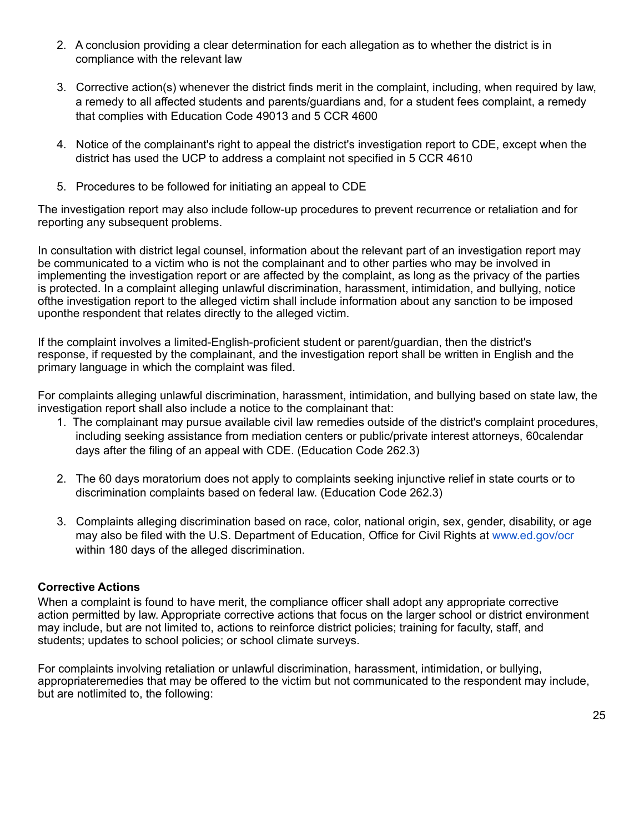- 2. A conclusion providing a clear determination for each allegation as to whether the district is in compliance with the relevant law
- 3. Corrective action(s) whenever the district finds merit in the complaint, including, when required by law, a remedy to all affected students and parents/guardians and, for a student fees complaint, a remedy that complies with Education Code 49013 and 5 CCR 4600
- 4. Notice of the complainant's right to appeal the district's investigation report to CDE, except when the district has used the UCP to address a complaint not specified in 5 CCR 4610
- 5. Procedures to be followed for initiating an appeal to CDE

The investigation report may also include follow-up procedures to prevent recurrence or retaliation and for reporting any subsequent problems.

In consultation with district legal counsel, information about the relevant part of an investigation report may be communicated to a victim who is not the complainant and to other parties who may be involved in implementing the investigation report or are affected by the complaint, as long as the privacy of the parties is protected. In a complaint alleging unlawful discrimination, harassment, intimidation, and bullying, notice ofthe investigation report to the alleged victim shall include information about any sanction to be imposed uponthe respondent that relates directly to the alleged victim.

If the complaint involves a limited-English-proficient student or parent/guardian, then the district's response, if requested by the complainant, and the investigation report shall be written in English and the primary language in which the complaint was filed.

For complaints alleging unlawful discrimination, harassment, intimidation, and bullying based on state law, the investigation report shall also include a notice to the complainant that:

- 1. The complainant may pursue available civil law remedies outside of the district's complaint procedures, including seeking assistance from mediation centers or public/private interest attorneys, 60calendar days after the filing of an appeal with CDE. (Education Code 262.3)
- 2. The 60 days moratorium does not apply to complaints seeking injunctive relief in state courts or to discrimination complaints based on federal law. (Education Code 262.3)
- 3. Complaints alleging discrimination based on race, color, national origin, sex, gender, disability, or age may also be filed with the U.S. Department of Education, Office for Civil Rights at [www.ed.gov/ocr](http://www.ed.gov/ocr) within 180 days of the alleged discrimination.

## **Corrective Actions**

When a complaint is found to have merit, the compliance officer shall adopt any appropriate corrective action permitted by law. Appropriate corrective actions that focus on the larger school or district environment may include, but are not limited to, actions to reinforce district policies; training for faculty, staff, and students; updates to school policies; or school climate surveys.

For complaints involving retaliation or unlawful discrimination, harassment, intimidation, or bullying, appropriateremedies that may be offered to the victim but not communicated to the respondent may include, but are notlimited to, the following: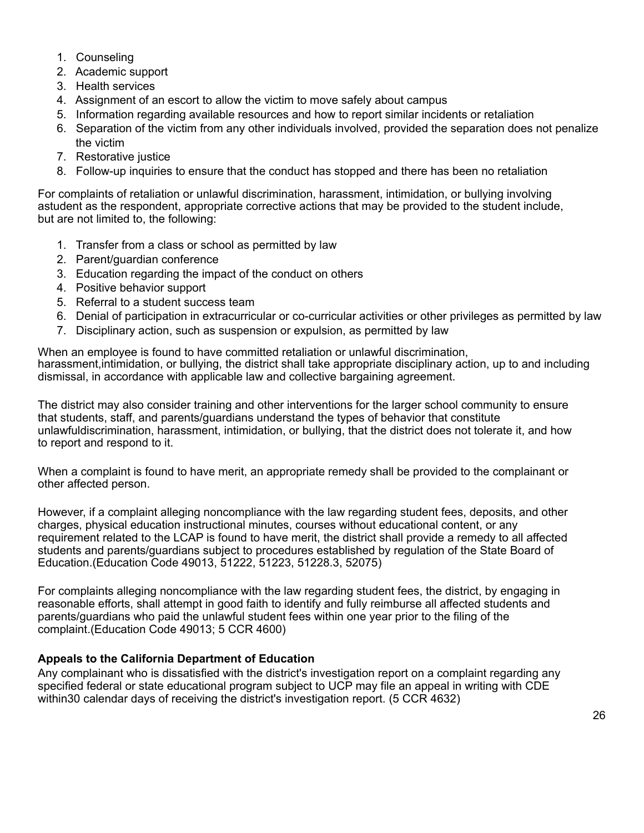- 1. Counseling
- 2. Academic support
- 3. Health services
- 4. Assignment of an escort to allow the victim to move safely about campus
- 5. Information regarding available resources and how to report similar incidents or retaliation
- 6. Separation of the victim from any other individuals involved, provided the separation does not penalize the victim
- 7. Restorative justice
- 8. Follow-up inquiries to ensure that the conduct has stopped and there has been no retaliation

For complaints of retaliation or unlawful discrimination, harassment, intimidation, or bullying involving astudent as the respondent, appropriate corrective actions that may be provided to the student include, but are not limited to, the following:

- 1. Transfer from a class or school as permitted by law
- 2. Parent/guardian conference
- 3. Education regarding the impact of the conduct on others
- 4. Positive behavior support
- 5. Referral to a student success team
- 6. Denial of participation in extracurricular or co-curricular activities or other privileges as permitted by law
- 7. Disciplinary action, such as suspension or expulsion, as permitted by law

When an employee is found to have committed retaliation or unlawful discrimination, harassment,intimidation, or bullying, the district shall take appropriate disciplinary action, up to and including dismissal, in accordance with applicable law and collective bargaining agreement.

The district may also consider training and other interventions for the larger school community to ensure that students, staff, and parents/guardians understand the types of behavior that constitute unlawfuldiscrimination, harassment, intimidation, or bullying, that the district does not tolerate it, and how to report and respond to it.

When a complaint is found to have merit, an appropriate remedy shall be provided to the complainant or other affected person.

However, if a complaint alleging noncompliance with the law regarding student fees, deposits, and other charges, physical education instructional minutes, courses without educational content, or any requirement related to the LCAP is found to have merit, the district shall provide a remedy to all affected students and parents/guardians subject to procedures established by regulation of the State Board of Education.(Education Code 49013, 51222, 51223, 51228.3, 52075)

For complaints alleging noncompliance with the law regarding student fees, the district, by engaging in reasonable efforts, shall attempt in good faith to identify and fully reimburse all affected students and parents/guardians who paid the unlawful student fees within one year prior to the filing of the complaint.(Education Code 49013; 5 CCR 4600)

#### **Appeals to the California Department of Education**

Any complainant who is dissatisfied with the district's investigation report on a complaint regarding any specified federal or state educational program subject to UCP may file an appeal in writing with CDE within30 calendar days of receiving the district's investigation report. (5 CCR 4632)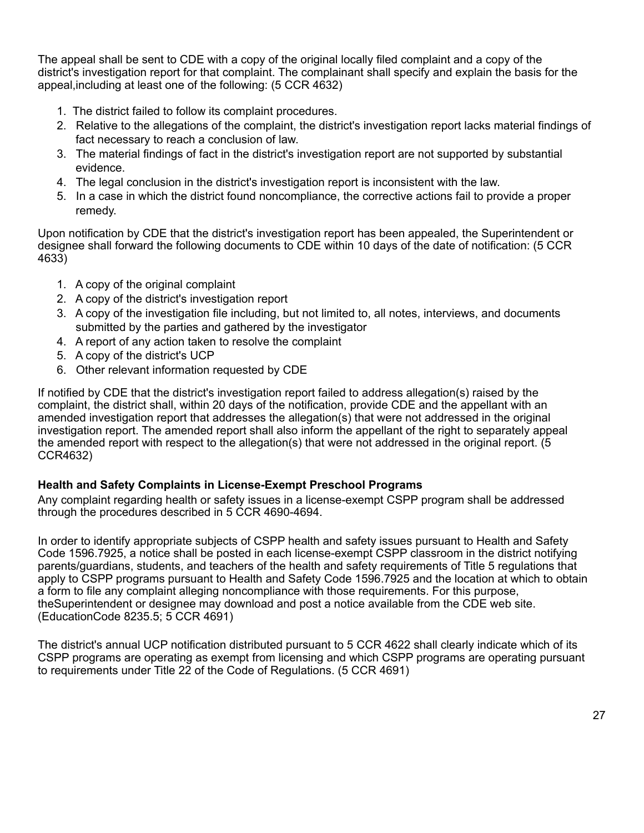The appeal shall be sent to CDE with a copy of the original locally filed complaint and a copy of the district's investigation report for that complaint. The complainant shall specify and explain the basis for the appeal,including at least one of the following: (5 CCR 4632)

- 1. The district failed to follow its complaint procedures.
- 2. Relative to the allegations of the complaint, the district's investigation report lacks material findings of fact necessary to reach a conclusion of law.
- 3. The material findings of fact in the district's investigation report are not supported by substantial evidence.
- 4. The legal conclusion in the district's investigation report is inconsistent with the law.
- 5. In a case in which the district found noncompliance, the corrective actions fail to provide a proper remedy.

Upon notification by CDE that the district's investigation report has been appealed, the Superintendent or designee shall forward the following documents to CDE within 10 days of the date of notification: (5 CCR 4633)

- 1. A copy of the original complaint
- 2. A copy of the district's investigation report
- 3. A copy of the investigation file including, but not limited to, all notes, interviews, and documents submitted by the parties and gathered by the investigator
- 4. A report of any action taken to resolve the complaint
- 5. A copy of the district's UCP
- 6. Other relevant information requested by CDE

If notified by CDE that the district's investigation report failed to address allegation(s) raised by the complaint, the district shall, within 20 days of the notification, provide CDE and the appellant with an amended investigation report that addresses the allegation(s) that were not addressed in the original investigation report. The amended report shall also inform the appellant of the right to separately appeal the amended report with respect to the allegation(s) that were not addressed in the original report. (5 CCR4632)

#### **Health and Safety Complaints in License-Exempt Preschool Programs**

Any complaint regarding health or safety issues in a license-exempt CSPP program shall be addressed through the procedures described in 5 CCR 4690-4694.

In order to identify appropriate subjects of CSPP health and safety issues pursuant to Health and Safety Code 1596.7925, a notice shall be posted in each license-exempt CSPP classroom in the district notifying parents/guardians, students, and teachers of the health and safety requirements of Title 5 regulations that apply to CSPP programs pursuant to Health and Safety Code 1596.7925 and the location at which to obtain a form to file any complaint alleging noncompliance with those requirements. For this purpose, theSuperintendent or designee may download and post a notice available from the CDE web site. (EducationCode 8235.5; 5 CCR 4691)

The district's annual UCP notification distributed pursuant to 5 CCR 4622 shall clearly indicate which of its CSPP programs are operating as exempt from licensing and which CSPP programs are operating pursuant to requirements under Title 22 of the Code of Regulations. (5 CCR 4691)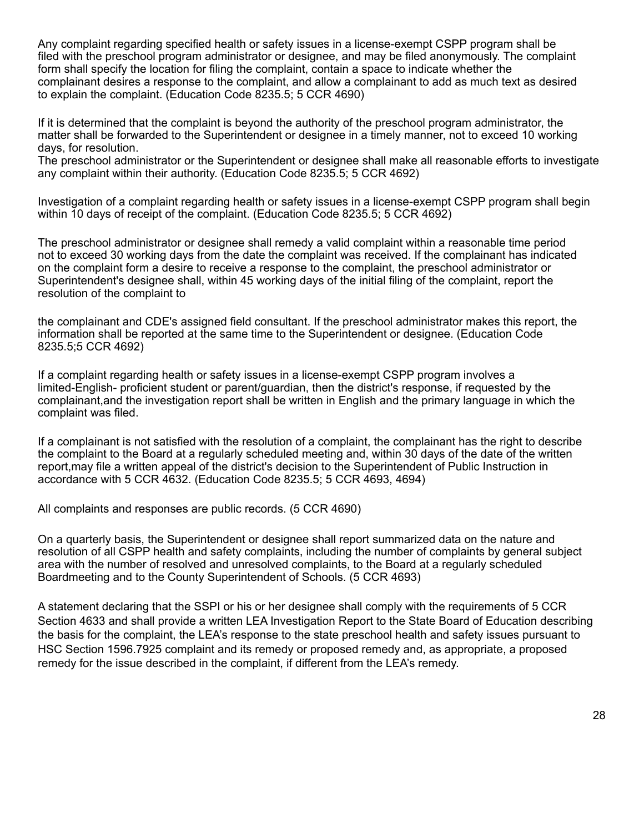Any complaint regarding specified health or safety issues in a license-exempt CSPP program shall be filed with the preschool program administrator or designee, and may be filed anonymously. The complaint form shall specify the location for filing the complaint, contain a space to indicate whether the complainant desires a response to the complaint, and allow a complainant to add as much text as desired to explain the complaint. (Education Code 8235.5; 5 CCR 4690)

If it is determined that the complaint is beyond the authority of the preschool program administrator, the matter shall be forwarded to the Superintendent or designee in a timely manner, not to exceed 10 working days, for resolution.

The preschool administrator or the Superintendent or designee shall make all reasonable efforts to investigate any complaint within their authority. (Education Code 8235.5; 5 CCR 4692)

Investigation of a complaint regarding health or safety issues in a license-exempt CSPP program shall begin within 10 days of receipt of the complaint. (Education Code 8235.5; 5 CCR 4692)

The preschool administrator or designee shall remedy a valid complaint within a reasonable time period not to exceed 30 working days from the date the complaint was received. If the complainant has indicated on the complaint form a desire to receive a response to the complaint, the preschool administrator or Superintendent's designee shall, within 45 working days of the initial filing of the complaint, report the resolution of the complaint to

the complainant and CDE's assigned field consultant. If the preschool administrator makes this report, the information shall be reported at the same time to the Superintendent or designee. (Education Code 8235.5;5 CCR 4692)

If a complaint regarding health or safety issues in a license-exempt CSPP program involves a limited-English- proficient student or parent/guardian, then the district's response, if requested by the complainant,and the investigation report shall be written in English and the primary language in which the complaint was filed.

If a complainant is not satisfied with the resolution of a complaint, the complainant has the right to describe the complaint to the Board at a regularly scheduled meeting and, within 30 days of the date of the written report,may file a written appeal of the district's decision to the Superintendent of Public Instruction in accordance with 5 CCR 4632. (Education Code 8235.5; 5 CCR 4693, 4694)

All complaints and responses are public records. (5 CCR 4690)

On a quarterly basis, the Superintendent or designee shall report summarized data on the nature and resolution of all CSPP health and safety complaints, including the number of complaints by general subject area with the number of resolved and unresolved complaints, to the Board at a regularly scheduled Boardmeeting and to the County Superintendent of Schools. (5 CCR 4693)

A statement declaring that the SSPI or his or her designee shall comply with the requirements of 5 CCR Section 4633 and shall provide a written LEA Investigation Report to the State Board of Education describing the basis for the complaint, the LEA's response to the state preschool health and safety issues pursuant to HSC Section 1596.7925 complaint and its remedy or proposed remedy and, as appropriate, a proposed remedy for the issue described in the complaint, if different from the LEA's remedy.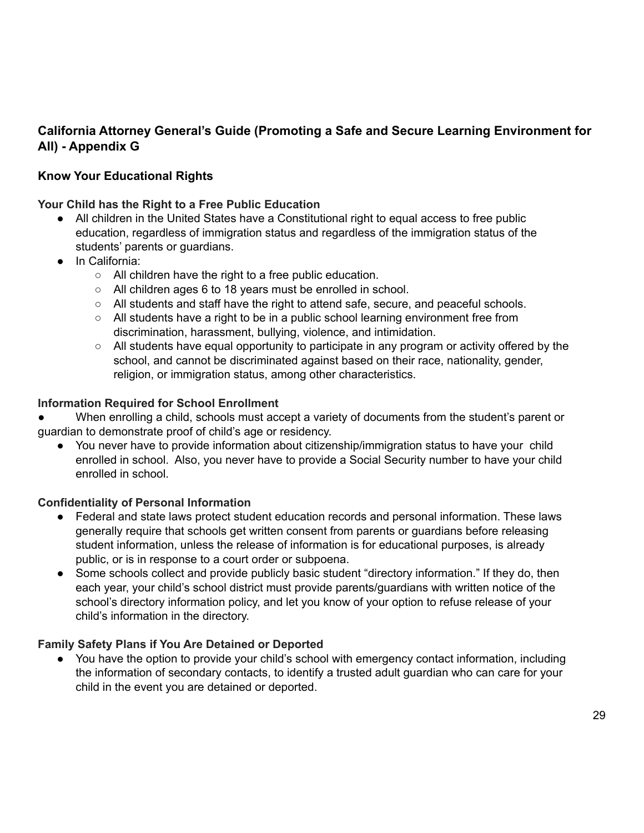# **California Attorney General's Guide (Promoting a Safe and Secure Learning Environment for All) - Appendix G**

# **Know Your Educational Rights**

**Your Child has the Right to a Free Public Education**

- All children in the United States have a Constitutional right to equal access to free public education, regardless of immigration status and regardless of the immigration status of the students' parents or guardians.
- In California:
	- All children have the right to a free public education.
	- All children ages 6 to 18 years must be enrolled in school.
	- All students and staff have the right to attend safe, secure, and peaceful schools.
	- All students have a right to be in a public school learning environment free from discrimination, harassment, bullying, violence, and intimidation.
	- $\circ$  All students have equal opportunity to participate in any program or activity offered by the school, and cannot be discriminated against based on their race, nationality, gender, religion, or immigration status, among other characteristics.

## **Information Required for School Enrollment**

When enrolling a child, schools must accept a variety of documents from the student's parent or guardian to demonstrate proof of child's age or residency.

● You never have to provide information about citizenship/immigration status to have your child enrolled in school. Also, you never have to provide a Social Security number to have your child enrolled in school.

#### **Confidentiality of Personal Information**

- Federal and state laws protect student education records and personal information. These laws generally require that schools get written consent from parents or guardians before releasing student information, unless the release of information is for educational purposes, is already public, or is in response to a court order or subpoena.
- Some schools collect and provide publicly basic student "directory information." If they do, then each year, your child's school district must provide parents/guardians with written notice of the school's directory information policy, and let you know of your option to refuse release of your child's information in the directory.

## **Family Safety Plans if You Are Detained or Deported**

● You have the option to provide your child's school with emergency contact information, including the information of secondary contacts, to identify a trusted adult guardian who can care for your child in the event you are detained or deported.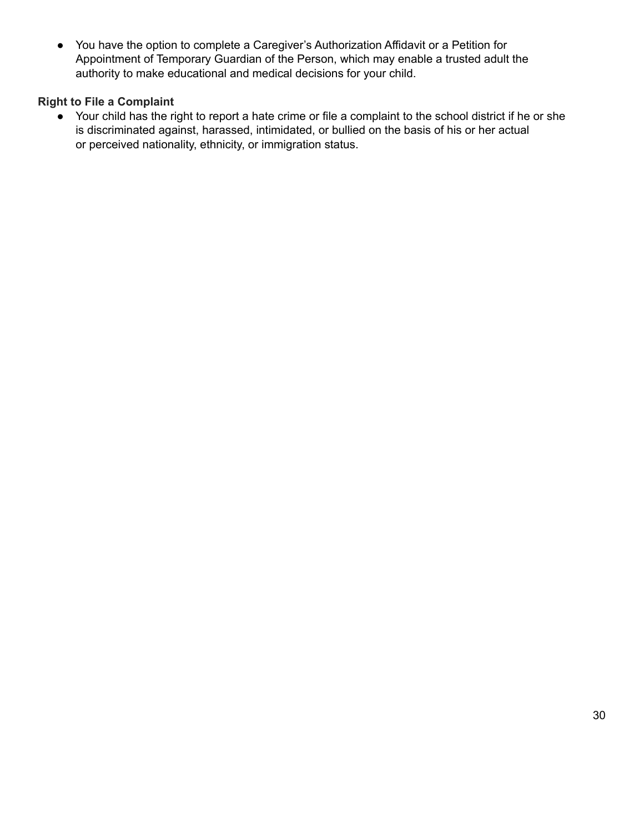● You have the option to complete a Caregiver's Authorization Affidavit or a Petition for Appointment of Temporary Guardian of the Person, which may enable a trusted adult the authority to make educational and medical decisions for your child.

## **Right to File a Complaint**

● Your child has the right to report a hate crime or file a complaint to the school district if he or she is discriminated against, harassed, intimidated, or bullied on the basis of his or her actual or perceived nationality, ethnicity, or immigration status.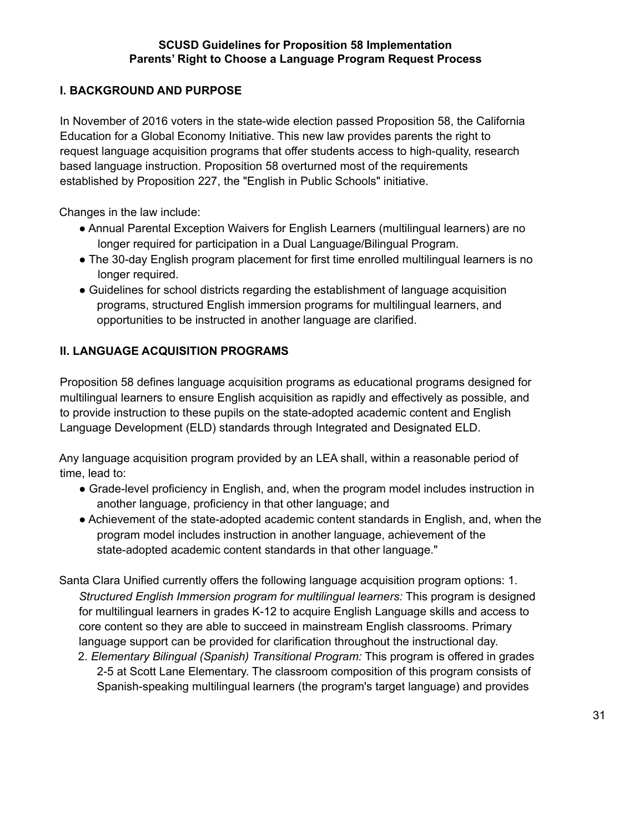## **SCUSD Guidelines for Proposition 58 Implementation Parents' Right to Choose a Language Program Request Process**

## **I. BACKGROUND AND PURPOSE**

In November of 2016 voters in the state-wide election passed Proposition 58, the California Education for a Global Economy Initiative. This new law provides parents the right to request language acquisition programs that offer students access to high-quality, research based language instruction. Proposition 58 overturned most of the requirements established by Proposition 227, the "English in Public Schools" initiative.

Changes in the law include:

- Annual Parental Exception Waivers for English Learners (multilingual learners) are no longer required for participation in a Dual Language/Bilingual Program.
- The 30-day English program placement for first time enrolled multilingual learners is no longer required.
- Guidelines for school districts regarding the establishment of language acquisition programs, structured English immersion programs for multilingual learners, and opportunities to be instructed in another language are clarified.

## **II. LANGUAGE ACQUISITION PROGRAMS**

Proposition 58 defines language acquisition programs as educational programs designed for multilingual learners to ensure English acquisition as rapidly and effectively as possible, and to provide instruction to these pupils on the state-adopted academic content and English Language Development (ELD) standards through Integrated and Designated ELD.

Any language acquisition program provided by an LEA shall, within a reasonable period of time, lead to:

- Grade-level proficiency in English, and, when the program model includes instruction in another language, proficiency in that other language; and
- Achievement of the state-adopted academic content standards in English, and, when the program model includes instruction in another language, achievement of the state-adopted academic content standards in that other language."

Santa Clara Unified currently offers the following language acquisition program options: 1. *Structured English Immersion program for multilingual learners:* This program is designed for multilingual learners in grades K-12 to acquire English Language skills and access to core content so they are able to succeed in mainstream English classrooms. Primary language support can be provided for clarification throughout the instructional day.

2. *Elementary Bilingual (Spanish) Transitional Program:* This program is offered in grades 2-5 at Scott Lane Elementary. The classroom composition of this program consists of Spanish-speaking multilingual learners (the program's target language) and provides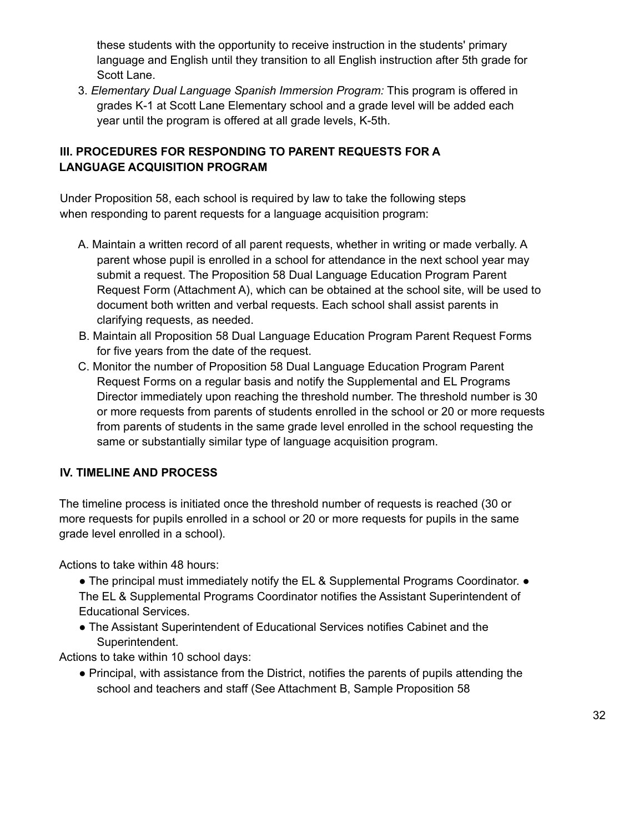these students with the opportunity to receive instruction in the students' primary language and English until they transition to all English instruction after 5th grade for Scott Lane.

3. *Elementary Dual Language Spanish Immersion Program:* This program is offered in grades K-1 at Scott Lane Elementary school and a grade level will be added each year until the program is offered at all grade levels, K-5th.

# **III. PROCEDURES FOR RESPONDING TO PARENT REQUESTS FOR A LANGUAGE ACQUISITION PROGRAM**

Under Proposition 58, each school is required by law to take the following steps when responding to parent requests for a language acquisition program:

- A. Maintain a written record of all parent requests, whether in writing or made verbally. A parent whose pupil is enrolled in a school for attendance in the next school year may submit a request. The Proposition 58 Dual Language Education Program Parent Request Form (Attachment A), which can be obtained at the school site, will be used to document both written and verbal requests. Each school shall assist parents in clarifying requests, as needed.
- B. Maintain all Proposition 58 Dual Language Education Program Parent Request Forms for five years from the date of the request.
- C. Monitor the number of Proposition 58 Dual Language Education Program Parent Request Forms on a regular basis and notify the Supplemental and EL Programs Director immediately upon reaching the threshold number. The threshold number is 30 or more requests from parents of students enrolled in the school or 20 or more requests from parents of students in the same grade level enrolled in the school requesting the same or substantially similar type of language acquisition program.

## **IV. TIMELINE AND PROCESS**

The timeline process is initiated once the threshold number of requests is reached (30 or more requests for pupils enrolled in a school or 20 or more requests for pupils in the same grade level enrolled in a school).

Actions to take within 48 hours:

- The principal must immediately notify the EL & Supplemental Programs Coordinator. The EL & Supplemental Programs Coordinator notifies the Assistant Superintendent of Educational Services.
- The Assistant Superintendent of Educational Services notifies Cabinet and the Superintendent.

Actions to take within 10 school days:

● Principal, with assistance from the District, notifies the parents of pupils attending the school and teachers and staff (See Attachment B, Sample Proposition 58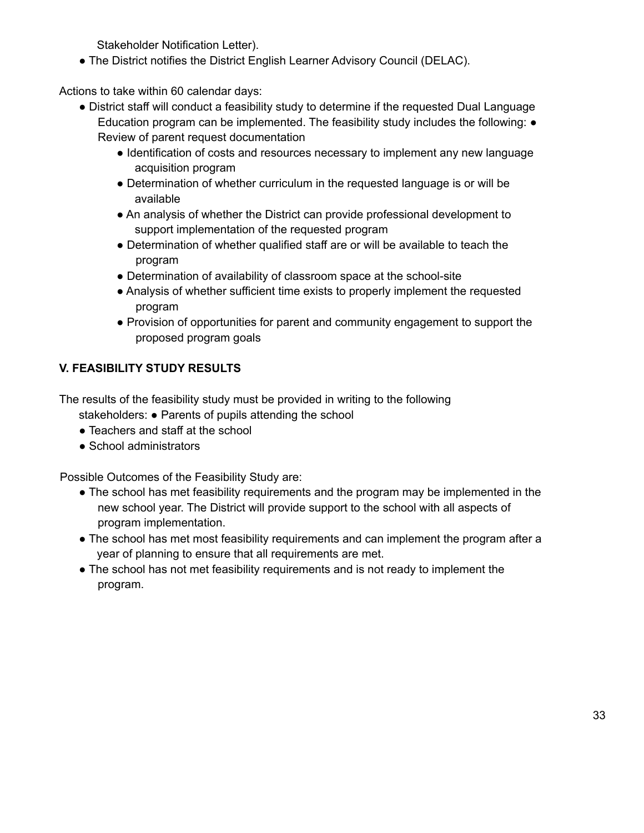Stakeholder Notification Letter).

● The District notifies the District English Learner Advisory Council (DELAC).

Actions to take within 60 calendar days:

- District staff will conduct a feasibility study to determine if the requested Dual Language Education program can be implemented. The feasibility study includes the following: ● Review of parent request documentation
	- Identification of costs and resources necessary to implement any new language acquisition program
	- Determination of whether curriculum in the requested language is or will be available
	- An analysis of whether the District can provide professional development to support implementation of the requested program
	- Determination of whether qualified staff are or will be available to teach the program
	- Determination of availability of classroom space at the school-site
	- Analysis of whether sufficient time exists to properly implement the requested program
	- Provision of opportunities for parent and community engagement to support the proposed program goals

# **V. FEASIBILITY STUDY RESULTS**

The results of the feasibility study must be provided in writing to the following stakeholders: ● Parents of pupils attending the school

- Teachers and staff at the school
- School administrators

Possible Outcomes of the Feasibility Study are:

- The school has met feasibility requirements and the program may be implemented in the new school year. The District will provide support to the school with all aspects of program implementation.
- The school has met most feasibility requirements and can implement the program after a year of planning to ensure that all requirements are met.
- The school has not met feasibility requirements and is not ready to implement the program.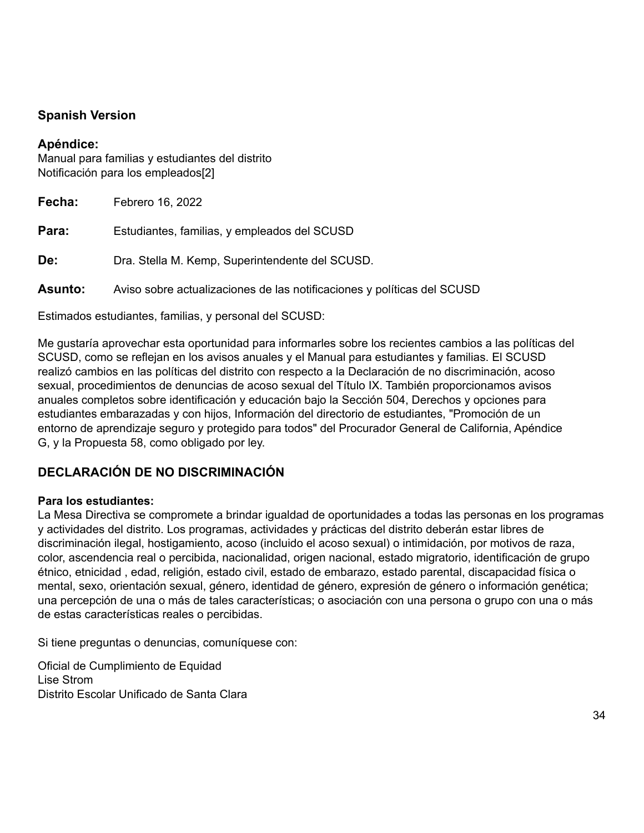# <span id="page-33-0"></span>**Spanish Version**

## **Apéndice:**

Manual para familias y estudiantes del distrito Notificación para los empleados[2]

| Fecha:         | Febrero 16, 2022                                                        |
|----------------|-------------------------------------------------------------------------|
| Para:          | Estudiantes, familias, y empleados del SCUSD                            |
| De:            | Dra. Stella M. Kemp, Superintendente del SCUSD.                         |
| <b>Asunto:</b> | Aviso sobre actualizaciones de las notificaciones y políticas del SCUSD |
|                |                                                                         |

Estimados estudiantes, familias, y personal del SCUSD:

Me gustaría aprovechar esta oportunidad para informarles sobre los recientes cambios a las políticas del SCUSD, como se reflejan en los avisos anuales y el Manual para estudiantes y familias. El SCUSD realizó cambios en las políticas del distrito con respecto a la Declaración de no discriminación, acoso sexual, procedimientos de denuncias de acoso sexual del Título IX. También proporcionamos avisos anuales completos sobre identificación y educación bajo la Sección 504, Derechos y opciones para estudiantes embarazadas y con hijos, Información del directorio de estudiantes, "Promoción de un entorno de aprendizaje seguro y protegido para todos" del Procurador General de California, Apéndice G, y la Propuesta 58, como obligado por ley.

# **DECLARACIÓN DE NO DISCRIMINACIÓN**

## **Para los estudiantes:**

La Mesa Directiva se compromete a brindar igualdad de oportunidades a todas las personas en los programas y actividades del distrito. Los programas, actividades y prácticas del distrito deberán estar libres de discriminación ilegal, hostigamiento, acoso (incluido el acoso sexual) o intimidación, por motivos de raza, color, ascendencia real o percibida, nacionalidad, origen nacional, estado migratorio, identificación de grupo étnico, etnicidad , edad, religión, estado civil, estado de embarazo, estado parental, discapacidad física o mental, sexo, orientación sexual, género, identidad de género, expresión de género o información genética; una percepción de una o más de tales características; o asociación con una persona o grupo con una o más de estas características reales o percibidas.

Si tiene preguntas o denuncias, comuníquese con:

Oficial de Cumplimiento de Equidad Lise Strom Distrito Escolar Unificado de Santa Clara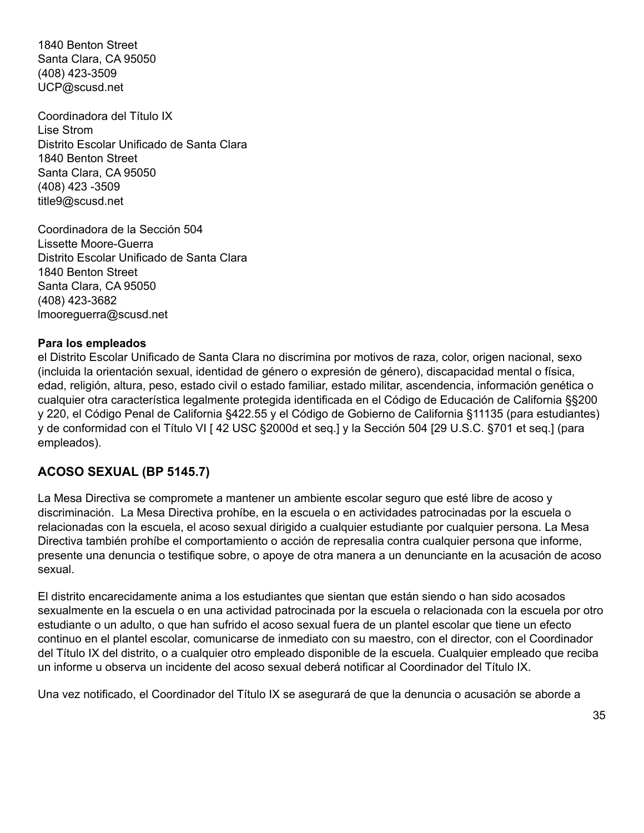1840 Benton Street Santa Clara, CA 95050 (408) 423-3509 UCP@scusd.net

Coordinadora del Título IX Lise Strom Distrito Escolar Unificado de Santa Clara 1840 Benton Street Santa Clara, CA 95050 (408) 423 -3509 title9@scusd.net

Coordinadora de la Sección 504 Lissette Moore-Guerra Distrito Escolar Unificado de Santa Clara 1840 Benton Street Santa Clara, CA 95050 (408) 423-3682 lmooreguerra@scusd.net

#### **Para los empleados**

el Distrito Escolar Unificado de Santa Clara no discrimina por motivos de raza, color, origen nacional, sexo (incluida la orientación sexual, identidad de género o expresión de género), discapacidad mental o física, edad, religión, altura, peso, estado civil o estado familiar, estado militar, ascendencia, información genética o cualquier otra característica legalmente protegida identificada en el Código de Educación de California §§200 y 220, el Código Penal de California §422.55 y el Código de Gobierno de California §11135 (para estudiantes) y de conformidad con el Título VI [ 42 USC §2000d et seq.] y la Sección 504 [29 U.S.C. §701 et seq.] (para empleados).

#### **ACOSO SEXUAL (BP 5145.7)**

La Mesa Directiva se compromete a mantener un ambiente escolar seguro que esté libre de acoso y discriminación. La Mesa Directiva prohíbe, en la escuela o en actividades patrocinadas por la escuela o relacionadas con la escuela, el acoso sexual dirigido a cualquier estudiante por cualquier persona. La Mesa Directiva también prohíbe el comportamiento o acción de represalia contra cualquier persona que informe, presente una denuncia o testifique sobre, o apoye de otra manera a un denunciante en la acusación de acoso sexual.

El distrito encarecidamente anima a los estudiantes que sientan que están siendo o han sido acosados sexualmente en la escuela o en una actividad patrocinada por la escuela o relacionada con la escuela por otro estudiante o un adulto, o que han sufrido el acoso sexual fuera de un plantel escolar que tiene un efecto continuo en el plantel escolar, comunicarse de inmediato con su maestro, con el director, con el Coordinador del Título IX del distrito, o a cualquier otro empleado disponible de la escuela. Cualquier empleado que reciba un informe u observa un incidente del acoso sexual deberá notificar al Coordinador del Título IX.

Una vez notificado, el Coordinador del Título IX se asegurará de que la denuncia o acusación se aborde a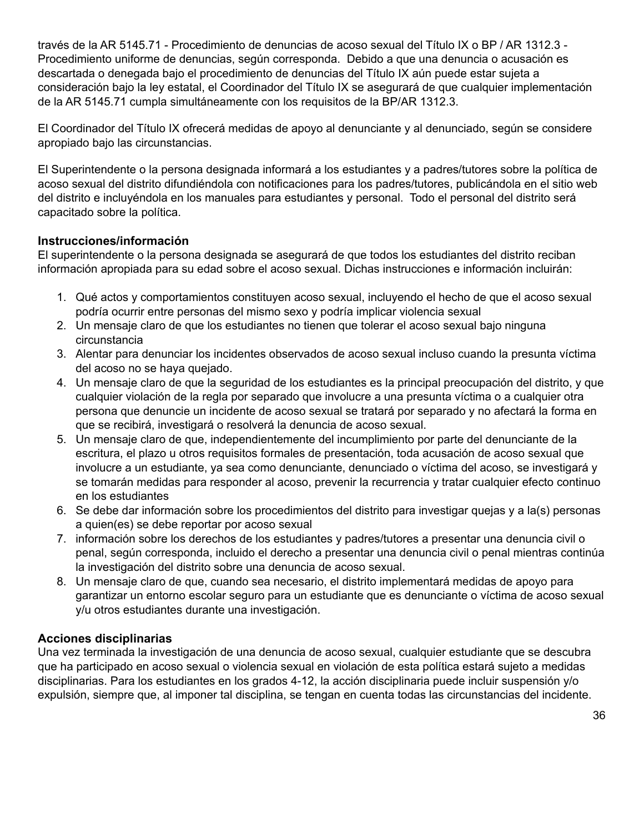través de la AR 5145.71 - Procedimiento de denuncias de acoso sexual del Título IX o BP / AR 1312.3 - Procedimiento uniforme de denuncias, según corresponda. Debido a que una denuncia o acusación es descartada o denegada bajo el procedimiento de denuncias del Título IX aún puede estar sujeta a consideración bajo la ley estatal, el Coordinador del Título IX se asegurará de que cualquier implementación de la AR 5145.71 cumpla simultáneamente con los requisitos de la BP/AR 1312.3.

El Coordinador del Título IX ofrecerá medidas de apoyo al denunciante y al denunciado, según se considere apropiado bajo las circunstancias.

El Superintendente o la persona designada informará a los estudiantes y a padres/tutores sobre la política de acoso sexual del distrito difundiéndola con notificaciones para los padres/tutores, publicándola en el sitio web del distrito e incluyéndola en los manuales para estudiantes y personal. Todo el personal del distrito será capacitado sobre la política.

## **Instrucciones/información**

El superintendente o la persona designada se asegurará de que todos los estudiantes del distrito reciban información apropiada para su edad sobre el acoso sexual. Dichas instrucciones e información incluirán:

- 1. Qué actos y comportamientos constituyen acoso sexual, incluyendo el hecho de que el acoso sexual podría ocurrir entre personas del mismo sexo y podría implicar violencia sexual
- 2. Un mensaje claro de que los estudiantes no tienen que tolerar el acoso sexual bajo ninguna circunstancia
- 3. Alentar para denunciar los incidentes observados de acoso sexual incluso cuando la presunta víctima del acoso no se haya quejado.
- 4. Un mensaje claro de que la seguridad de los estudiantes es la principal preocupación del distrito, y que cualquier violación de la regla por separado que involucre a una presunta víctima o a cualquier otra persona que denuncie un incidente de acoso sexual se tratará por separado y no afectará la forma en que se recibirá, investigará o resolverá la denuncia de acoso sexual.
- 5. Un mensaje claro de que, independientemente del incumplimiento por parte del denunciante de la escritura, el plazo u otros requisitos formales de presentación, toda acusación de acoso sexual que involucre a un estudiante, ya sea como denunciante, denunciado o víctima del acoso, se investigará y se tomarán medidas para responder al acoso, prevenir la recurrencia y tratar cualquier efecto continuo en los estudiantes
- 6. Se debe dar información sobre los procedimientos del distrito para investigar quejas y a la(s) personas a quien(es) se debe reportar por acoso sexual
- 7. información sobre los derechos de los estudiantes y padres/tutores a presentar una denuncia civil o penal, según corresponda, incluido el derecho a presentar una denuncia civil o penal mientras continúa la investigación del distrito sobre una denuncia de acoso sexual.
- 8. Un mensaje claro de que, cuando sea necesario, el distrito implementará medidas de apoyo para garantizar un entorno escolar seguro para un estudiante que es denunciante o víctima de acoso sexual y/u otros estudiantes durante una investigación.

## **Acciones disciplinarias**

Una vez terminada la investigación de una denuncia de acoso sexual, cualquier estudiante que se descubra que ha participado en acoso sexual o violencia sexual en violación de esta política estará sujeto a medidas disciplinarias. Para los estudiantes en los grados 4-12, la acción disciplinaria puede incluir suspensión y/o expulsión, siempre que, al imponer tal disciplina, se tengan en cuenta todas las circunstancias del incidente.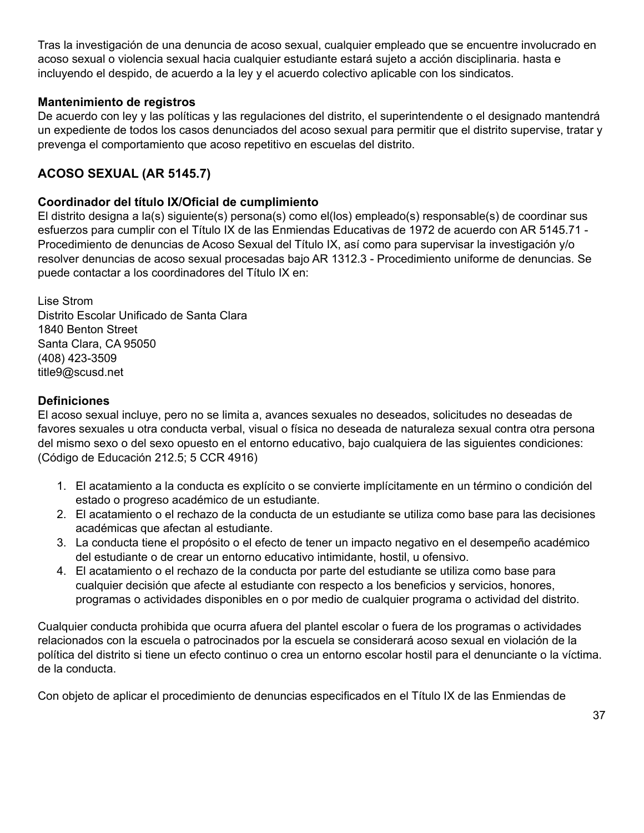Tras la investigación de una denuncia de acoso sexual, cualquier empleado que se encuentre involucrado en acoso sexual o violencia sexual hacia cualquier estudiante estará sujeto a acción disciplinaria. hasta e incluyendo el despido, de acuerdo a la ley y el acuerdo colectivo aplicable con los sindicatos.

## **Mantenimiento de registros**

De acuerdo con ley y las políticas y las regulaciones del distrito, el superintendente o el designado mantendrá un expediente de todos los casos denunciados del acoso sexual para permitir que el distrito supervise, tratar y prevenga el comportamiento que acoso repetitivo en escuelas del distrito.

# **ACOSO SEXUAL (AR 5145.7)**

## **Coordinador del título IX/Oficial de cumplimiento**

El distrito designa a la(s) siguiente(s) persona(s) como el(los) empleado(s) responsable(s) de coordinar sus esfuerzos para cumplir con el Título IX de las Enmiendas Educativas de 1972 de acuerdo con AR 5145.71 - Procedimiento de denuncias de Acoso Sexual del Título IX, así como para supervisar la investigación y/o resolver denuncias de acoso sexual procesadas bajo AR 1312.3 - Procedimiento uniforme de denuncias. Se puede contactar a los coordinadores del Título IX en:

Lise Strom Distrito Escolar Unificado de Santa Clara 1840 Benton Street Santa Clara, CA 95050 (408) 423-3509 title9@scusd.net

## **Definiciones**

El acoso sexual incluye, pero no se limita a, avances sexuales no deseados, solicitudes no deseadas de favores sexuales u otra conducta verbal, visual o física no deseada de naturaleza sexual contra otra persona del mismo sexo o del sexo opuesto en el entorno educativo, bajo cualquiera de las siguientes condiciones: (Código de Educación 212.5; 5 CCR 4916)

- 1. El acatamiento a la conducta es explícito o se convierte implícitamente en un término o condición del estado o progreso académico de un estudiante.
- 2. El acatamiento o el rechazo de la conducta de un estudiante se utiliza como base para las decisiones académicas que afectan al estudiante.
- 3. La conducta tiene el propósito o el efecto de tener un impacto negativo en el desempeño académico del estudiante o de crear un entorno educativo intimidante, hostil, u ofensivo.
- 4. El acatamiento o el rechazo de la conducta por parte del estudiante se utiliza como base para cualquier decisión que afecte al estudiante con respecto a los beneficios y servicios, honores, programas o actividades disponibles en o por medio de cualquier programa o actividad del distrito.

Cualquier conducta prohibida que ocurra afuera del plantel escolar o fuera de los programas o actividades relacionados con la escuela o patrocinados por la escuela se considerará acoso sexual en violación de la política del distrito si tiene un efecto continuo o crea un entorno escolar hostil para el denunciante o la víctima. de la conducta.

Con objeto de aplicar el procedimiento de denuncias especificados en el Título IX de las Enmiendas de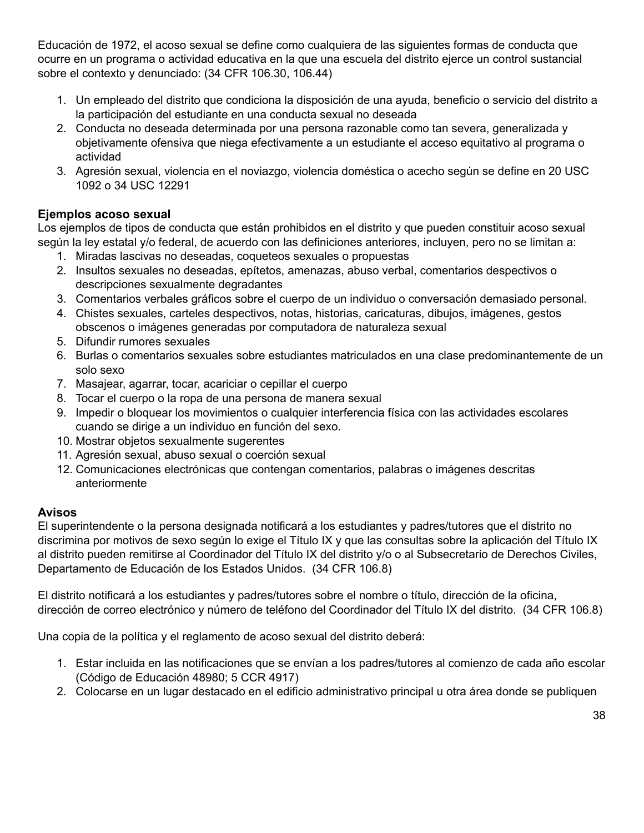Educación de 1972, el acoso sexual se define como cualquiera de las siguientes formas de conducta que ocurre en un programa o actividad educativa en la que una escuela del distrito ejerce un control sustancial sobre el contexto y denunciado: (34 CFR 106.30, 106.44)

- 1. Un empleado del distrito que condiciona la disposición de una ayuda, beneficio o servicio del distrito a la participación del estudiante en una conducta sexual no deseada
- 2. Conducta no deseada determinada por una persona razonable como tan severa, generalizada y objetivamente ofensiva que niega efectivamente a un estudiante el acceso equitativo al programa o actividad
- 3. Agresión sexual, violencia en el noviazgo, violencia doméstica o acecho según se define en 20 USC 1092 o 34 USC 12291

# **Ejemplos acoso sexual**

Los ejemplos de tipos de conducta que están prohibidos en el distrito y que pueden constituir acoso sexual según la ley estatal y/o federal, de acuerdo con las definiciones anteriores, incluyen, pero no se limitan a:

- 1. Miradas lascivas no deseadas, coqueteos sexuales o propuestas
- 2. Insultos sexuales no deseadas, epítetos, amenazas, abuso verbal, comentarios despectivos o descripciones sexualmente degradantes
- 3. Comentarios verbales gráficos sobre el cuerpo de un individuo o conversación demasiado personal.
- 4. Chistes sexuales, carteles despectivos, notas, historias, caricaturas, dibujos, imágenes, gestos obscenos o imágenes generadas por computadora de naturaleza sexual
- 5. Difundir rumores sexuales
- 6. Burlas o comentarios sexuales sobre estudiantes matriculados en una clase predominantemente de un solo sexo
- 7. Masajear, agarrar, tocar, acariciar o cepillar el cuerpo
- 8. Tocar el cuerpo o la ropa de una persona de manera sexual
- 9. Impedir o bloquear los movimientos o cualquier interferencia física con las actividades escolares cuando se dirige a un individuo en función del sexo.
- 10. Mostrar objetos sexualmente sugerentes
- 11. Agresión sexual, abuso sexual o coerción sexual
- 12. Comunicaciones electrónicas que contengan comentarios, palabras o imágenes descritas anteriormente

## **Avisos**

El superintendente o la persona designada notificará a los estudiantes y padres/tutores que el distrito no discrimina por motivos de sexo según lo exige el Título IX y que las consultas sobre la aplicación del Título IX al distrito pueden remitirse al Coordinador del Título IX del distrito y/o o al Subsecretario de Derechos Civiles, Departamento de Educación de los Estados Unidos. (34 CFR 106.8)

El distrito notificará a los estudiantes y padres/tutores sobre el nombre o título, dirección de la oficina, dirección de correo electrónico y número de teléfono del Coordinador del Título IX del distrito. (34 CFR 106.8)

Una copia de la política y el reglamento de acoso sexual del distrito deberá:

- 1. Estar incluida en las notificaciones que se envían a los padres/tutores al comienzo de cada año escolar (Código de Educación 48980; 5 CCR 4917)
- 2. Colocarse en un lugar destacado en el edificio administrativo principal u otra área donde se publiquen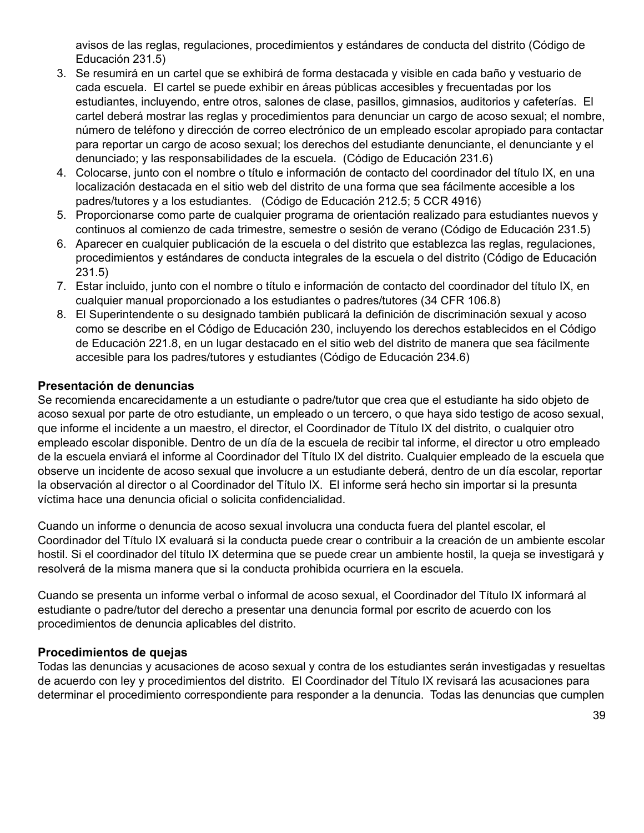avisos de las reglas, regulaciones, procedimientos y estándares de conducta del distrito (Código de Educación 231.5)

- 3. Se resumirá en un cartel que se exhibirá de forma destacada y visible en cada baño y vestuario de cada escuela. El cartel se puede exhibir en áreas públicas accesibles y frecuentadas por los estudiantes, incluyendo, entre otros, salones de clase, pasillos, gimnasios, auditorios y cafeterías. El cartel deberá mostrar las reglas y procedimientos para denunciar un cargo de acoso sexual; el nombre, número de teléfono y dirección de correo electrónico de un empleado escolar apropiado para contactar para reportar un cargo de acoso sexual; los derechos del estudiante denunciante, el denunciante y el denunciado; y las responsabilidades de la escuela. (Código de Educación 231.6)
- 4. Colocarse, junto con el nombre o título e información de contacto del coordinador del título IX, en una localización destacada en el sitio web del distrito de una forma que sea fácilmente accesible a los padres/tutores y a los estudiantes. (Código de Educación 212.5; 5 CCR 4916)
- 5. Proporcionarse como parte de cualquier programa de orientación realizado para estudiantes nuevos y continuos al comienzo de cada trimestre, semestre o sesión de verano (Código de Educación 231.5)
- 6. Aparecer en cualquier publicación de la escuela o del distrito que establezca las reglas, regulaciones, procedimientos y estándares de conducta integrales de la escuela o del distrito (Código de Educación 231.5)
- 7. Estar incluido, junto con el nombre o título e información de contacto del coordinador del título IX, en cualquier manual proporcionado a los estudiantes o padres/tutores (34 CFR 106.8)
- 8. El Superintendente o su designado también publicará la definición de discriminación sexual y acoso como se describe en el Código de Educación 230, incluyendo los derechos establecidos en el Código de Educación 221.8, en un lugar destacado en el sitio web del distrito de manera que sea fácilmente accesible para los padres/tutores y estudiantes (Código de Educación 234.6)

## **Presentación de denuncias**

Se recomienda encarecidamente a un estudiante o padre/tutor que crea que el estudiante ha sido objeto de acoso sexual por parte de otro estudiante, un empleado o un tercero, o que haya sido testigo de acoso sexual, que informe el incidente a un maestro, el director, el Coordinador de Título IX del distrito, o cualquier otro empleado escolar disponible. Dentro de un día de la escuela de recibir tal informe, el director u otro empleado de la escuela enviará el informe al Coordinador del Título IX del distrito. Cualquier empleado de la escuela que observe un incidente de acoso sexual que involucre a un estudiante deberá, dentro de un día escolar, reportar la observación al director o al Coordinador del Título IX. El informe será hecho sin importar si la presunta víctima hace una denuncia oficial o solicita confidencialidad.

Cuando un informe o denuncia de acoso sexual involucra una conducta fuera del plantel escolar, el Coordinador del Título IX evaluará si la conducta puede crear o contribuir a la creación de un ambiente escolar hostil. Si el coordinador del título IX determina que se puede crear un ambiente hostil, la queja se investigará y resolverá de la misma manera que si la conducta prohibida ocurriera en la escuela.

Cuando se presenta un informe verbal o informal de acoso sexual, el Coordinador del Título IX informará al estudiante o padre/tutor del derecho a presentar una denuncia formal por escrito de acuerdo con los procedimientos de denuncia aplicables del distrito.

#### **Procedimientos de quejas**

Todas las denuncias y acusaciones de acoso sexual y contra de los estudiantes serán investigadas y resueltas de acuerdo con ley y procedimientos del distrito. El Coordinador del Título IX revisará las acusaciones para determinar el procedimiento correspondiente para responder a la denuncia. Todas las denuncias que cumplen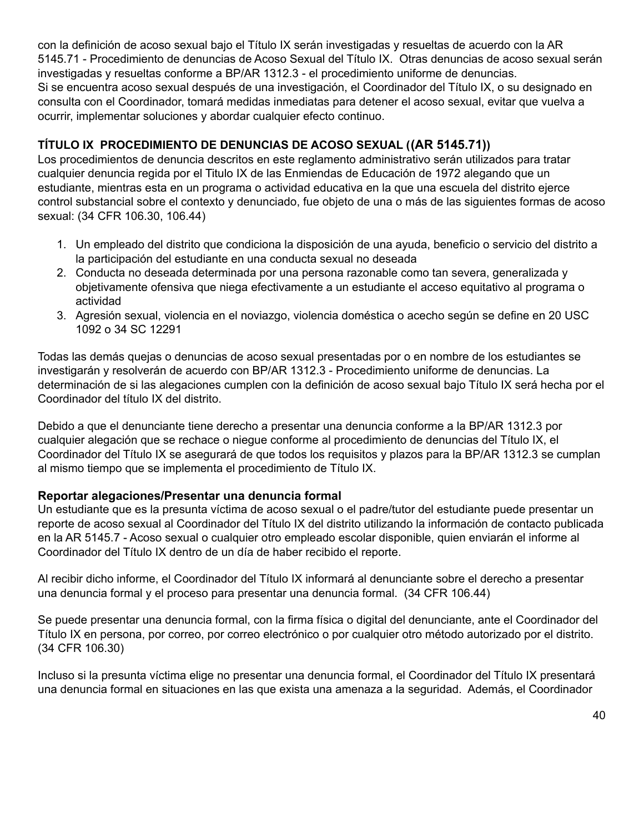con la definición de acoso sexual bajo el Título IX serán investigadas y resueltas de acuerdo con la AR 5145.71 - Procedimiento de denuncias de Acoso Sexual del Título IX. Otras denuncias de acoso sexual serán investigadas y resueltas conforme a BP/AR 1312.3 - el procedimiento uniforme de denuncias. Si se encuentra acoso sexual después de una investigación, el Coordinador del Título IX, o su designado en consulta con el Coordinador, tomará medidas inmediatas para detener el acoso sexual, evitar que vuelva a ocurrir, implementar soluciones y abordar cualquier efecto continuo.

# **TÍTULO IX PROCEDIMIENTO DE DENUNCIAS DE ACOSO SEXUAL ((AR 5145.71))**

Los procedimientos de denuncia descritos en este reglamento administrativo serán utilizados para tratar cualquier denuncia regida por el Titulo IX de las Enmiendas de Educación de 1972 alegando que un estudiante, mientras esta en un programa o actividad educativa en la que una escuela del distrito ejerce control substancial sobre el contexto y denunciado, fue objeto de una o más de las siguientes formas de acoso sexual: (34 CFR 106.30, 106.44)

- 1. Un empleado del distrito que condiciona la disposición de una ayuda, beneficio o servicio del distrito a la participación del estudiante en una conducta sexual no deseada
- 2. Conducta no deseada determinada por una persona razonable como tan severa, generalizada y objetivamente ofensiva que niega efectivamente a un estudiante el acceso equitativo al programa o actividad
- 3. Agresión sexual, violencia en el noviazgo, violencia doméstica o acecho según se define en 20 USC 1092 o 34 SC 12291

Todas las demás quejas o denuncias de acoso sexual presentadas por o en nombre de los estudiantes se investigarán y resolverán de acuerdo con BP/AR 1312.3 - Procedimiento uniforme de denuncias. La determinación de si las alegaciones cumplen con la definición de acoso sexual bajo Título IX será hecha por el Coordinador del título IX del distrito.

Debido a que el denunciante tiene derecho a presentar una denuncia conforme a la BP/AR 1312.3 por cualquier alegación que se rechace o niegue conforme al procedimiento de denuncias del Título IX, el Coordinador del Título IX se asegurará de que todos los requisitos y plazos para la BP/AR 1312.3 se cumplan al mismo tiempo que se implementa el procedimiento de Título IX.

## **Reportar alegaciones/Presentar una denuncia formal**

Un estudiante que es la presunta víctima de acoso sexual o el padre/tutor del estudiante puede presentar un reporte de acoso sexual al Coordinador del Título IX del distrito utilizando la información de contacto publicada en la AR 5145.7 - Acoso sexual o cualquier otro empleado escolar disponible, quien enviarán el informe al Coordinador del Título IX dentro de un día de haber recibido el reporte.

Al recibir dicho informe, el Coordinador del Título IX informará al denunciante sobre el derecho a presentar una denuncia formal y el proceso para presentar una denuncia formal. (34 CFR 106.44)

Se puede presentar una denuncia formal, con la firma física o digital del denunciante, ante el Coordinador del Título IX en persona, por correo, por correo electrónico o por cualquier otro método autorizado por el distrito. (34 CFR 106.30)

Incluso si la presunta víctima elige no presentar una denuncia formal, el Coordinador del Título IX presentará una denuncia formal en situaciones en las que exista una amenaza a la seguridad. Además, el Coordinador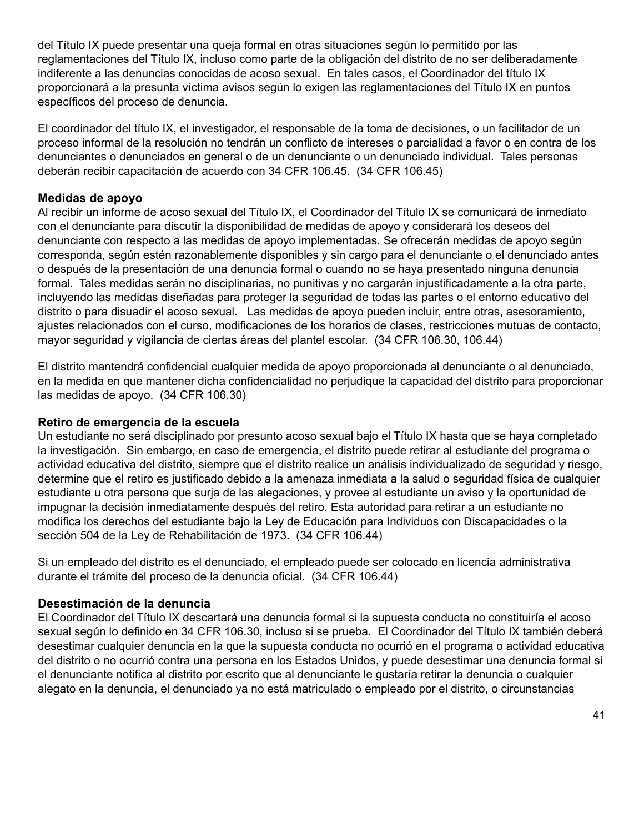del Título IX puede presentar una queja formal en otras situaciones según lo permitido por las reglamentaciones del Título IX, incluso como parte de la obligación del distrito de no ser deliberadamente indiferente a las denuncias conocidas de acoso sexual. En tales casos, el Coordinador del título IX proporcionará a la presunta víctima avisos según lo exigen las reglamentaciones del Título IX en puntos específicos del proceso de denuncia.

El coordinador del título IX, el investigador, el responsable de la toma de decisiones, o un facilitador de un proceso informal de la resolución no tendrán un conflicto de intereses o parcialidad a favor o en contra de los denunciantes o denunciados en general o de un denunciante o un denunciado individual. Tales personas deberán recibir capacitación de acuerdo con 34 CFR 106.45. (34 CFR 106.45)

#### **Medidas de apoyo**

Al recibir un informe de acoso sexual del Título IX, el Coordinador del Título IX se comunicará de inmediato con el denunciante para discutir la disponibilidad de medidas de apoyo y considerará los deseos del denunciante con respecto a las medidas de apoyo implementadas. Se ofrecerán medidas de apoyo según corresponda, según estén razonablemente disponibles y sin cargo para el denunciante o el denunciado antes o después de la presentación de una denuncia formal o cuando no se haya presentado ninguna denuncia formal. Tales medidas serán no disciplinarias, no punitivas y no cargarán injustificadamente a la otra parte, incluyendo las medidas diseñadas para proteger la seguridad de todas las partes o el entorno educativo del distrito o para disuadir el acoso sexual. Las medidas de apoyo pueden incluir, entre otras, asesoramiento, ajustes relacionados con el curso, modificaciones de los horarios de clases, restricciones mutuas de contacto, mayor seguridad y vigilancia de ciertas áreas del plantel escolar. (34 CFR 106.30, 106.44)

El distrito mantendrá confidencial cualquier medida de apoyo proporcionada al denunciante o al denunciado, en la medida en que mantener dicha confidencialidad no perjudique la capacidad del distrito para proporcionar las medidas de apoyo. (34 CFR 106.30)

#### **Retiro de emergencia de la escuela**

Un estudiante no será disciplinado por presunto acoso sexual bajo el Título IX hasta que se haya completado la investigación. Sin embargo, en caso de emergencia, el distrito puede retirar al estudiante del programa o actividad educativa del distrito, siempre que el distrito realice un análisis individualizado de seguridad y riesgo, determine que el retiro es justificado debido a la amenaza inmediata a la salud o seguridad física de cualquier estudiante u otra persona que surja de las alegaciones, y provee al estudiante un aviso y la oportunidad de impugnar la decisión inmediatamente después del retiro. Esta autoridad para retirar a un estudiante no modifica los derechos del estudiante bajo la Ley de Educación para Individuos con Discapacidades o la sección 504 de la Ley de Rehabilitación de 1973. (34 CFR 106.44)

Si un empleado del distrito es el denunciado, el empleado puede ser colocado en licencia administrativa durante el trámite del proceso de la denuncia oficial. (34 CFR 106.44)

#### **Desestimación de la denuncia**

El Coordinador del Título IX descartará una denuncia formal si la supuesta conducta no constituiría el acoso sexual según lo definido en 34 CFR 106.30, incluso si se prueba. El Coordinador del Título IX también deberá desestimar cualquier denuncia en la que la supuesta conducta no ocurrió en el programa o actividad educativa del distrito o no ocurrió contra una persona en los Estados Unidos, y puede desestimar una denuncia formal si el denunciante notifica al distrito por escrito que al denunciante le gustaría retirar la denuncia o cualquier alegato en la denuncia, el denunciado ya no está matriculado o empleado por el distrito, o circunstancias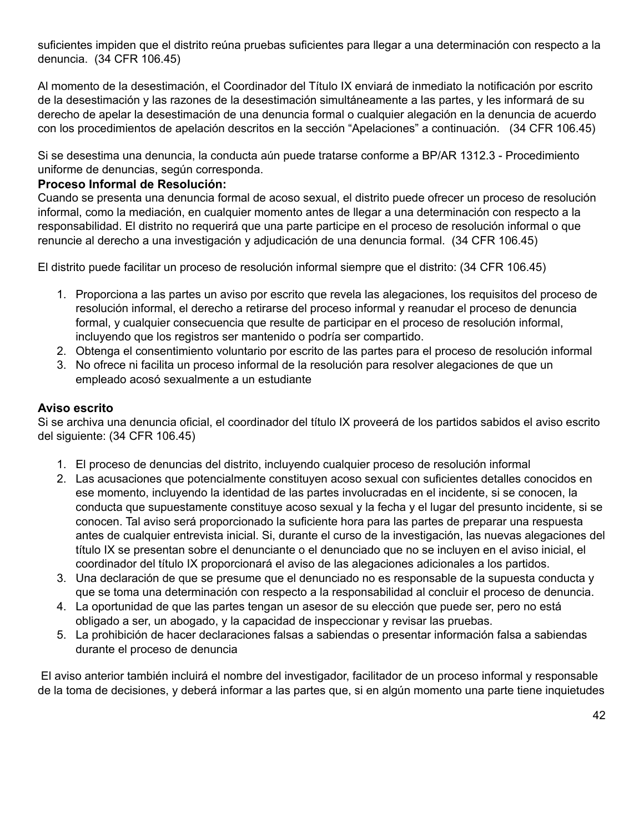suficientes impiden que el distrito reúna pruebas suficientes para llegar a una determinación con respecto a la denuncia. (34 CFR 106.45)

Al momento de la desestimación, el Coordinador del Título IX enviará de inmediato la notificación por escrito de la desestimación y las razones de la desestimación simultáneamente a las partes, y les informará de su derecho de apelar la desestimación de una denuncia formal o cualquier alegación en la denuncia de acuerdo con los procedimientos de apelación descritos en la sección "Apelaciones" a continuación. (34 CFR 106.45)

Si se desestima una denuncia, la conducta aún puede tratarse conforme a BP/AR 1312.3 - Procedimiento uniforme de denuncias, según corresponda.

## **Proceso Informal de Resolución:**

Cuando se presenta una denuncia formal de acoso sexual, el distrito puede ofrecer un proceso de resolución informal, como la mediación, en cualquier momento antes de llegar a una determinación con respecto a la responsabilidad. El distrito no requerirá que una parte participe en el proceso de resolución informal o que renuncie al derecho a una investigación y adjudicación de una denuncia formal. (34 CFR 106.45)

El distrito puede facilitar un proceso de resolución informal siempre que el distrito: (34 CFR 106.45)

- 1. Proporciona a las partes un aviso por escrito que revela las alegaciones, los requisitos del proceso de resolución informal, el derecho a retirarse del proceso informal y reanudar el proceso de denuncia formal, y cualquier consecuencia que resulte de participar en el proceso de resolución informal, incluyendo que los registros ser mantenido o podría ser compartido.
- 2. Obtenga el consentimiento voluntario por escrito de las partes para el proceso de resolución informal
- 3. No ofrece ni facilita un proceso informal de la resolución para resolver alegaciones de que un empleado acosó sexualmente a un estudiante

## **Aviso escrito**

Si se archiva una denuncia oficial, el coordinador del título IX proveerá de los partidos sabidos el aviso escrito del siguiente: (34 CFR 106.45)

- 1. El proceso de denuncias del distrito, incluyendo cualquier proceso de resolución informal
- 2. Las acusaciones que potencialmente constituyen acoso sexual con suficientes detalles conocidos en ese momento, incluyendo la identidad de las partes involucradas en el incidente, si se conocen, la conducta que supuestamente constituye acoso sexual y la fecha y el lugar del presunto incidente, si se conocen. Tal aviso será proporcionado la suficiente hora para las partes de preparar una respuesta antes de cualquier entrevista inicial. Si, durante el curso de la investigación, las nuevas alegaciones del título IX se presentan sobre el denunciante o el denunciado que no se incluyen en el aviso inicial, el coordinador del título IX proporcionará el aviso de las alegaciones adicionales a los partidos.
- 3. Una declaración de que se presume que el denunciado no es responsable de la supuesta conducta y que se toma una determinación con respecto a la responsabilidad al concluir el proceso de denuncia.
- 4. La oportunidad de que las partes tengan un asesor de su elección que puede ser, pero no está obligado a ser, un abogado, y la capacidad de inspeccionar y revisar las pruebas.
- 5. La prohibición de hacer declaraciones falsas a sabiendas o presentar información falsa a sabiendas durante el proceso de denuncia

El aviso anterior también incluirá el nombre del investigador, facilitador de un proceso informal y responsable de la toma de decisiones, y deberá informar a las partes que, si en algún momento una parte tiene inquietudes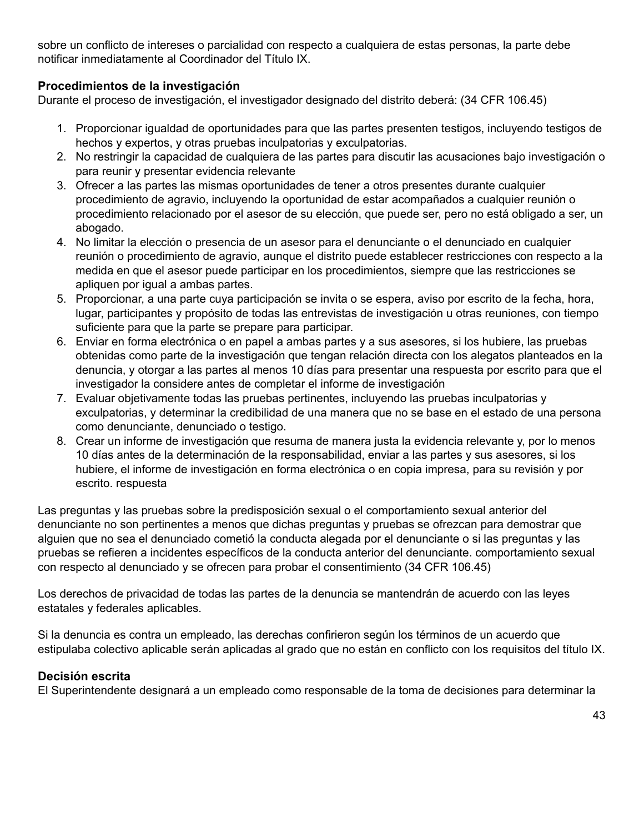sobre un conflicto de intereses o parcialidad con respecto a cualquiera de estas personas, la parte debe notificar inmediatamente al Coordinador del Título IX.

## **Procedimientos de la investigación**

Durante el proceso de investigación, el investigador designado del distrito deberá: (34 CFR 106.45)

- 1. Proporcionar igualdad de oportunidades para que las partes presenten testigos, incluyendo testigos de hechos y expertos, y otras pruebas inculpatorias y exculpatorias.
- 2. No restringir la capacidad de cualquiera de las partes para discutir las acusaciones bajo investigación o para reunir y presentar evidencia relevante
- 3. Ofrecer a las partes las mismas oportunidades de tener a otros presentes durante cualquier procedimiento de agravio, incluyendo la oportunidad de estar acompañados a cualquier reunión o procedimiento relacionado por el asesor de su elección, que puede ser, pero no está obligado a ser, un abogado.
- 4. No limitar la elección o presencia de un asesor para el denunciante o el denunciado en cualquier reunión o procedimiento de agravio, aunque el distrito puede establecer restricciones con respecto a la medida en que el asesor puede participar en los procedimientos, siempre que las restricciones se apliquen por igual a ambas partes.
- 5. Proporcionar, a una parte cuya participación se invita o se espera, aviso por escrito de la fecha, hora, lugar, participantes y propósito de todas las entrevistas de investigación u otras reuniones, con tiempo suficiente para que la parte se prepare para participar.
- 6. Enviar en forma electrónica o en papel a ambas partes y a sus asesores, si los hubiere, las pruebas obtenidas como parte de la investigación que tengan relación directa con los alegatos planteados en la denuncia, y otorgar a las partes al menos 10 días para presentar una respuesta por escrito para que el investigador la considere antes de completar el informe de investigación
- 7. Evaluar objetivamente todas las pruebas pertinentes, incluyendo las pruebas inculpatorias y exculpatorias, y determinar la credibilidad de una manera que no se base en el estado de una persona como denunciante, denunciado o testigo.
- 8. Crear un informe de investigación que resuma de manera justa la evidencia relevante y, por lo menos 10 días antes de la determinación de la responsabilidad, enviar a las partes y sus asesores, si los hubiere, el informe de investigación en forma electrónica o en copia impresa, para su revisión y por escrito. respuesta

Las preguntas y las pruebas sobre la predisposición sexual o el comportamiento sexual anterior del denunciante no son pertinentes a menos que dichas preguntas y pruebas se ofrezcan para demostrar que alguien que no sea el denunciado cometió la conducta alegada por el denunciante o si las preguntas y las pruebas se refieren a incidentes específicos de la conducta anterior del denunciante. comportamiento sexual con respecto al denunciado y se ofrecen para probar el consentimiento (34 CFR 106.45)

Los derechos de privacidad de todas las partes de la denuncia se mantendrán de acuerdo con las leyes estatales y federales aplicables.

Si la denuncia es contra un empleado, las derechas confirieron según los términos de un acuerdo que estipulaba colectivo aplicable serán aplicadas al grado que no están en conflicto con los requisitos del título IX.

## **Decisión escrita**

El Superintendente designará a un empleado como responsable de la toma de decisiones para determinar la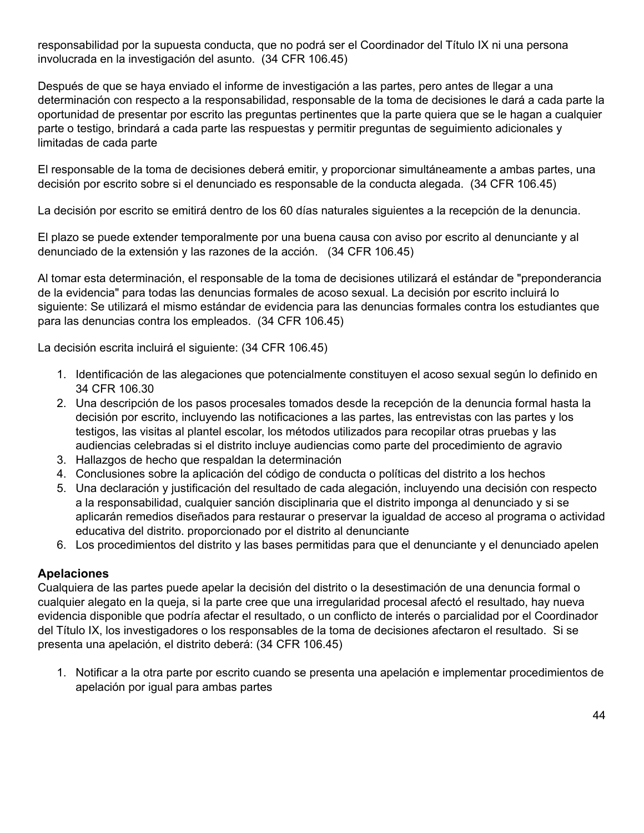responsabilidad por la supuesta conducta, que no podrá ser el Coordinador del Título IX ni una persona involucrada en la investigación del asunto. (34 CFR 106.45)

Después de que se haya enviado el informe de investigación a las partes, pero antes de llegar a una determinación con respecto a la responsabilidad, responsable de la toma de decisiones le dará a cada parte la oportunidad de presentar por escrito las preguntas pertinentes que la parte quiera que se le hagan a cualquier parte o testigo, brindará a cada parte las respuestas y permitir preguntas de seguimiento adicionales y limitadas de cada parte

El responsable de la toma de decisiones deberá emitir, y proporcionar simultáneamente a ambas partes, una decisión por escrito sobre si el denunciado es responsable de la conducta alegada. (34 CFR 106.45)

La decisión por escrito se emitirá dentro de los 60 días naturales siguientes a la recepción de la denuncia.

El plazo se puede extender temporalmente por una buena causa con aviso por escrito al denunciante y al denunciado de la extensión y las razones de la acción. (34 CFR 106.45)

Al tomar esta determinación, el responsable de la toma de decisiones utilizará el estándar de "preponderancia de la evidencia" para todas las denuncias formales de acoso sexual. La decisión por escrito incluirá lo siguiente: Se utilizará el mismo estándar de evidencia para las denuncias formales contra los estudiantes que para las denuncias contra los empleados. (34 CFR 106.45)

La decisión escrita incluirá el siguiente: (34 CFR 106.45)

- 1. Identificación de las alegaciones que potencialmente constituyen el acoso sexual según lo definido en 34 CFR 106.30
- 2. Una descripción de los pasos procesales tomados desde la recepción de la denuncia formal hasta la decisión por escrito, incluyendo las notificaciones a las partes, las entrevistas con las partes y los testigos, las visitas al plantel escolar, los métodos utilizados para recopilar otras pruebas y las audiencias celebradas si el distrito incluye audiencias como parte del procedimiento de agravio
- 3. Hallazgos de hecho que respaldan la determinación
- 4. Conclusiones sobre la aplicación del código de conducta o políticas del distrito a los hechos
- 5. Una declaración y justificación del resultado de cada alegación, incluyendo una decisión con respecto a la responsabilidad, cualquier sanción disciplinaria que el distrito imponga al denunciado y si se aplicarán remedios diseñados para restaurar o preservar la igualdad de acceso al programa o actividad educativa del distrito. proporcionado por el distrito al denunciante
- 6. Los procedimientos del distrito y las bases permitidas para que el denunciante y el denunciado apelen

## **Apelaciones**

Cualquiera de las partes puede apelar la decisión del distrito o la desestimación de una denuncia formal o cualquier alegato en la queja, si la parte cree que una irregularidad procesal afectó el resultado, hay nueva evidencia disponible que podría afectar el resultado, o un conflicto de interés o parcialidad por el Coordinador del Título IX, los investigadores o los responsables de la toma de decisiones afectaron el resultado. Si se presenta una apelación, el distrito deberá: (34 CFR 106.45)

1. Notificar a la otra parte por escrito cuando se presenta una apelación e implementar procedimientos de apelación por igual para ambas partes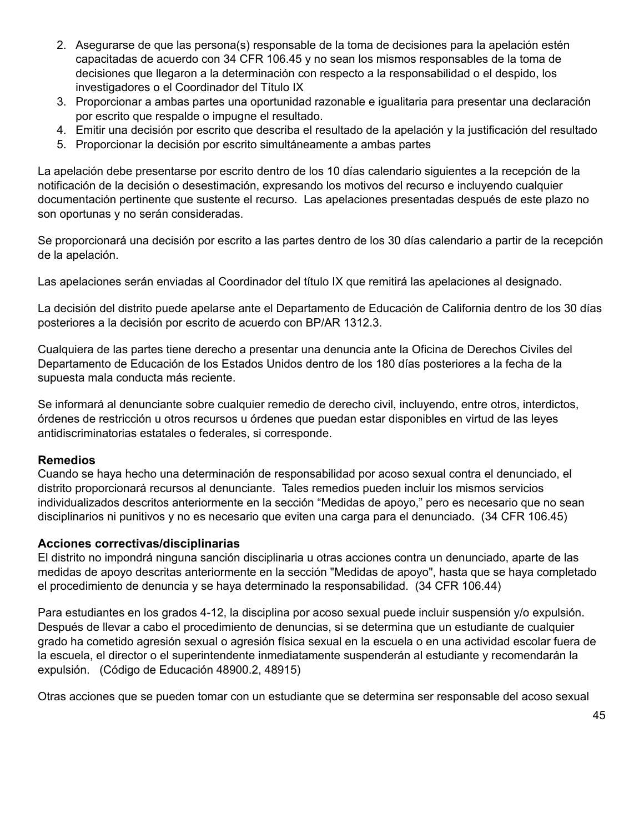- 2. Asegurarse de que las persona(s) responsable de la toma de decisiones para la apelación estén capacitadas de acuerdo con 34 CFR 106.45 y no sean los mismos responsables de la toma de decisiones que llegaron a la determinación con respecto a la responsabilidad o el despido, los investigadores o el Coordinador del Título IX
- 3. Proporcionar a ambas partes una oportunidad razonable e igualitaria para presentar una declaración por escrito que respalde o impugne el resultado.
- 4. Emitir una decisión por escrito que describa el resultado de la apelación y la justificación del resultado
- 5. Proporcionar la decisión por escrito simultáneamente a ambas partes

La apelación debe presentarse por escrito dentro de los 10 días calendario siguientes a la recepción de la notificación de la decisión o desestimación, expresando los motivos del recurso e incluyendo cualquier documentación pertinente que sustente el recurso. Las apelaciones presentadas después de este plazo no son oportunas y no serán consideradas.

Se proporcionará una decisión por escrito a las partes dentro de los 30 días calendario a partir de la recepción de la apelación.

Las apelaciones serán enviadas al Coordinador del título IX que remitirá las apelaciones al designado.

La decisión del distrito puede apelarse ante el Departamento de Educación de California dentro de los 30 días posteriores a la decisión por escrito de acuerdo con BP/AR 1312.3.

Cualquiera de las partes tiene derecho a presentar una denuncia ante la Oficina de Derechos Civiles del Departamento de Educación de los Estados Unidos dentro de los 180 días posteriores a la fecha de la supuesta mala conducta más reciente.

Se informará al denunciante sobre cualquier remedio de derecho civil, incluyendo, entre otros, interdictos, órdenes de restricción u otros recursos u órdenes que puedan estar disponibles en virtud de las leyes antidiscriminatorias estatales o federales, si corresponde.

#### **Remedios**

Cuando se haya hecho una determinación de responsabilidad por acoso sexual contra el denunciado, el distrito proporcionará recursos al denunciante. Tales remedios pueden incluir los mismos servicios individualizados descritos anteriormente en la sección "Medidas de apoyo," pero es necesario que no sean disciplinarios ni punitivos y no es necesario que eviten una carga para el denunciado. (34 CFR 106.45)

## **Acciones correctivas/disciplinarias**

El distrito no impondrá ninguna sanción disciplinaria u otras acciones contra un denunciado, aparte de las medidas de apoyo descritas anteriormente en la sección "Medidas de apoyo", hasta que se haya completado el procedimiento de denuncia y se haya determinado la responsabilidad. (34 CFR 106.44)

Para estudiantes en los grados 4-12, la disciplina por acoso sexual puede incluir suspensión y/o expulsión. Después de llevar a cabo el procedimiento de denuncias, si se determina que un estudiante de cualquier grado ha cometido agresión sexual o agresión física sexual en la escuela o en una actividad escolar fuera de la escuela, el director o el superintendente inmediatamente suspenderán al estudiante y recomendarán la expulsión. (Código de Educación 48900.2, 48915)

Otras acciones que se pueden tomar con un estudiante que se determina ser responsable del acoso sexual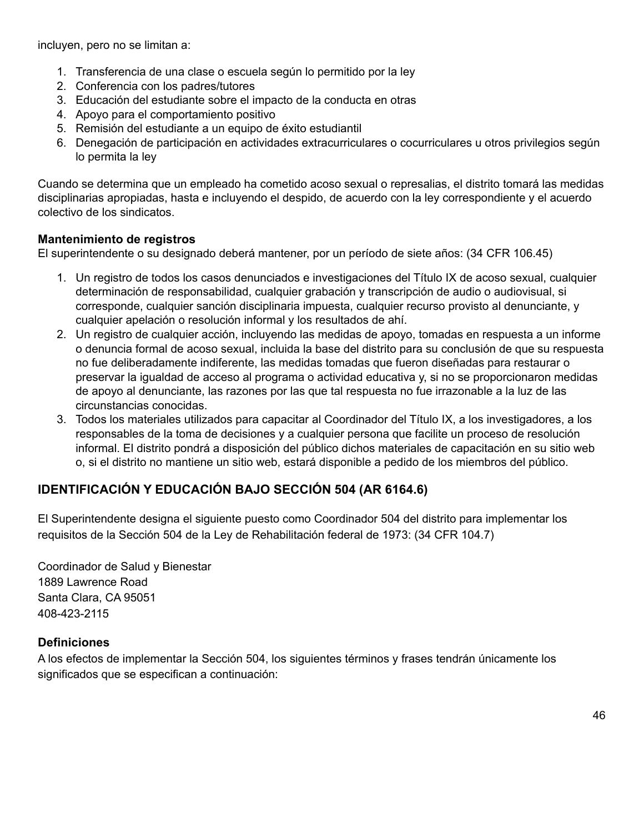incluyen, pero no se limitan a:

- 1. Transferencia de una clase o escuela según lo permitido por la ley
- 2. Conferencia con los padres/tutores
- 3. Educación del estudiante sobre el impacto de la conducta en otras
- 4. Apoyo para el comportamiento positivo
- 5. Remisión del estudiante a un equipo de éxito estudiantil
- 6. Denegación de participación en actividades extracurriculares o cocurriculares u otros privilegios según lo permita la ley

Cuando se determina que un empleado ha cometido acoso sexual o represalias, el distrito tomará las medidas disciplinarias apropiadas, hasta e incluyendo el despido, de acuerdo con la ley correspondiente y el acuerdo colectivo de los sindicatos.

## **Mantenimiento de registros**

El superintendente o su designado deberá mantener, por un período de siete años: (34 CFR 106.45)

- 1. Un registro de todos los casos denunciados e investigaciones del Título IX de acoso sexual, cualquier determinación de responsabilidad, cualquier grabación y transcripción de audio o audiovisual, si corresponde, cualquier sanción disciplinaria impuesta, cualquier recurso provisto al denunciante, y cualquier apelación o resolución informal y los resultados de ahí.
- 2. Un registro de cualquier acción, incluyendo las medidas de apoyo, tomadas en respuesta a un informe o denuncia formal de acoso sexual, incluida la base del distrito para su conclusión de que su respuesta no fue deliberadamente indiferente, las medidas tomadas que fueron diseñadas para restaurar o preservar la igualdad de acceso al programa o actividad educativa y, si no se proporcionaron medidas de apoyo al denunciante, las razones por las que tal respuesta no fue irrazonable a la luz de las circunstancias conocidas.
- 3. Todos los materiales utilizados para capacitar al Coordinador del Título IX, a los investigadores, a los responsables de la toma de decisiones y a cualquier persona que facilite un proceso de resolución informal. El distrito pondrá a disposición del público dichos materiales de capacitación en su sitio web o, si el distrito no mantiene un sitio web, estará disponible a pedido de los miembros del público.

# **IDENTIFICACIÓN Y EDUCACIÓN BAJO SECCIÓN 504 (AR 6164.6)**

El Superintendente designa el siguiente puesto como Coordinador 504 del distrito para implementar los requisitos de la Sección 504 de la Ley de Rehabilitación federal de 1973: (34 CFR 104.7)

Coordinador de Salud y Bienestar 1889 Lawrence Road Santa Clara, CA 95051 408-423-2115

## **Definiciones**

A los efectos de implementar la Sección 504, los siguientes términos y frases tendrán únicamente los significados que se especifican a continuación: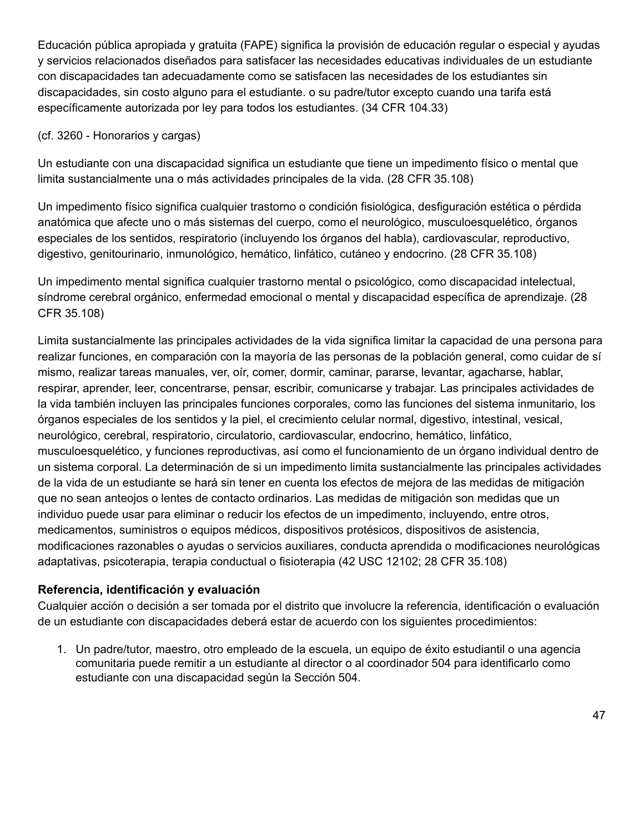Educación pública apropiada y gratuita (FAPE) significa la provisión de educación regular o especial y ayudas y servicios relacionados diseñados para satisfacer las necesidades educativas individuales de un estudiante con discapacidades tan adecuadamente como se satisfacen las necesidades de los estudiantes sin discapacidades, sin costo alguno para el estudiante. o su padre/tutor excepto cuando una tarifa está específicamente autorizada por ley para todos los estudiantes. (34 CFR 104.33)

## (cf. 3260 - Honorarios y cargas)

Un estudiante con una discapacidad significa un estudiante que tiene un impedimento físico o mental que limita sustancialmente una o más actividades principales de la vida. (28 CFR 35.108)

Un impedimento físico significa cualquier trastorno o condición fisiológica, desfiguración estética o pérdida anatómica que afecte uno o más sistemas del cuerpo, como el neurológico, musculoesquelético, órganos especiales de los sentidos, respiratorio (incluyendo los órganos del habla), cardiovascular, reproductivo, digestivo, genitourinario, inmunológico, hemático, linfático, cutáneo y endocrino. (28 CFR 35.108)

Un impedimento mental significa cualquier trastorno mental o psicológico, como discapacidad intelectual, síndrome cerebral orgánico, enfermedad emocional o mental y discapacidad específica de aprendizaje. (28 CFR 35.108)

Limita sustancialmente las principales actividades de la vida significa limitar la capacidad de una persona para realizar funciones, en comparación con la mayoría de las personas de la población general, como cuidar de sí mismo, realizar tareas manuales, ver, oír, comer, dormir, caminar, pararse, levantar, agacharse, hablar, respirar, aprender, leer, concentrarse, pensar, escribir, comunicarse y trabajar. Las principales actividades de la vida también incluyen las principales funciones corporales, como las funciones del sistema inmunitario, los órganos especiales de los sentidos y la piel, el crecimiento celular normal, digestivo, intestinal, vesical, neurológico, cerebral, respiratorio, circulatorio, cardiovascular, endocrino, hemático, linfático, musculoesquelético, y funciones reproductivas, así como el funcionamiento de un órgano individual dentro de un sistema corporal. La determinación de si un impedimento limita sustancialmente las principales actividades de la vida de un estudiante se hará sin tener en cuenta los efectos de mejora de las medidas de mitigación que no sean anteojos o lentes de contacto ordinarios. Las medidas de mitigación son medidas que un individuo puede usar para eliminar o reducir los efectos de un impedimento, incluyendo, entre otros, medicamentos, suministros o equipos médicos, dispositivos protésicos, dispositivos de asistencia, modificaciones razonables o ayudas o servicios auxiliares, conducta aprendida o modificaciones neurológicas adaptativas, psicoterapia, terapia conductual o fisioterapia (42 USC 12102; 28 CFR 35.108)

## **Referencia, identificación y evaluación**

Cualquier acción o decisión a ser tomada por el distrito que involucre la referencia, identificación o evaluación de un estudiante con discapacidades deberá estar de acuerdo con los siguientes procedimientos:

1. Un padre/tutor, maestro, otro empleado de la escuela, un equipo de éxito estudiantil o una agencia comunitaria puede remitir a un estudiante al director o al coordinador 504 para identificarlo como estudiante con una discapacidad según la Sección 504.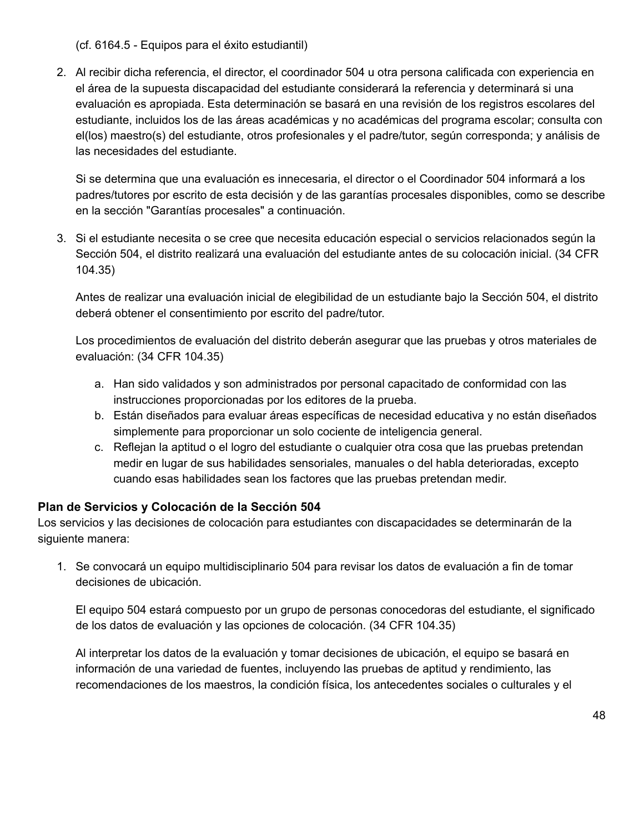(cf. 6164.5 - Equipos para el éxito estudiantil)

2. Al recibir dicha referencia, el director, el coordinador 504 u otra persona calificada con experiencia en el área de la supuesta discapacidad del estudiante considerará la referencia y determinará si una evaluación es apropiada. Esta determinación se basará en una revisión de los registros escolares del estudiante, incluidos los de las áreas académicas y no académicas del programa escolar; consulta con el(los) maestro(s) del estudiante, otros profesionales y el padre/tutor, según corresponda; y análisis de las necesidades del estudiante.

Si se determina que una evaluación es innecesaria, el director o el Coordinador 504 informará a los padres/tutores por escrito de esta decisión y de las garantías procesales disponibles, como se describe en la sección "Garantías procesales" a continuación.

3. Si el estudiante necesita o se cree que necesita educación especial o servicios relacionados según la Sección 504, el distrito realizará una evaluación del estudiante antes de su colocación inicial. (34 CFR 104.35)

Antes de realizar una evaluación inicial de elegibilidad de un estudiante bajo la Sección 504, el distrito deberá obtener el consentimiento por escrito del padre/tutor.

Los procedimientos de evaluación del distrito deberán asegurar que las pruebas y otros materiales de evaluación: (34 CFR 104.35)

- a. Han sido validados y son administrados por personal capacitado de conformidad con las instrucciones proporcionadas por los editores de la prueba.
- b. Están diseñados para evaluar áreas específicas de necesidad educativa y no están diseñados simplemente para proporcionar un solo cociente de inteligencia general.
- c. Reflejan la aptitud o el logro del estudiante o cualquier otra cosa que las pruebas pretendan medir en lugar de sus habilidades sensoriales, manuales o del habla deterioradas, excepto cuando esas habilidades sean los factores que las pruebas pretendan medir.

# **Plan de Servicios y Colocación de la Sección 504**

Los servicios y las decisiones de colocación para estudiantes con discapacidades se determinarán de la siguiente manera:

1. Se convocará un equipo multidisciplinario 504 para revisar los datos de evaluación a fin de tomar decisiones de ubicación.

El equipo 504 estará compuesto por un grupo de personas conocedoras del estudiante, el significado de los datos de evaluación y las opciones de colocación. (34 CFR 104.35)

Al interpretar los datos de la evaluación y tomar decisiones de ubicación, el equipo se basará en información de una variedad de fuentes, incluyendo las pruebas de aptitud y rendimiento, las recomendaciones de los maestros, la condición física, los antecedentes sociales o culturales y el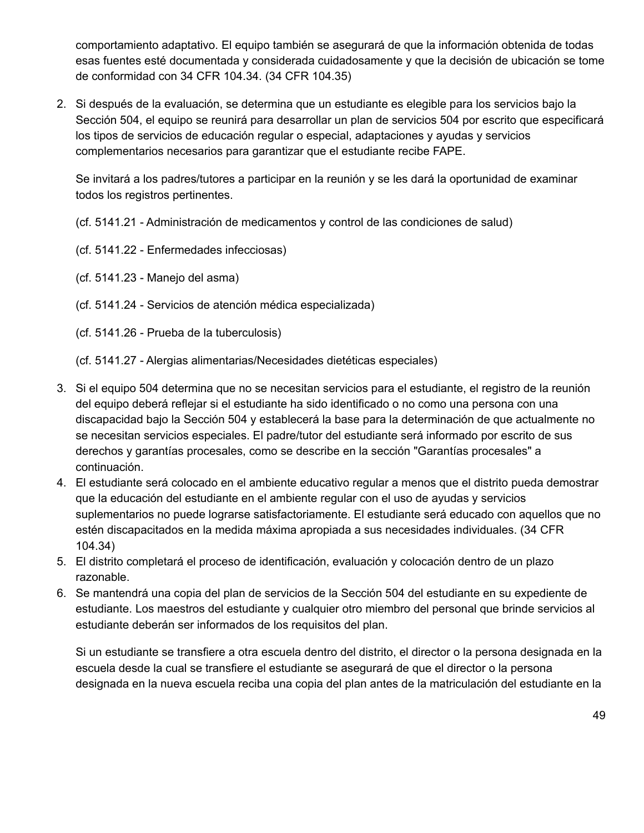comportamiento adaptativo. El equipo también se asegurará de que la información obtenida de todas esas fuentes esté documentada y considerada cuidadosamente y que la decisión de ubicación se tome de conformidad con 34 CFR 104.34. (34 CFR 104.35)

2. Si después de la evaluación, se determina que un estudiante es elegible para los servicios bajo la Sección 504, el equipo se reunirá para desarrollar un plan de servicios 504 por escrito que especificará los tipos de servicios de educación regular o especial, adaptaciones y ayudas y servicios complementarios necesarios para garantizar que el estudiante recibe FAPE.

Se invitará a los padres/tutores a participar en la reunión y se les dará la oportunidad de examinar todos los registros pertinentes.

- (cf. 5141.21 Administración de medicamentos y control de las condiciones de salud)
- (cf. 5141.22 Enfermedades infecciosas)
- (cf. 5141.23 Manejo del asma)
- (cf. 5141.24 Servicios de atención médica especializada)
- (cf. 5141.26 Prueba de la tuberculosis)
- (cf. 5141.27 Alergias alimentarias/Necesidades dietéticas especiales)
- 3. Si el equipo 504 determina que no se necesitan servicios para el estudiante, el registro de la reunión del equipo deberá reflejar si el estudiante ha sido identificado o no como una persona con una discapacidad bajo la Sección 504 y establecerá la base para la determinación de que actualmente no se necesitan servicios especiales. El padre/tutor del estudiante será informado por escrito de sus derechos y garantías procesales, como se describe en la sección "Garantías procesales" a continuación.
- 4. El estudiante será colocado en el ambiente educativo regular a menos que el distrito pueda demostrar que la educación del estudiante en el ambiente regular con el uso de ayudas y servicios suplementarios no puede lograrse satisfactoriamente. El estudiante será educado con aquellos que no estén discapacitados en la medida máxima apropiada a sus necesidades individuales. (34 CFR 104.34)
- 5. El distrito completará el proceso de identificación, evaluación y colocación dentro de un plazo razonable.
- 6. Se mantendrá una copia del plan de servicios de la Sección 504 del estudiante en su expediente de estudiante. Los maestros del estudiante y cualquier otro miembro del personal que brinde servicios al estudiante deberán ser informados de los requisitos del plan.

Si un estudiante se transfiere a otra escuela dentro del distrito, el director o la persona designada en la escuela desde la cual se transfiere el estudiante se asegurará de que el director o la persona designada en la nueva escuela reciba una copia del plan antes de la matriculación del estudiante en la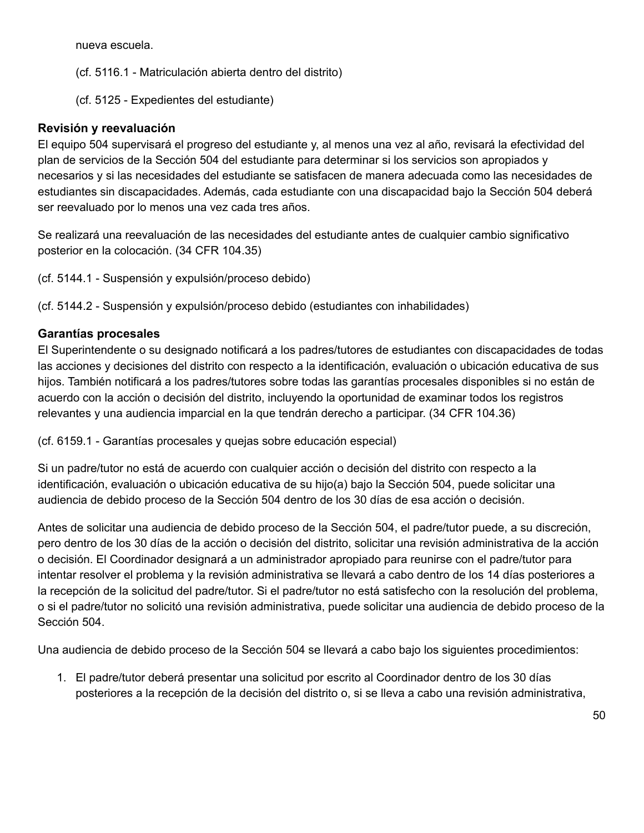nueva escuela.

(cf. 5116.1 - Matriculación abierta dentro del distrito)

(cf. 5125 - Expedientes del estudiante)

## **Revisión y reevaluación**

El equipo 504 supervisará el progreso del estudiante y, al menos una vez al año, revisará la efectividad del plan de servicios de la Sección 504 del estudiante para determinar si los servicios son apropiados y necesarios y si las necesidades del estudiante se satisfacen de manera adecuada como las necesidades de estudiantes sin discapacidades. Además, cada estudiante con una discapacidad bajo la Sección 504 deberá ser reevaluado por lo menos una vez cada tres años.

Se realizará una reevaluación de las necesidades del estudiante antes de cualquier cambio significativo posterior en la colocación. (34 CFR 104.35)

(cf. 5144.1 - Suspensión y expulsión/proceso debido)

(cf. 5144.2 - Suspensión y expulsión/proceso debido (estudiantes con inhabilidades)

## **Garantías procesales**

El Superintendente o su designado notificará a los padres/tutores de estudiantes con discapacidades de todas las acciones y decisiones del distrito con respecto a la identificación, evaluación o ubicación educativa de sus hijos. También notificará a los padres/tutores sobre todas las garantías procesales disponibles si no están de acuerdo con la acción o decisión del distrito, incluyendo la oportunidad de examinar todos los registros relevantes y una audiencia imparcial en la que tendrán derecho a participar. (34 CFR 104.36)

(cf. 6159.1 - Garantías procesales y quejas sobre educación especial)

Si un padre/tutor no está de acuerdo con cualquier acción o decisión del distrito con respecto a la identificación, evaluación o ubicación educativa de su hijo(a) bajo la Sección 504, puede solicitar una audiencia de debido proceso de la Sección 504 dentro de los 30 días de esa acción o decisión.

Antes de solicitar una audiencia de debido proceso de la Sección 504, el padre/tutor puede, a su discreción, pero dentro de los 30 días de la acción o decisión del distrito, solicitar una revisión administrativa de la acción o decisión. El Coordinador designará a un administrador apropiado para reunirse con el padre/tutor para intentar resolver el problema y la revisión administrativa se llevará a cabo dentro de los 14 días posteriores a la recepción de la solicitud del padre/tutor. Si el padre/tutor no está satisfecho con la resolución del problema, o si el padre/tutor no solicitó una revisión administrativa, puede solicitar una audiencia de debido proceso de la Sección 504.

Una audiencia de debido proceso de la Sección 504 se llevará a cabo bajo los siguientes procedimientos:

1. El padre/tutor deberá presentar una solicitud por escrito al Coordinador dentro de los 30 días posteriores a la recepción de la decisión del distrito o, si se lleva a cabo una revisión administrativa,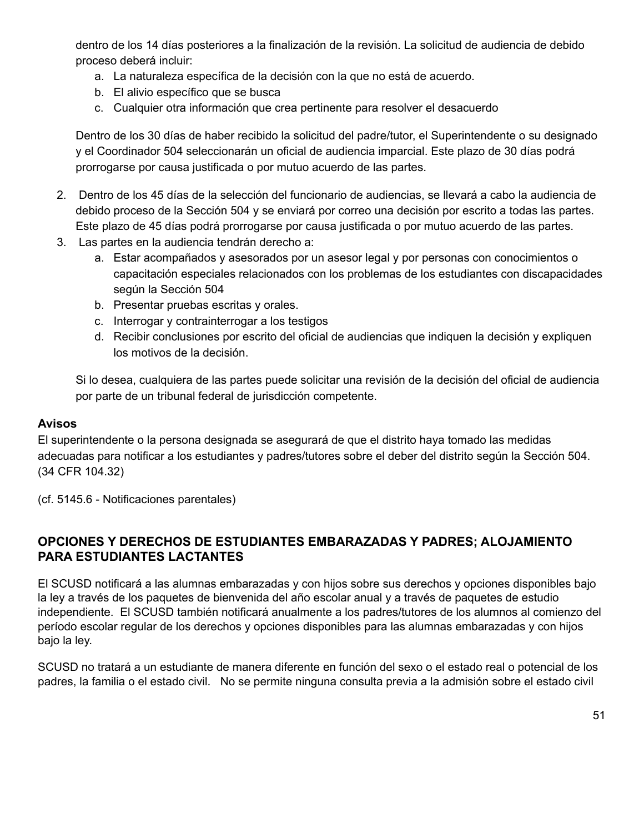dentro de los 14 días posteriores a la finalización de la revisión. La solicitud de audiencia de debido proceso deberá incluir:

- a. La naturaleza específica de la decisión con la que no está de acuerdo.
- b. El alivio específico que se busca
- c. Cualquier otra información que crea pertinente para resolver el desacuerdo

Dentro de los 30 días de haber recibido la solicitud del padre/tutor, el Superintendente o su designado y el Coordinador 504 seleccionarán un oficial de audiencia imparcial. Este plazo de 30 días podrá prorrogarse por causa justificada o por mutuo acuerdo de las partes.

- 2. Dentro de los 45 días de la selección del funcionario de audiencias, se llevará a cabo la audiencia de debido proceso de la Sección 504 y se enviará por correo una decisión por escrito a todas las partes. Este plazo de 45 días podrá prorrogarse por causa justificada o por mutuo acuerdo de las partes.
- 3. Las partes en la audiencia tendrán derecho a:
	- a. Estar acompañados y asesorados por un asesor legal y por personas con conocimientos o capacitación especiales relacionados con los problemas de los estudiantes con discapacidades según la Sección 504
	- b. Presentar pruebas escritas y orales.
	- c. Interrogar y contrainterrogar a los testigos
	- d. Recibir conclusiones por escrito del oficial de audiencias que indiquen la decisión y expliquen los motivos de la decisión.

Si lo desea, cualquiera de las partes puede solicitar una revisión de la decisión del oficial de audiencia por parte de un tribunal federal de jurisdicción competente.

#### **Avisos**

El superintendente o la persona designada se asegurará de que el distrito haya tomado las medidas adecuadas para notificar a los estudiantes y padres/tutores sobre el deber del distrito según la Sección 504. (34 CFR 104.32)

(cf. 5145.6 - Notificaciones parentales)

# **OPCIONES Y DERECHOS DE ESTUDIANTES EMBARAZADAS Y PADRES; ALOJAMIENTO PARA ESTUDIANTES LACTANTES**

El SCUSD notificará a las alumnas embarazadas y con hijos sobre sus derechos y opciones disponibles bajo la ley a través de los paquetes de bienvenida del año escolar anual y a través de paquetes de estudio independiente. El SCUSD también notificará anualmente a los padres/tutores de los alumnos al comienzo del período escolar regular de los derechos y opciones disponibles para las alumnas embarazadas y con hijos bajo la ley.

SCUSD no tratará a un estudiante de manera diferente en función del sexo o el estado real o potencial de los padres, la familia o el estado civil. No se permite ninguna consulta previa a la admisión sobre el estado civil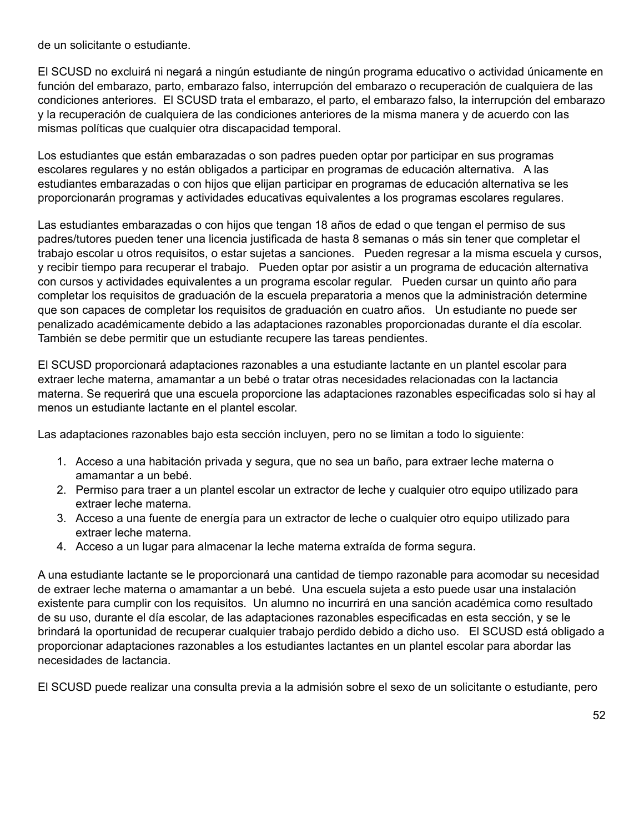de un solicitante o estudiante.

El SCUSD no excluirá ni negará a ningún estudiante de ningún programa educativo o actividad únicamente en función del embarazo, parto, embarazo falso, interrupción del embarazo o recuperación de cualquiera de las condiciones anteriores. El SCUSD trata el embarazo, el parto, el embarazo falso, la interrupción del embarazo y la recuperación de cualquiera de las condiciones anteriores de la misma manera y de acuerdo con las mismas políticas que cualquier otra discapacidad temporal.

Los estudiantes que están embarazadas o son padres pueden optar por participar en sus programas escolares regulares y no están obligados a participar en programas de educación alternativa. A las estudiantes embarazadas o con hijos que elijan participar en programas de educación alternativa se les proporcionarán programas y actividades educativas equivalentes a los programas escolares regulares.

Las estudiantes embarazadas o con hijos que tengan 18 años de edad o que tengan el permiso de sus padres/tutores pueden tener una licencia justificada de hasta 8 semanas o más sin tener que completar el trabajo escolar u otros requisitos, o estar sujetas a sanciones. Pueden regresar a la misma escuela y cursos, y recibir tiempo para recuperar el trabajo. Pueden optar por asistir a un programa de educación alternativa con cursos y actividades equivalentes a un programa escolar regular. Pueden cursar un quinto año para completar los requisitos de graduación de la escuela preparatoria a menos que la administración determine que son capaces de completar los requisitos de graduación en cuatro años. Un estudiante no puede ser penalizado académicamente debido a las adaptaciones razonables proporcionadas durante el día escolar. También se debe permitir que un estudiante recupere las tareas pendientes.

El SCUSD proporcionará adaptaciones razonables a una estudiante lactante en un plantel escolar para extraer leche materna, amamantar a un bebé o tratar otras necesidades relacionadas con la lactancia materna. Se requerirá que una escuela proporcione las adaptaciones razonables especificadas solo si hay al menos un estudiante lactante en el plantel escolar.

Las adaptaciones razonables bajo esta sección incluyen, pero no se limitan a todo lo siguiente:

- 1. Acceso a una habitación privada y segura, que no sea un baño, para extraer leche materna o amamantar a un bebé.
- 2. Permiso para traer a un plantel escolar un extractor de leche y cualquier otro equipo utilizado para extraer leche materna.
- 3. Acceso a una fuente de energía para un extractor de leche o cualquier otro equipo utilizado para extraer leche materna.
- 4. Acceso a un lugar para almacenar la leche materna extraída de forma segura.

A una estudiante lactante se le proporcionará una cantidad de tiempo razonable para acomodar su necesidad de extraer leche materna o amamantar a un bebé. Una escuela sujeta a esto puede usar una instalación existente para cumplir con los requisitos. Un alumno no incurrirá en una sanción académica como resultado de su uso, durante el día escolar, de las adaptaciones razonables especificadas en esta sección, y se le brindará la oportunidad de recuperar cualquier trabajo perdido debido a dicho uso. El SCUSD está obligado a proporcionar adaptaciones razonables a los estudiantes lactantes en un plantel escolar para abordar las necesidades de lactancia.

El SCUSD puede realizar una consulta previa a la admisión sobre el sexo de un solicitante o estudiante, pero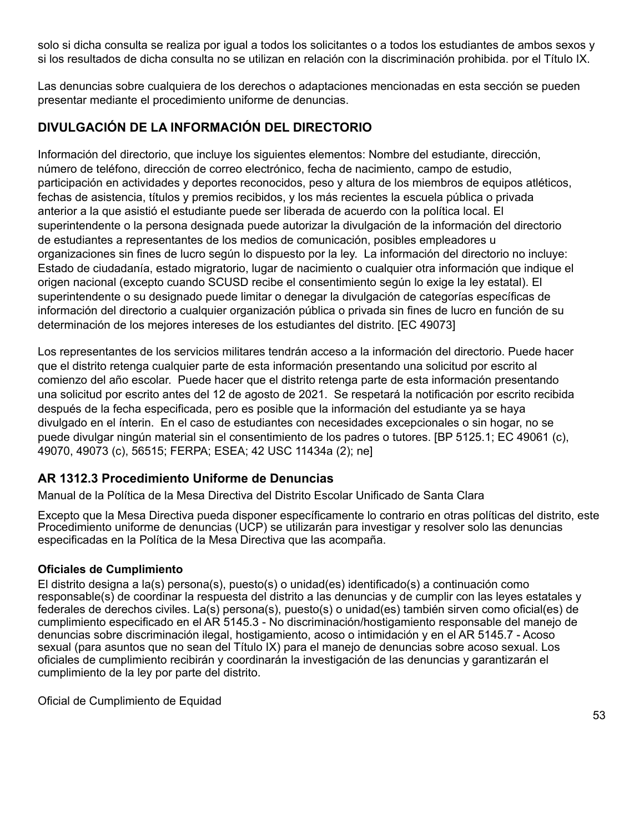solo si dicha consulta se realiza por igual a todos los solicitantes o a todos los estudiantes de ambos sexos y si los resultados de dicha consulta no se utilizan en relación con la discriminación prohibida. por el Título IX.

Las denuncias sobre cualquiera de los derechos o adaptaciones mencionadas en esta sección se pueden presentar mediante el procedimiento uniforme de denuncias.

# **DIVULGACIÓN DE LA INFORMACIÓN DEL DIRECTORIO**

Información del directorio, que incluye los siguientes elementos: Nombre del estudiante, dirección, número de teléfono, dirección de correo electrónico, fecha de nacimiento, campo de estudio, participación en actividades y deportes reconocidos, peso y altura de los miembros de equipos atléticos, fechas de asistencia, títulos y premios recibidos, y los más recientes la escuela pública o privada anterior a la que asistió el estudiante puede ser liberada de acuerdo con la política local. El superintendente o la persona designada puede autorizar la divulgación de la información del directorio de estudiantes a representantes de los medios de comunicación, posibles empleadores u organizaciones sin fines de lucro según lo dispuesto por la ley. La información del directorio no incluye: Estado de ciudadanía, estado migratorio, lugar de nacimiento o cualquier otra información que indique el origen nacional (excepto cuando SCUSD recibe el consentimiento según lo exige la ley estatal). El superintendente o su designado puede limitar o denegar la divulgación de categorías específicas de información del directorio a cualquier organización pública o privada sin fines de lucro en función de su determinación de los mejores intereses de los estudiantes del distrito. [EC 49073]

Los representantes de los servicios militares tendrán acceso a la información del directorio. Puede hacer que el distrito retenga cualquier parte de esta información presentando una solicitud por escrito al comienzo del año escolar. Puede hacer que el distrito retenga parte de esta información presentando una solicitud por escrito antes del 12 de agosto de 2021. Se respetará la notificación por escrito recibida después de la fecha especificada, pero es posible que la información del estudiante ya se haya divulgado en el ínterin. En el caso de estudiantes con necesidades excepcionales o sin hogar, no se puede divulgar ningún material sin el consentimiento de los padres o tutores. [BP 5125.1; EC 49061 (c), 49070, 49073 (c), 56515; FERPA; ESEA; 42 USC 11434a (2); ne]

# **AR 1312.3 Procedimiento Uniforme de Denuncias**

Manual de la Política de la Mesa Directiva del Distrito Escolar Unificado de Santa Clara

Excepto que la Mesa Directiva pueda disponer específicamente lo contrario en otras políticas del distrito, este Procedimiento uniforme de denuncias (UCP) se utilizarán para investigar y resolver solo las denuncias especificadas en la Política de la Mesa Directiva que las acompaña.

#### **Oficiales de Cumplimiento**

El distrito designa a la(s) persona(s), puesto(s) o unidad(es) identificado(s) a continuación como responsable(s) de coordinar la respuesta del distrito a las denuncias y de cumplir con las leyes estatales y federales de derechos civiles. La(s) persona(s), puesto(s) o unidad(es) también sirven como oficial(es) de cumplimiento especificado en el AR 5145.3 - No discriminación/hostigamiento responsable del manejo de denuncias sobre discriminación ilegal, hostigamiento, acoso o intimidación y en el AR 5145.7 - Acoso sexual (para asuntos que no sean del Título IX) para el manejo de denuncias sobre acoso sexual. Los oficiales de cumplimiento recibirán y coordinarán la investigación de las denuncias y garantizarán el cumplimiento de la ley por parte del distrito.

Oficial de Cumplimiento de Equidad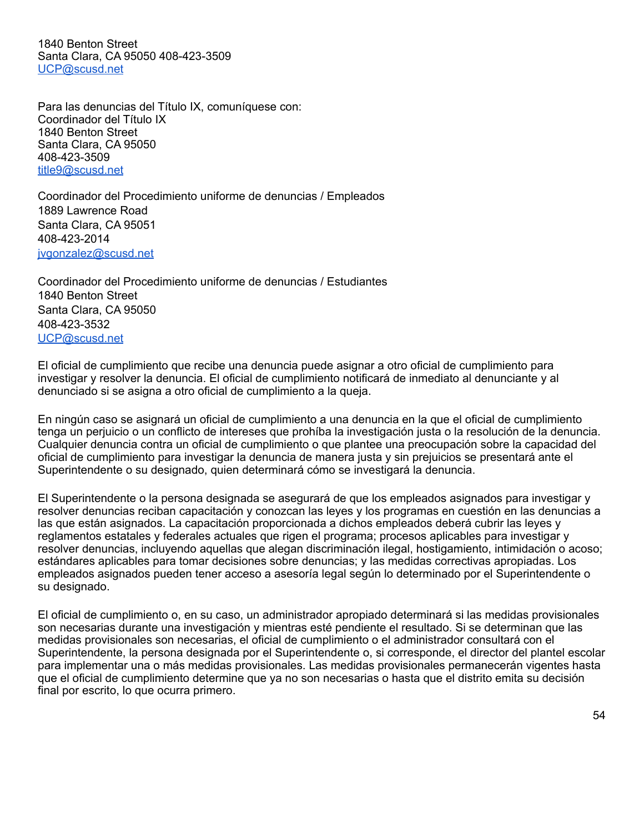1840 Benton Street Santa Clara, CA 95050 408-423-3509 [UCP@scusd.net](mailto:UCP@scusd.net)

Para las denuncias del Título IX, comuníquese con: Coordinador del Título IX 1840 Benton Street Santa Clara, CA 95050 408-423-3509 [title9@scusd.net](mailto:title9@scusd.net)

Coordinador del Procedimiento uniforme de denuncias / Empleados 1889 Lawrence Road Santa Clara, CA 95051 408-423-2014 [jvgonzalez@scusd.net](mailto:jvgonzalez@scusd.net)

Coordinador del Procedimiento uniforme de denuncias / Estudiantes 1840 Benton Street Santa Clara, CA 95050 408-423-3532 [UCP@scusd.net](mailto:UCP@scusd.net)

El oficial de cumplimiento que recibe una denuncia puede asignar a otro oficial de cumplimiento para investigar y resolver la denuncia. El oficial de cumplimiento notificará de inmediato al denunciante y al denunciado si se asigna a otro oficial de cumplimiento a la queja.

En ningún caso se asignará un oficial de cumplimiento a una denuncia en la que el oficial de cumplimiento tenga un perjuicio o un conflicto de intereses que prohíba la investigación justa o la resolución de la denuncia. Cualquier denuncia contra un oficial de cumplimiento o que plantee una preocupación sobre la capacidad del oficial de cumplimiento para investigar la denuncia de manera justa y sin prejuicios se presentará ante el Superintendente o su designado, quien determinará cómo se investigará la denuncia.

El Superintendente o la persona designada se asegurará de que los empleados asignados para investigar y resolver denuncias reciban capacitación y conozcan las leyes y los programas en cuestión en las denuncias a las que están asignados. La capacitación proporcionada a dichos empleados deberá cubrir las leyes y reglamentos estatales y federales actuales que rigen el programa; procesos aplicables para investigar y resolver denuncias, incluyendo aquellas que alegan discriminación ilegal, hostigamiento, intimidación o acoso; estándares aplicables para tomar decisiones sobre denuncias; y las medidas correctivas apropiadas. Los empleados asignados pueden tener acceso a asesoría legal según lo determinado por el Superintendente o su designado.

El oficial de cumplimiento o, en su caso, un administrador apropiado determinará si las medidas provisionales son necesarias durante una investigación y mientras esté pendiente el resultado. Si se determinan que las medidas provisionales son necesarias, el oficial de cumplimiento o el administrador consultará con el Superintendente, la persona designada por el Superintendente o, si corresponde, el director del plantel escolar para implementar una o más medidas provisionales. Las medidas provisionales permanecerán vigentes hasta que el oficial de cumplimiento determine que ya no son necesarias o hasta que el distrito emita su decisión final por escrito, lo que ocurra primero.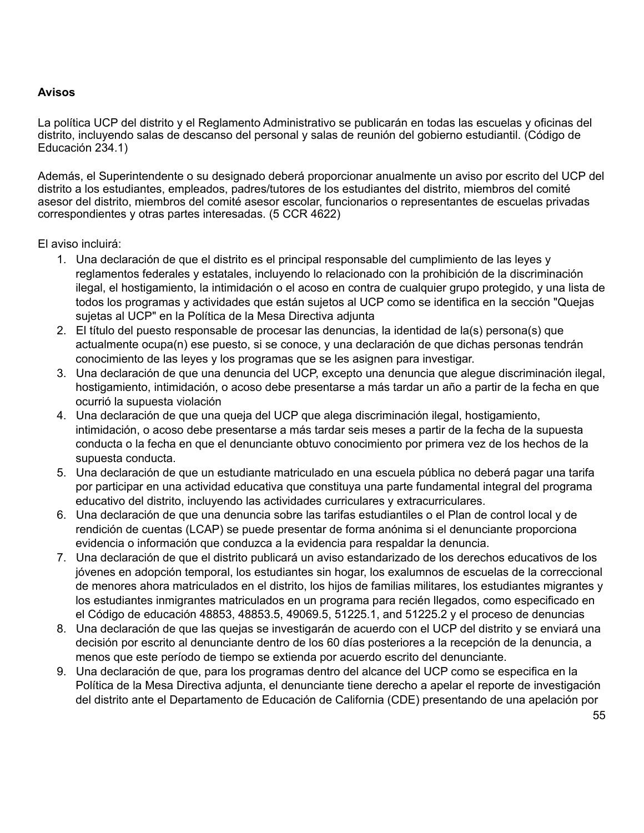#### **Avisos**

La política UCP del distrito y el Reglamento Administrativo se publicarán en todas las escuelas y oficinas del distrito, incluyendo salas de descanso del personal y salas de reunión del gobierno estudiantil. (Código de Educación 234.1)

Además, el Superintendente o su designado deberá proporcionar anualmente un aviso por escrito del UCP del distrito a los estudiantes, empleados, padres/tutores de los estudiantes del distrito, miembros del comité asesor del distrito, miembros del comité asesor escolar, funcionarios o representantes de escuelas privadas correspondientes y otras partes interesadas. (5 CCR 4622)

#### El aviso incluirá:

- 1. Una declaración de que el distrito es el principal responsable del cumplimiento de las leyes y reglamentos federales y estatales, incluyendo lo relacionado con la prohibición de la discriminación ilegal, el hostigamiento, la intimidación o el acoso en contra de cualquier grupo protegido, y una lista de todos los programas y actividades que están sujetos al UCP como se identifica en la sección "Quejas sujetas al UCP" en la Política de la Mesa Directiva adjunta
- 2. El título del puesto responsable de procesar las denuncias, la identidad de la(s) persona(s) que actualmente ocupa(n) ese puesto, si se conoce, y una declaración de que dichas personas tendrán conocimiento de las leyes y los programas que se les asignen para investigar.
- 3. Una declaración de que una denuncia del UCP, excepto una denuncia que alegue discriminación ilegal, hostigamiento, intimidación, o acoso debe presentarse a más tardar un año a partir de la fecha en que ocurrió la supuesta violación
- 4. Una declaración de que una queja del UCP que alega discriminación ilegal, hostigamiento, intimidación, o acoso debe presentarse a más tardar seis meses a partir de la fecha de la supuesta conducta o la fecha en que el denunciante obtuvo conocimiento por primera vez de los hechos de la supuesta conducta.
- 5. Una declaración de que un estudiante matriculado en una escuela pública no deberá pagar una tarifa por participar en una actividad educativa que constituya una parte fundamental integral del programa educativo del distrito, incluyendo las actividades curriculares y extracurriculares.
- 6. Una declaración de que una denuncia sobre las tarifas estudiantiles o el Plan de control local y de rendición de cuentas (LCAP) se puede presentar de forma anónima si el denunciante proporciona evidencia o información que conduzca a la evidencia para respaldar la denuncia.
- 7. Una declaración de que el distrito publicará un aviso estandarizado de los derechos educativos de los jóvenes en adopción temporal, los estudiantes sin hogar, los exalumnos de escuelas de la correccional de menores ahora matriculados en el distrito, los hijos de familias militares, los estudiantes migrantes y los estudiantes inmigrantes matriculados en un programa para recién llegados, como especificado en el Código de educación 48853, 48853.5, 49069.5, 51225.1, and 51225.2 y el proceso de denuncias
- 8. Una declaración de que las quejas se investigarán de acuerdo con el UCP del distrito y se enviará una decisión por escrito al denunciante dentro de los 60 días posteriores a la recepción de la denuncia, a menos que este período de tiempo se extienda por acuerdo escrito del denunciante.
- 9. Una declaración de que, para los programas dentro del alcance del UCP como se especifica en la Política de la Mesa Directiva adjunta, el denunciante tiene derecho a apelar el reporte de investigación del distrito ante el Departamento de Educación de California (CDE) presentando de una apelación por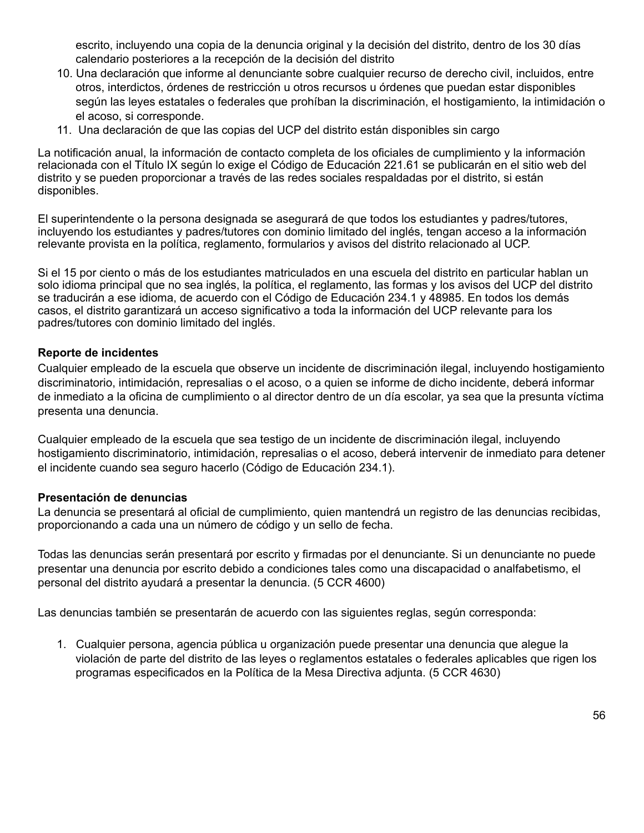escrito, incluyendo una copia de la denuncia original y la decisión del distrito, dentro de los 30 días calendario posteriores a la recepción de la decisión del distrito

- 10. Una declaración que informe al denunciante sobre cualquier recurso de derecho civil, incluidos, entre otros, interdictos, órdenes de restricción u otros recursos u órdenes que puedan estar disponibles según las leyes estatales o federales que prohíban la discriminación, el hostigamiento, la intimidación o el acoso, si corresponde.
- 11. Una declaración de que las copias del UCP del distrito están disponibles sin cargo

La notificación anual, la información de contacto completa de los oficiales de cumplimiento y la información relacionada con el Título IX según lo exige el Código de Educación 221.61 se publicarán en el sitio web del distrito y se pueden proporcionar a través de las redes sociales respaldadas por el distrito, si están disponibles.

El superintendente o la persona designada se asegurará de que todos los estudiantes y padres/tutores, incluyendo los estudiantes y padres/tutores con dominio limitado del inglés, tengan acceso a la información relevante provista en la política, reglamento, formularios y avisos del distrito relacionado al UCP.

Si el 15 por ciento o más de los estudiantes matriculados en una escuela del distrito en particular hablan un solo idioma principal que no sea inglés, la política, el reglamento, las formas y los avisos del UCP del distrito se traducirán a ese idioma, de acuerdo con el Código de Educación 234.1 y 48985. En todos los demás casos, el distrito garantizará un acceso significativo a toda la información del UCP relevante para los padres/tutores con dominio limitado del inglés.

#### **Reporte de incidentes**

Cualquier empleado de la escuela que observe un incidente de discriminación ilegal, incluyendo hostigamiento discriminatorio, intimidación, represalias o el acoso, o a quien se informe de dicho incidente, deberá informar de inmediato a la oficina de cumplimiento o al director dentro de un día escolar, ya sea que la presunta víctima presenta una denuncia.

Cualquier empleado de la escuela que sea testigo de un incidente de discriminación ilegal, incluyendo hostigamiento discriminatorio, intimidación, represalias o el acoso, deberá intervenir de inmediato para detener el incidente cuando sea seguro hacerlo (Código de Educación 234.1).

#### **Presentación de denuncias**

La denuncia se presentará al oficial de cumplimiento, quien mantendrá un registro de las denuncias recibidas, proporcionando a cada una un número de código y un sello de fecha.

Todas las denuncias serán presentará por escrito y firmadas por el denunciante. Si un denunciante no puede presentar una denuncia por escrito debido a condiciones tales como una discapacidad o analfabetismo, el personal del distrito ayudará a presentar la denuncia. (5 CCR 4600)

Las denuncias también se presentarán de acuerdo con las siguientes reglas, según corresponda:

1. Cualquier persona, agencia pública u organización puede presentar una denuncia que alegue la violación de parte del distrito de las leyes o reglamentos estatales o federales aplicables que rigen los programas especificados en la Política de la Mesa Directiva adjunta. (5 CCR 4630)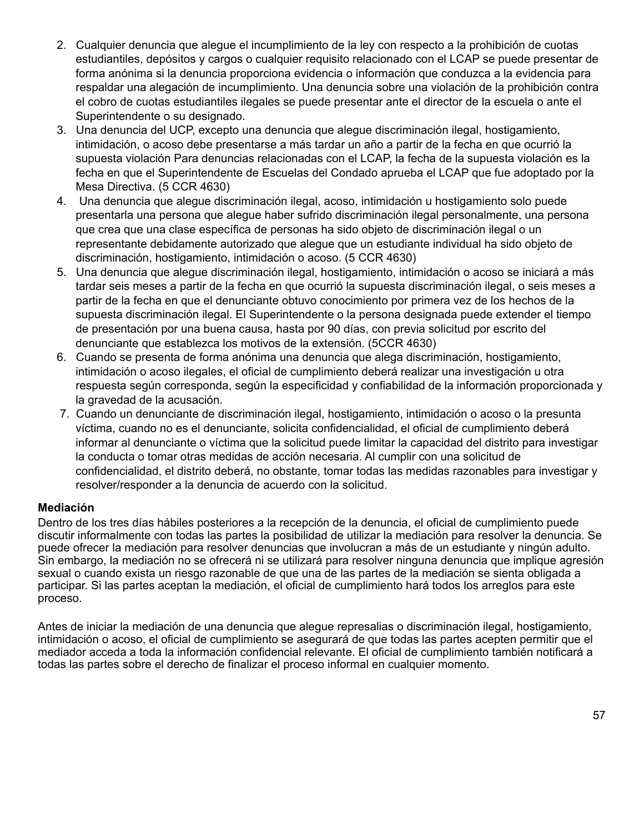- 2. Cualquier denuncia que alegue el incumplimiento de la ley con respecto a la prohibición de cuotas estudiantiles, depósitos y cargos o cualquier requisito relacionado con el LCAP se puede presentar de forma anónima si la denuncia proporciona evidencia o información que conduzca a la evidencia para respaldar una alegación de incumplimiento. Una denuncia sobre una violación de la prohibición contra el cobro de cuotas estudiantiles ilegales se puede presentar ante el director de la escuela o ante el Superintendente o su designado.
- 3. Una denuncia del UCP, excepto una denuncia que alegue discriminación ilegal, hostigamiento, intimidación, o acoso debe presentarse a más tardar un año a partir de la fecha en que ocurrió la supuesta violación Para denuncias relacionadas con el LCAP, la fecha de la supuesta violación es la fecha en que el Superintendente de Escuelas del Condado aprueba el LCAP que fue adoptado por la Mesa Directiva. (5 CCR 4630)
- 4. Una denuncia que alegue discriminación ilegal, acoso, intimidación u hostigamiento solo puede presentarla una persona que alegue haber sufrido discriminación ilegal personalmente, una persona que crea que una clase específica de personas ha sido objeto de discriminación ilegal o un representante debidamente autorizado que alegue que un estudiante individual ha sido objeto de discriminación, hostigamiento, intimidación o acoso. (5 CCR 4630)
- 5. Una denuncia que alegue discriminación ilegal, hostigamiento, intimidación o acoso se iniciará a más tardar seis meses a partir de la fecha en que ocurrió la supuesta discriminación ilegal, o seis meses a partir de la fecha en que el denunciante obtuvo conocimiento por primera vez de los hechos de la supuesta discriminación ilegal. El Superintendente o la persona designada puede extender el tiempo de presentación por una buena causa, hasta por 90 días, con previa solicitud por escrito del denunciante que establezca los motivos de la extensión. (5CCR 4630)
- 6. Cuando se presenta de forma anónima una denuncia que alega discriminación, hostigamiento, intimidación o acoso ilegales, el oficial de cumplimiento deberá realizar una investigación u otra respuesta según corresponda, según la especificidad y confiabilidad de la información proporcionada y la gravedad de la acusación.
- 7. Cuando un denunciante de discriminación ilegal, hostigamiento, intimidación o acoso o la presunta víctima, cuando no es el denunciante, solicita confidencialidad, el oficial de cumplimiento deberá informar al denunciante o víctima que la solicitud puede limitar la capacidad del distrito para investigar la conducta o tomar otras medidas de acción necesaria. Al cumplir con una solicitud de confidencialidad, el distrito deberá, no obstante, tomar todas las medidas razonables para investigar y resolver/responder a la denuncia de acuerdo con la solicitud.

## **Mediación**

Dentro de los tres días hábiles posteriores a la recepción de la denuncia, el oficial de cumplimiento puede discutir informalmente con todas las partes la posibilidad de utilizar la mediación para resolver la denuncia. Se puede ofrecer la mediación para resolver denuncias que involucran a más de un estudiante y ningún adulto. Sin embargo, la mediación no se ofrecerá ni se utilizará para resolver ninguna denuncia que implique agresión sexual o cuando exista un riesgo razonable de que una de las partes de la mediación se sienta obligada a participar. Si las partes aceptan la mediación, el oficial de cumplimiento hará todos los arreglos para este proceso.

Antes de iniciar la mediación de una denuncia que alegue represalias o discriminación ilegal, hostigamiento, intimidación o acoso, el oficial de cumplimiento se asegurará de que todas las partes acepten permitir que el mediador acceda a toda la información confidencial relevante. El oficial de cumplimiento también notificará a todas las partes sobre el derecho de finalizar el proceso informal en cualquier momento.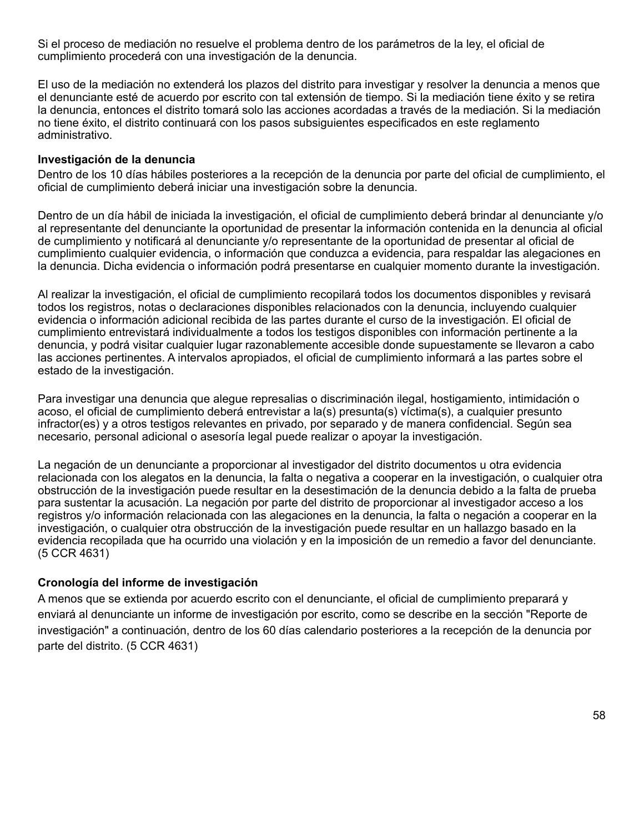Si el proceso de mediación no resuelve el problema dentro de los parámetros de la ley, el oficial de cumplimiento procederá con una investigación de la denuncia.

El uso de la mediación no extenderá los plazos del distrito para investigar y resolver la denuncia a menos que el denunciante esté de acuerdo por escrito con tal extensión de tiempo. Si la mediación tiene éxito y se retira la denuncia, entonces el distrito tomará solo las acciones acordadas a través de la mediación. Si la mediación no tiene éxito, el distrito continuará con los pasos subsiguientes especificados en este reglamento administrativo.

#### **Investigación de la denuncia**

Dentro de los 10 días hábiles posteriores a la recepción de la denuncia por parte del oficial de cumplimiento, el oficial de cumplimiento deberá iniciar una investigación sobre la denuncia.

Dentro de un día hábil de iniciada la investigación, el oficial de cumplimiento deberá brindar al denunciante y/o al representante del denunciante la oportunidad de presentar la información contenida en la denuncia al oficial de cumplimiento y notificará al denunciante y/o representante de la oportunidad de presentar al oficial de cumplimiento cualquier evidencia, o información que conduzca a evidencia, para respaldar las alegaciones en la denuncia. Dicha evidencia o información podrá presentarse en cualquier momento durante la investigación.

Al realizar la investigación, el oficial de cumplimiento recopilará todos los documentos disponibles y revisará todos los registros, notas o declaraciones disponibles relacionados con la denuncia, incluyendo cualquier evidencia o información adicional recibida de las partes durante el curso de la investigación. El oficial de cumplimiento entrevistará individualmente a todos los testigos disponibles con información pertinente a la denuncia, y podrá visitar cualquier lugar razonablemente accesible donde supuestamente se llevaron a cabo las acciones pertinentes. A intervalos apropiados, el oficial de cumplimiento informará a las partes sobre el estado de la investigación.

Para investigar una denuncia que alegue represalias o discriminación ilegal, hostigamiento, intimidación o acoso, el oficial de cumplimiento deberá entrevistar a la(s) presunta(s) víctima(s), a cualquier presunto infractor(es) y a otros testigos relevantes en privado, por separado y de manera confidencial. Según sea necesario, personal adicional o asesoría legal puede realizar o apoyar la investigación.

La negación de un denunciante a proporcionar al investigador del distrito documentos u otra evidencia relacionada con los alegatos en la denuncia, la falta o negativa a cooperar en la investigación, o cualquier otra obstrucción de la investigación puede resultar en la desestimación de la denuncia debido a la falta de prueba para sustentar la acusación. La negación por parte del distrito de proporcionar al investigador acceso a los registros y/o información relacionada con las alegaciones en la denuncia, la falta o negación a cooperar en la investigación, o cualquier otra obstrucción de la investigación puede resultar en un hallazgo basado en la evidencia recopilada que ha ocurrido una violación y en la imposición de un remedio a favor del denunciante. (5 CCR 4631)

#### **Cronología del informe de investigación**

A menos que se extienda por acuerdo escrito con el denunciante, el oficial de cumplimiento preparará y enviará al denunciante un informe de investigación por escrito, como se describe en la sección "Reporte de investigación" a continuación, dentro de los 60 días calendario posteriores a la recepción de la denuncia por parte del distrito. (5 CCR 4631)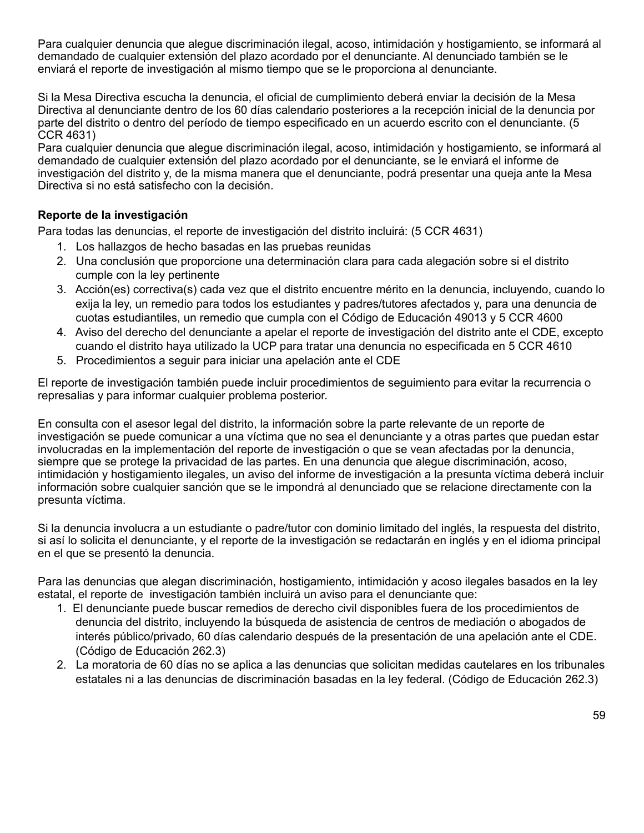Para cualquier denuncia que alegue discriminación ilegal, acoso, intimidación y hostigamiento, se informará al demandado de cualquier extensión del plazo acordado por el denunciante. Al denunciado también se le enviará el reporte de investigación al mismo tiempo que se le proporciona al denunciante.

Si la Mesa Directiva escucha la denuncia, el oficial de cumplimiento deberá enviar la decisión de la Mesa Directiva al denunciante dentro de los 60 días calendario posteriores a la recepción inicial de la denuncia por parte del distrito o dentro del período de tiempo especificado en un acuerdo escrito con el denunciante. (5 CCR 4631)

Para cualquier denuncia que alegue discriminación ilegal, acoso, intimidación y hostigamiento, se informará al demandado de cualquier extensión del plazo acordado por el denunciante, se le enviará el informe de investigación del distrito y, de la misma manera que el denunciante, podrá presentar una queja ante la Mesa Directiva si no está satisfecho con la decisión.

## **Reporte de la investigación**

Para todas las denuncias, el reporte de investigación del distrito incluirá: (5 CCR 4631)

- 1. Los hallazgos de hecho basadas en las pruebas reunidas
- 2. Una conclusión que proporcione una determinación clara para cada alegación sobre si el distrito cumple con la ley pertinente
- 3. Acción(es) correctiva(s) cada vez que el distrito encuentre mérito en la denuncia, incluyendo, cuando lo exija la ley, un remedio para todos los estudiantes y padres/tutores afectados y, para una denuncia de cuotas estudiantiles, un remedio que cumpla con el Código de Educación 49013 y 5 CCR 4600
- 4. Aviso del derecho del denunciante a apelar el reporte de investigación del distrito ante el CDE, excepto cuando el distrito haya utilizado la UCP para tratar una denuncia no especificada en 5 CCR 4610
- 5. Procedimientos a seguir para iniciar una apelación ante el CDE

El reporte de investigación también puede incluir procedimientos de seguimiento para evitar la recurrencia o represalias y para informar cualquier problema posterior.

En consulta con el asesor legal del distrito, la información sobre la parte relevante de un reporte de investigación se puede comunicar a una víctima que no sea el denunciante y a otras partes que puedan estar involucradas en la implementación del reporte de investigación o que se vean afectadas por la denuncia, siempre que se protege la privacidad de las partes. En una denuncia que alegue discriminación, acoso, intimidación y hostigamiento ilegales, un aviso del informe de investigación a la presunta víctima deberá incluir información sobre cualquier sanción que se le impondrá al denunciado que se relacione directamente con la presunta víctima.

Si la denuncia involucra a un estudiante o padre/tutor con dominio limitado del inglés, la respuesta del distrito, si así lo solicita el denunciante, y el reporte de la investigación se redactarán en inglés y en el idioma principal en el que se presentó la denuncia.

Para las denuncias que alegan discriminación, hostigamiento, intimidación y acoso ilegales basados en la ley estatal, el reporte de investigación también incluirá un aviso para el denunciante que:

- 1. El denunciante puede buscar remedios de derecho civil disponibles fuera de los procedimientos de denuncia del distrito, incluyendo la búsqueda de asistencia de centros de mediación o abogados de interés público/privado, 60 días calendario después de la presentación de una apelación ante el CDE. (Código de Educación 262.3)
- 2. La moratoria de 60 días no se aplica a las denuncias que solicitan medidas cautelares en los tribunales estatales ni a las denuncias de discriminación basadas en la ley federal. (Código de Educación 262.3)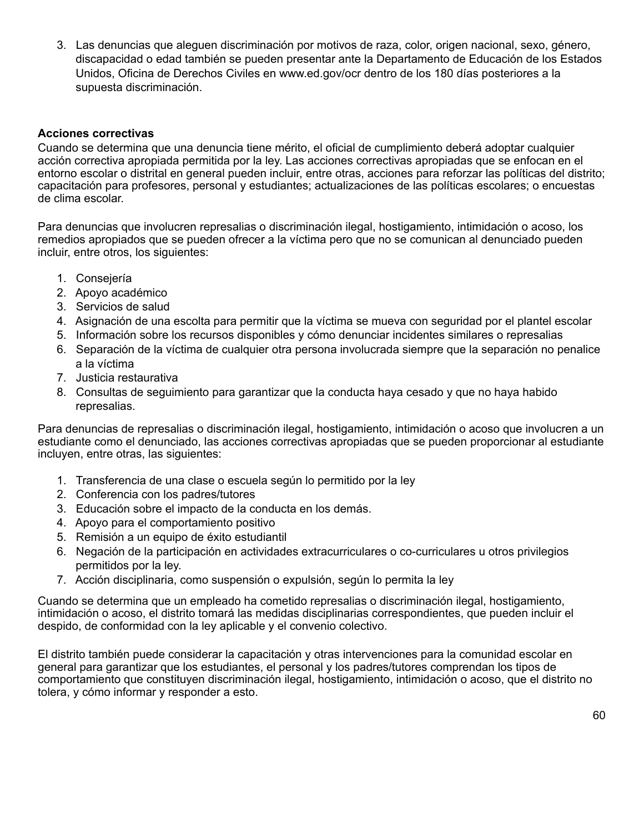3. Las denuncias que aleguen discriminación por motivos de raza, color, origen nacional, sexo, género, discapacidad o edad también se pueden presentar ante la Departamento de Educación de los Estados Unidos, Oficina de Derechos Civiles en www.ed.gov/ocr dentro de los 180 días posteriores a la supuesta discriminación.

#### **Acciones correctivas**

Cuando se determina que una denuncia tiene mérito, el oficial de cumplimiento deberá adoptar cualquier acción correctiva apropiada permitida por la ley. Las acciones correctivas apropiadas que se enfocan en el entorno escolar o distrital en general pueden incluir, entre otras, acciones para reforzar las políticas del distrito; capacitación para profesores, personal y estudiantes; actualizaciones de las políticas escolares; o encuestas de clima escolar.

Para denuncias que involucren represalias o discriminación ilegal, hostigamiento, intimidación o acoso, los remedios apropiados que se pueden ofrecer a la víctima pero que no se comunican al denunciado pueden incluir, entre otros, los siguientes:

- 1. Consejería
- 2. Apoyo académico
- 3. Servicios de salud
- 4. Asignación de una escolta para permitir que la víctima se mueva con seguridad por el plantel escolar
- 5. Información sobre los recursos disponibles y cómo denunciar incidentes similares o represalias
- 6. Separación de la víctima de cualquier otra persona involucrada siempre que la separación no penalice a la víctima
- 7. Justicia restaurativa
- 8. Consultas de seguimiento para garantizar que la conducta haya cesado y que no haya habido represalias.

Para denuncias de represalias o discriminación ilegal, hostigamiento, intimidación o acoso que involucren a un estudiante como el denunciado, las acciones correctivas apropiadas que se pueden proporcionar al estudiante incluyen, entre otras, las siguientes:

- 1. Transferencia de una clase o escuela según lo permitido por la ley
- 2. Conferencia con los padres/tutores
- 3. Educación sobre el impacto de la conducta en los demás.
- 4. Apoyo para el comportamiento positivo
- 5. Remisión a un equipo de éxito estudiantil
- 6. Negación de la participación en actividades extracurriculares o co-curriculares u otros privilegios permitidos por la ley.
- 7. Acción disciplinaria, como suspensión o expulsión, según lo permita la ley

Cuando se determina que un empleado ha cometido represalias o discriminación ilegal, hostigamiento, intimidación o acoso, el distrito tomará las medidas disciplinarias correspondientes, que pueden incluir el despido, de conformidad con la ley aplicable y el convenio colectivo.

El distrito también puede considerar la capacitación y otras intervenciones para la comunidad escolar en general para garantizar que los estudiantes, el personal y los padres/tutores comprendan los tipos de comportamiento que constituyen discriminación ilegal, hostigamiento, intimidación o acoso, que el distrito no tolera, y cómo informar y responder a esto.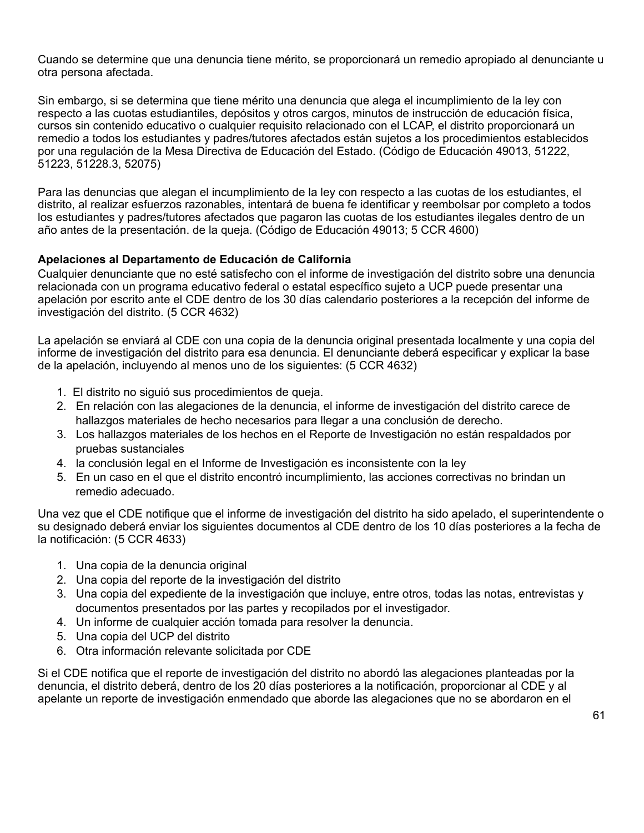Cuando se determine que una denuncia tiene mérito, se proporcionará un remedio apropiado al denunciante u otra persona afectada.

Sin embargo, si se determina que tiene mérito una denuncia que alega el incumplimiento de la ley con respecto a las cuotas estudiantiles, depósitos y otros cargos, minutos de instrucción de educación física, cursos sin contenido educativo o cualquier requisito relacionado con el LCAP, el distrito proporcionará un remedio a todos los estudiantes y padres/tutores afectados están sujetos a los procedimientos establecidos por una regulación de la Mesa Directiva de Educación del Estado. (Código de Educación 49013, 51222, 51223, 51228.3, 52075)

Para las denuncias que alegan el incumplimiento de la ley con respecto a las cuotas de los estudiantes, el distrito, al realizar esfuerzos razonables, intentará de buena fe identificar y reembolsar por completo a todos los estudiantes y padres/tutores afectados que pagaron las cuotas de los estudiantes ilegales dentro de un año antes de la presentación. de la queja. (Código de Educación 49013; 5 CCR 4600)

## **Apelaciones al Departamento de Educación de California**

Cualquier denunciante que no esté satisfecho con el informe de investigación del distrito sobre una denuncia relacionada con un programa educativo federal o estatal específico sujeto a UCP puede presentar una apelación por escrito ante el CDE dentro de los 30 días calendario posteriores a la recepción del informe de investigación del distrito. (5 CCR 4632)

La apelación se enviará al CDE con una copia de la denuncia original presentada localmente y una copia del informe de investigación del distrito para esa denuncia. El denunciante deberá especificar y explicar la base de la apelación, incluyendo al menos uno de los siguientes: (5 CCR 4632)

- 1. El distrito no siguió sus procedimientos de queja.
- 2. En relación con las alegaciones de la denuncia, el informe de investigación del distrito carece de hallazgos materiales de hecho necesarios para llegar a una conclusión de derecho.
- 3. Los hallazgos materiales de los hechos en el Reporte de Investigación no están respaldados por pruebas sustanciales
- 4. la conclusión legal en el Informe de Investigación es inconsistente con la ley
- 5. En un caso en el que el distrito encontró incumplimiento, las acciones correctivas no brindan un remedio adecuado.

Una vez que el CDE notifique que el informe de investigación del distrito ha sido apelado, el superintendente o su designado deberá enviar los siguientes documentos al CDE dentro de los 10 días posteriores a la fecha de la notificación: (5 CCR 4633)

- 1. Una copia de la denuncia original
- 2. Una copia del reporte de la investigación del distrito
- 3. Una copia del expediente de la investigación que incluye, entre otros, todas las notas, entrevistas y documentos presentados por las partes y recopilados por el investigador.
- 4. Un informe de cualquier acción tomada para resolver la denuncia.
- 5. Una copia del UCP del distrito
- 6. Otra información relevante solicitada por CDE

Si el CDE notifica que el reporte de investigación del distrito no abordó las alegaciones planteadas por la denuncia, el distrito deberá, dentro de los 20 días posteriores a la notificación, proporcionar al CDE y al apelante un reporte de investigación enmendado que aborde las alegaciones que no se abordaron en el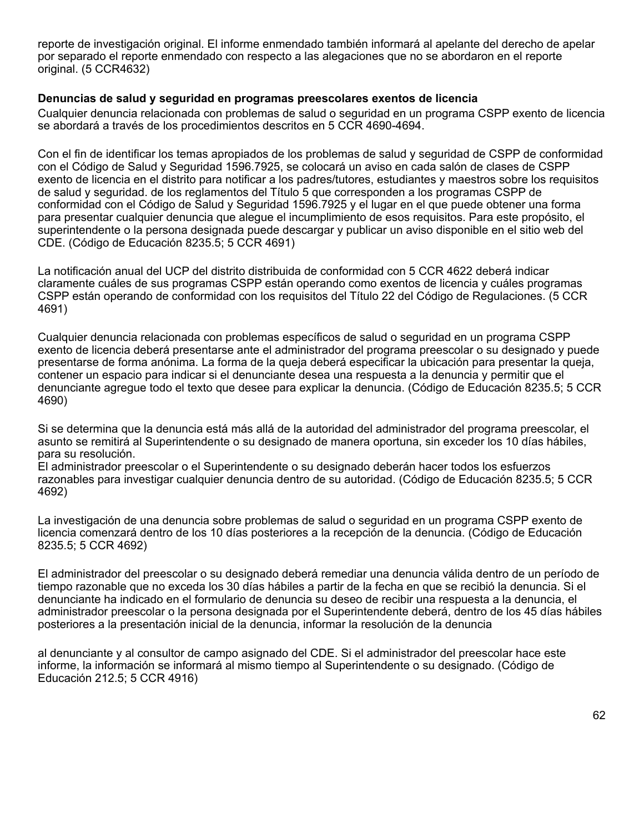reporte de investigación original. El informe enmendado también informará al apelante del derecho de apelar por separado el reporte enmendado con respecto a las alegaciones que no se abordaron en el reporte original. (5 CCR4632)

#### **Denuncias de salud y seguridad en programas preescolares exentos de licencia**

Cualquier denuncia relacionada con problemas de salud o seguridad en un programa CSPP exento de licencia se abordará a través de los procedimientos descritos en 5 CCR 4690-4694.

Con el fin de identificar los temas apropiados de los problemas de salud y seguridad de CSPP de conformidad con el Código de Salud y Seguridad 1596.7925, se colocará un aviso en cada salón de clases de CSPP exento de licencia en el distrito para notificar a los padres/tutores, estudiantes y maestros sobre los requisitos de salud y seguridad. de los reglamentos del Título 5 que corresponden a los programas CSPP de conformidad con el Código de Salud y Seguridad 1596.7925 y el lugar en el que puede obtener una forma para presentar cualquier denuncia que alegue el incumplimiento de esos requisitos. Para este propósito, el superintendente o la persona designada puede descargar y publicar un aviso disponible en el sitio web del CDE. (Código de Educación 8235.5; 5 CCR 4691)

La notificación anual del UCP del distrito distribuida de conformidad con 5 CCR 4622 deberá indicar claramente cuáles de sus programas CSPP están operando como exentos de licencia y cuáles programas CSPP están operando de conformidad con los requisitos del Título 22 del Código de Regulaciones. (5 CCR 4691)

Cualquier denuncia relacionada con problemas específicos de salud o seguridad en un programa CSPP exento de licencia deberá presentarse ante el administrador del programa preescolar o su designado y puede presentarse de forma anónima. La forma de la queja deberá especificar la ubicación para presentar la queja, contener un espacio para indicar si el denunciante desea una respuesta a la denuncia y permitir que el denunciante agregue todo el texto que desee para explicar la denuncia. (Código de Educación 8235.5; 5 CCR 4690)

Si se determina que la denuncia está más allá de la autoridad del administrador del programa preescolar, el asunto se remitirá al Superintendente o su designado de manera oportuna, sin exceder los 10 días hábiles, para su resolución.

El administrador preescolar o el Superintendente o su designado deberán hacer todos los esfuerzos razonables para investigar cualquier denuncia dentro de su autoridad. (Código de Educación 8235.5; 5 CCR 4692)

La investigación de una denuncia sobre problemas de salud o seguridad en un programa CSPP exento de licencia comenzará dentro de los 10 días posteriores a la recepción de la denuncia. (Código de Educación 8235.5; 5 CCR 4692)

El administrador del preescolar o su designado deberá remediar una denuncia válida dentro de un período de tiempo razonable que no exceda los 30 días hábiles a partir de la fecha en que se recibió la denuncia. Si el denunciante ha indicado en el formulario de denuncia su deseo de recibir una respuesta a la denuncia, el administrador preescolar o la persona designada por el Superintendente deberá, dentro de los 45 días hábiles posteriores a la presentación inicial de la denuncia, informar la resolución de la denuncia

al denunciante y al consultor de campo asignado del CDE. Si el administrador del preescolar hace este informe, la información se informará al mismo tiempo al Superintendente o su designado. (Código de Educación 212.5; 5 CCR 4916)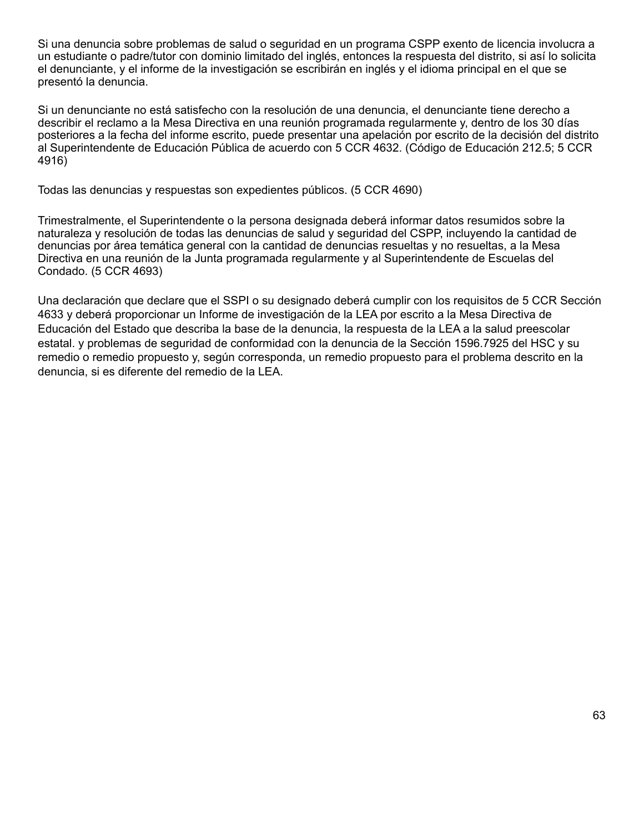Si una denuncia sobre problemas de salud o seguridad en un programa CSPP exento de licencia involucra a un estudiante o padre/tutor con dominio limitado del inglés, entonces la respuesta del distrito, si así lo solicita el denunciante, y el informe de la investigación se escribirán en inglés y el idioma principal en el que se presentó la denuncia.

Si un denunciante no está satisfecho con la resolución de una denuncia, el denunciante tiene derecho a describir el reclamo a la Mesa Directiva en una reunión programada regularmente y, dentro de los 30 días posteriores a la fecha del informe escrito, puede presentar una apelación por escrito de la decisión del distrito al Superintendente de Educación Pública de acuerdo con 5 CCR 4632. (Código de Educación 212.5; 5 CCR 4916)

Todas las denuncias y respuestas son expedientes públicos. (5 CCR 4690)

Trimestralmente, el Superintendente o la persona designada deberá informar datos resumidos sobre la naturaleza y resolución de todas las denuncias de salud y seguridad del CSPP, incluyendo la cantidad de denuncias por área temática general con la cantidad de denuncias resueltas y no resueltas, a la Mesa Directiva en una reunión de la Junta programada regularmente y al Superintendente de Escuelas del Condado. (5 CCR 4693)

Una declaración que declare que el SSPI o su designado deberá cumplir con los requisitos de 5 CCR Sección 4633 y deberá proporcionar un Informe de investigación de la LEA por escrito a la Mesa Directiva de Educación del Estado que describa la base de la denuncia, la respuesta de la LEA a la salud preescolar estatal. y problemas de seguridad de conformidad con la denuncia de la Sección 1596.7925 del HSC y su remedio o remedio propuesto y, según corresponda, un remedio propuesto para el problema descrito en la denuncia, si es diferente del remedio de la LEA.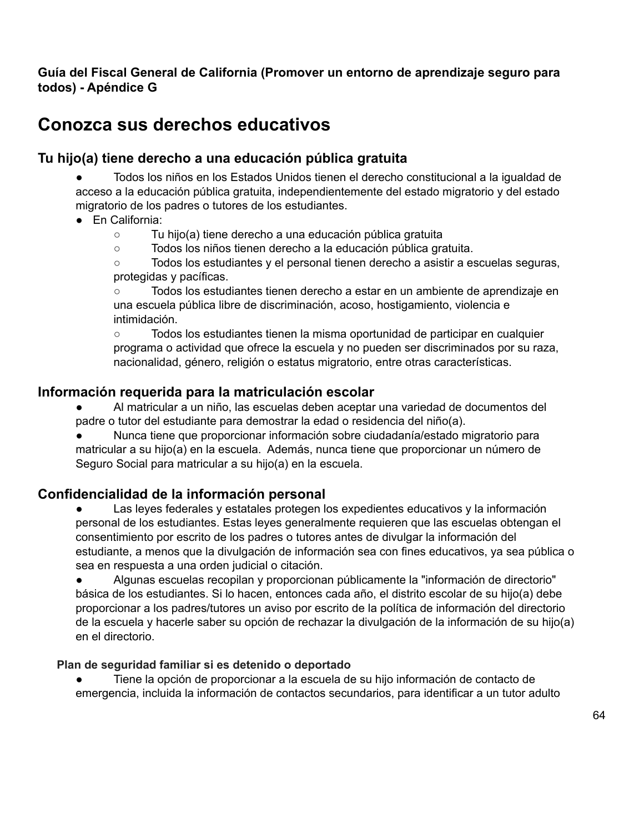# **Guía del Fiscal General de California (Promover un entorno de aprendizaje seguro para todos) - Apéndice G**

# **Conozca sus derechos educativos**

# **Tu hijo(a) tiene derecho a una educación pública gratuita**

● Todos los niños en los Estados Unidos tienen el derecho constitucional a la igualdad de acceso a la educación pública gratuita, independientemente del estado migratorio y del estado migratorio de los padres o tutores de los estudiantes.

- En California:
	- Tu hijo(a) tiene derecho a una educación pública gratuita
	- Todos los niños tienen derecho a la educación pública gratuita.

○ Todos los estudiantes y el personal tienen derecho a asistir a escuelas seguras, protegidas y pacíficas.

○ Todos los estudiantes tienen derecho a estar en un ambiente de aprendizaje en una escuela pública libre de discriminación, acoso, hostigamiento, violencia e intimidación.

○ Todos los estudiantes tienen la misma oportunidad de participar en cualquier programa o actividad que ofrece la escuela y no pueden ser discriminados por su raza, nacionalidad, género, religión o estatus migratorio, entre otras características.

## **Información requerida para la matriculación escolar**

- Al matricular a un niño, las escuelas deben aceptar una variedad de documentos del padre o tutor del estudiante para demostrar la edad o residencia del niño(a).
- Nunca tiene que proporcionar información sobre ciudadanía/estado migratorio para matricular a su hijo(a) en la escuela. Además, nunca tiene que proporcionar un número de Seguro Social para matricular a su hijo(a) en la escuela.

# **Confidencialidad de la información personal**

Las leyes federales y estatales protegen los expedientes educativos y la información personal de los estudiantes. Estas leyes generalmente requieren que las escuelas obtengan el consentimiento por escrito de los padres o tutores antes de divulgar la información del estudiante, a menos que la divulgación de información sea con fines educativos, ya sea pública o sea en respuesta a una orden judicial o citación.

● Algunas escuelas recopilan y proporcionan públicamente la "información de directorio" básica de los estudiantes. Si lo hacen, entonces cada año, el distrito escolar de su hijo(a) debe proporcionar a los padres/tutores un aviso por escrito de la política de información del directorio de la escuela y hacerle saber su opción de rechazar la divulgación de la información de su hijo(a) en el directorio.

## **Plan de seguridad familiar si es detenido o deportado**

Tiene la opción de proporcionar a la escuela de su hijo información de contacto de emergencia, incluida la información de contactos secundarios, para identificar a un tutor adulto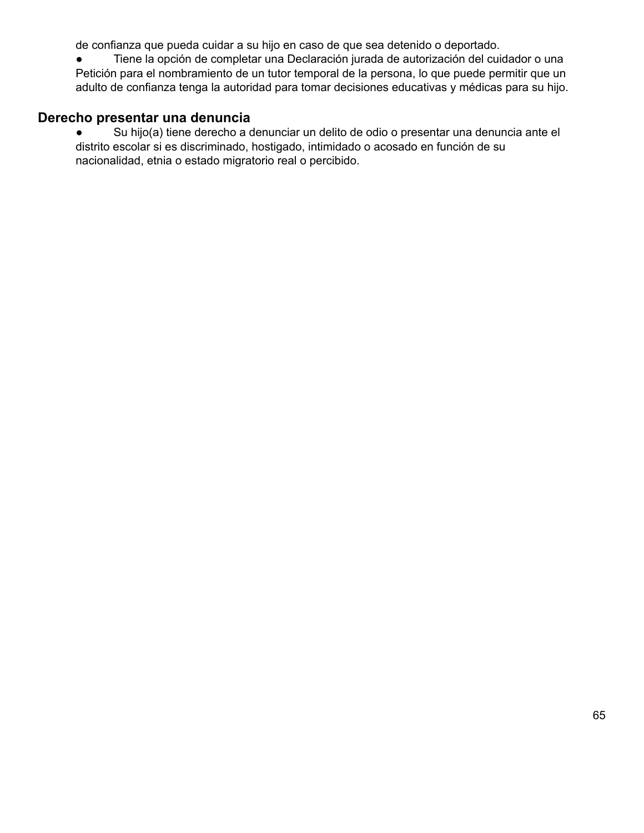de confianza que pueda cuidar a su hijo en caso de que sea detenido o deportado.

● Tiene la opción de completar una Declaración jurada de autorización del cuidador o una Petición para el nombramiento de un tutor temporal de la persona, lo que puede permitir que un adulto de confianza tenga la autoridad para tomar decisiones educativas y médicas para su hijo.

# **Derecho presentar una denuncia**

● Su hijo(a) tiene derecho a denunciar un delito de odio o presentar una denuncia ante el distrito escolar si es discriminado, hostigado, intimidado o acosado en función de su nacionalidad, etnia o estado migratorio real o percibido.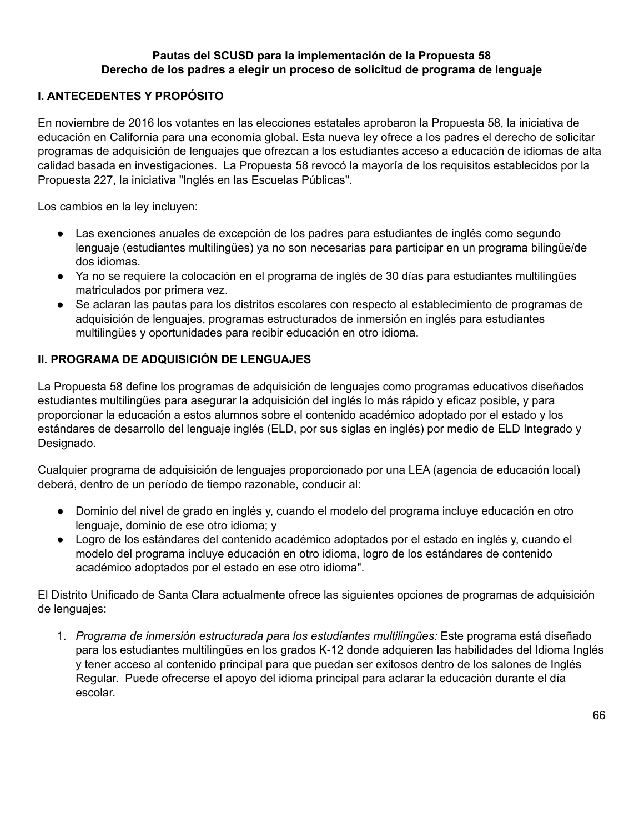## **Pautas del SCUSD para la implementación de la Propuesta 58 Derecho de los padres a elegir un proceso de solicitud de programa de lenguaje**

# **I. ANTECEDENTES Y PROPÓSITO**

En noviembre de 2016 los votantes en las elecciones estatales aprobaron la Propuesta 58, la iniciativa de educación en California para una economía global. Esta nueva ley ofrece a los padres el derecho de solicitar programas de adquisición de lenguajes que ofrezcan a los estudiantes acceso a educación de idiomas de alta calidad basada en investigaciones. La Propuesta 58 revocó la mayoría de los requisitos establecidos por la Propuesta 227, la iniciativa "Inglés en las Escuelas Públicas".

Los cambios en la ley incluyen:

- Las exenciones anuales de excepción de los padres para estudiantes de inglés como segundo lenguaje (estudiantes multilingües) ya no son necesarias para participar en un programa bilingüe/de dos idiomas.
- Ya no se requiere la colocación en el programa de inglés de 30 días para estudiantes multilingües matriculados por primera vez.
- Se aclaran las pautas para los distritos escolares con respecto al establecimiento de programas de adquisición de lenguajes, programas estructurados de inmersión en inglés para estudiantes multilingües y oportunidades para recibir educación en otro idioma.

# **II. PROGRAMA DE ADQUISICIÓN DE LENGUAJES**

La Propuesta 58 define los programas de adquisición de lenguajes como programas educativos diseñados estudiantes multilingües para asegurar la adquisición del inglés lo más rápido y eficaz posible, y para proporcionar la educación a estos alumnos sobre el contenido académico adoptado por el estado y los estándares de desarrollo del lenguaje inglés (ELD, por sus siglas en inglés) por medio de ELD Integrado y Designado.

Cualquier programa de adquisición de lenguajes proporcionado por una LEA (agencia de educación local) deberá, dentro de un período de tiempo razonable, conducir al:

- Dominio del nivel de grado en inglés y, cuando el modelo del programa incluye educación en otro lenguaje, dominio de ese otro idioma; y
- Logro de los estándares del contenido académico adoptados por el estado en inglés y, cuando el modelo del programa incluye educación en otro idioma, logro de los estándares de contenido académico adoptados por el estado en ese otro idioma".

El Distrito Unificado de Santa Clara actualmente ofrece las siguientes opciones de programas de adquisición de lenguajes:

1. *Programa de inmersión estructurada para los estudiantes multilingües:* Este programa está diseñado para los estudiantes multilingües en los grados K-12 donde adquieren las habilidades del Idioma Inglés y tener acceso al contenido principal para que puedan ser exitosos dentro de los salones de Inglés Regular. Puede ofrecerse el apoyo del idioma principal para aclarar la educación durante el día escolar.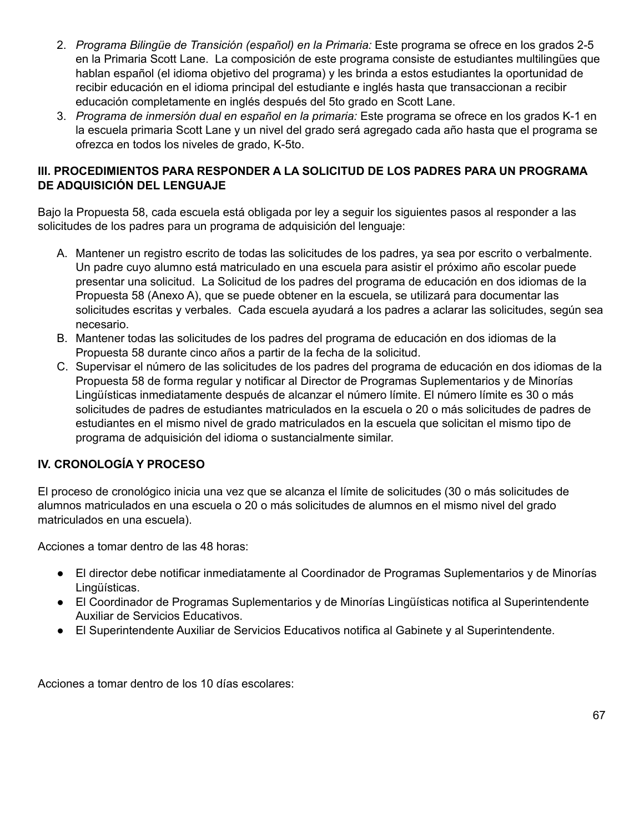- 2. *Programa Bilingüe de Transición (español) en la Primaria:* Este programa se ofrece en los grados 2-5 en la Primaria Scott Lane. La composición de este programa consiste de estudiantes multilingües que hablan español (el idioma objetivo del programa) y les brinda a estos estudiantes la oportunidad de recibir educación en el idioma principal del estudiante e inglés hasta que transaccionan a recibir educación completamente en inglés después del 5to grado en Scott Lane.
- 3. *Programa de inmersión dual en español en la primaria:* Este programa se ofrece en los grados K-1 en la escuela primaria Scott Lane y un nivel del grado será agregado cada año hasta que el programa se ofrezca en todos los niveles de grado, K-5to.

## **III. PROCEDIMIENTOS PARA RESPONDER A LA SOLICITUD DE LOS PADRES PARA UN PROGRAMA DE ADQUISICIÓN DEL LENGUAJE**

Bajo la Propuesta 58, cada escuela está obligada por ley a seguir los siguientes pasos al responder a las solicitudes de los padres para un programa de adquisición del lenguaje:

- A. Mantener un registro escrito de todas las solicitudes de los padres, ya sea por escrito o verbalmente. Un padre cuyo alumno está matriculado en una escuela para asistir el próximo año escolar puede presentar una solicitud. La Solicitud de los padres del programa de educación en dos idiomas de la Propuesta 58 (Anexo A), que se puede obtener en la escuela, se utilizará para documentar las solicitudes escritas y verbales. Cada escuela ayudará a los padres a aclarar las solicitudes, según sea necesario.
- B. Mantener todas las solicitudes de los padres del programa de educación en dos idiomas de la Propuesta 58 durante cinco años a partir de la fecha de la solicitud.
- C. Supervisar el número de las solicitudes de los padres del programa de educación en dos idiomas de la Propuesta 58 de forma regular y notificar al Director de Programas Suplementarios y de Minorías Lingüísticas inmediatamente después de alcanzar el número límite. El número límite es 30 o más solicitudes de padres de estudiantes matriculados en la escuela o 20 o más solicitudes de padres de estudiantes en el mismo nivel de grado matriculados en la escuela que solicitan el mismo tipo de programa de adquisición del idioma o sustancialmente similar.

# **IV. CRONOLOGÍA Y PROCESO**

El proceso de cronológico inicia una vez que se alcanza el límite de solicitudes (30 o más solicitudes de alumnos matriculados en una escuela o 20 o más solicitudes de alumnos en el mismo nivel del grado matriculados en una escuela).

Acciones a tomar dentro de las 48 horas:

- El director debe notificar inmediatamente al Coordinador de Programas Suplementarios y de Minorías Lingüísticas.
- El Coordinador de Programas Suplementarios y de Minorías Lingüísticas notifica al Superintendente Auxiliar de Servicios Educativos.
- El Superintendente Auxiliar de Servicios Educativos notifica al Gabinete y al Superintendente.

Acciones a tomar dentro de los 10 días escolares: